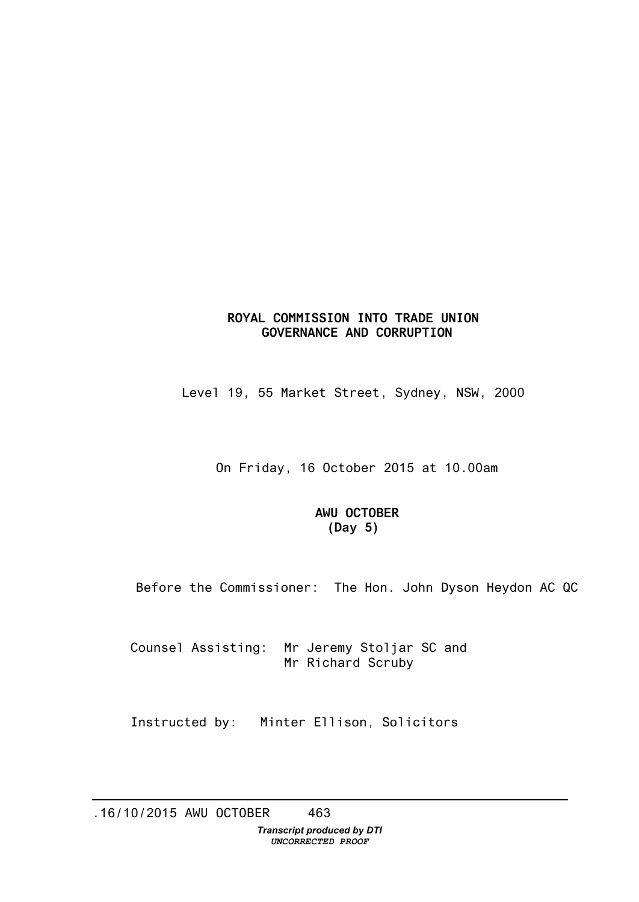## **ROYAL COMMISSION INTO TRADE UNION GOVERNANCE AND CORRUPTION**

Level 19, 55 Market Street, Sydney, NSW, 2000

On Friday, 16 October 2015 at 10.00am

## **AWU OCTOBER (Day 5)**

Before the Commissioner: The Hon. John Dyson Heydon AC QC

Counsel Assisting: Mr Jeremy Stoljar SC and Mr Richard Scruby

Instructed by: Minter Ellison, Solicitors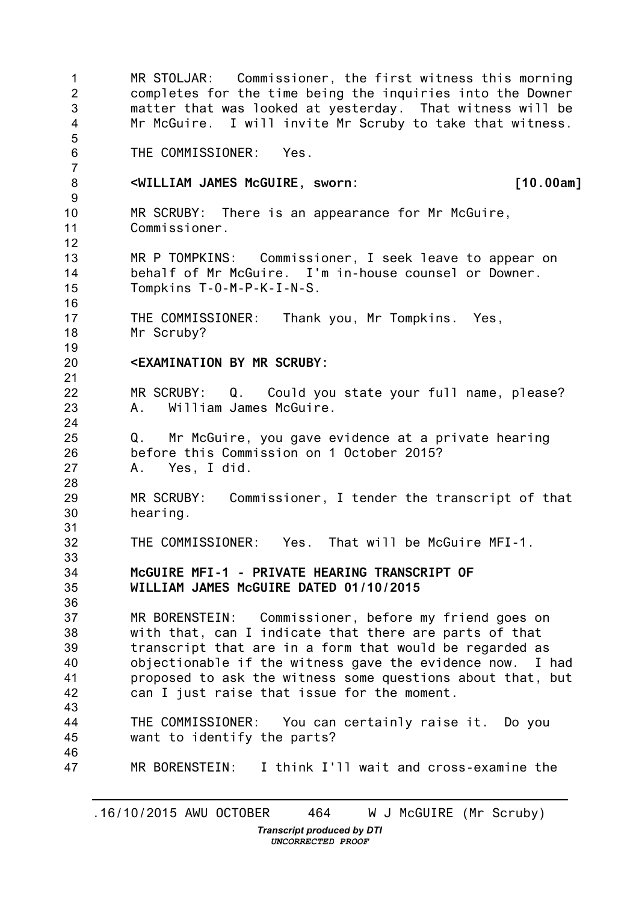1  $\mathfrak{D}$ 3 4 5 6 7 8 9 10 11 12 13 14 15 16 17 18 19 20 21 22 23 24 25 26 27 28 29 30 31 32 33 34 35 36 37 38 39 40 41 42 43 44 45 46 47 MR STOLJAR: Commissioner, the first witness this morning completes for the time being the inquiries into the Downer matter that was looked at yesterday. That witness will be Mr McGuire. I will invite Mr Scruby to take that witness. THE COMMISSIONER: Yes. **<WILLIAM JAMES McGUIRE, sworn: [10.00am]** MR SCRUBY: There is an appearance for Mr McGuire, Commissioner. MR P TOMPKINS: Commissioner, I seek leave to appear on behalf of Mr McGuire. I'm in-house counsel or Downer. Tompkins T-0-M-P-K-I-N-S. THE COMMISSIONER: Thank you, Mr Tompkins. Yes, Mr Scruby? **<EXAMINATION BY MR SCRUBY:** MR SCRUBY: Q. Could you state your full name, please? A. William James McGuire. Q. Mr McGuire, you gave evidence at a private hearing before this Commission on 1 October 2015? A. Yes, I did. MR SCRUBY: Commissioner, I tender the transcript of that hearing. THE COMMISSIONER: Yes. That will be McGuire MFI-1. **McGUIRE MFI-1 - PRIVATE HEARING TRANSCRIPT OF WILLIAM JAMES McGUIRE DATED 01/10/2015** MR BORENSTEIN: Commissioner, before my friend goes on with that, can I indicate that there are parts of that transcript that are in a form that would be regarded as objectionable if the witness gave the evidence now. I had proposed to ask the witness some questions about that, but can I just raise that issue for the moment. THE COMMISSIONER: You can certainly raise it. Do you want to identify the parts? MR BORENSTEIN: I think I'll wait and cross-examine the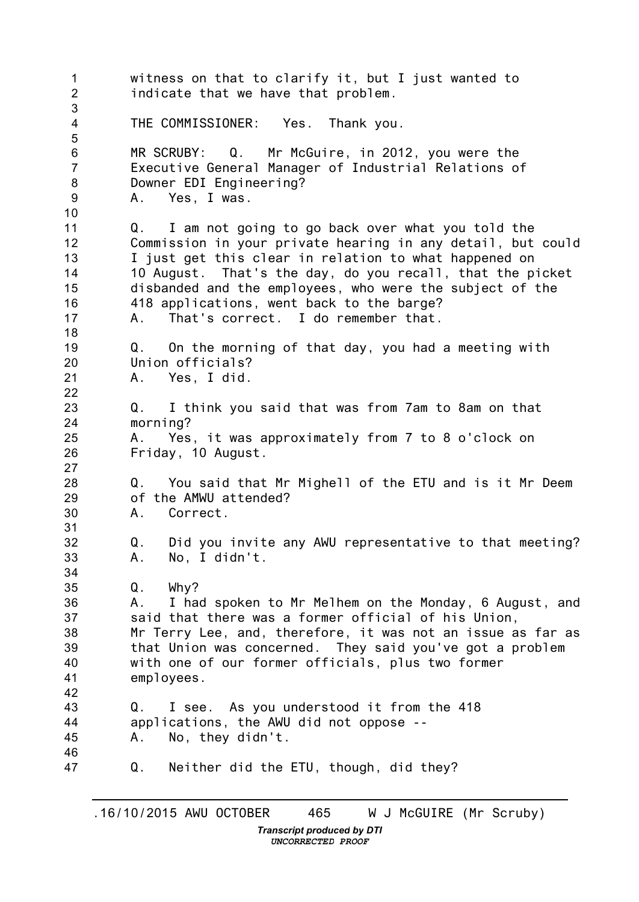1  $\mathcal{P}$ 3 4 5 6 7 8 9 10 11 12 13 14 15 16 17 18 19 20 21 22 23 24 25 26 27 28 29 30 31 32 33 34 35 36 37 38 39 40 41 42 43 44 45 46 47 witness on that to clarify it, but I just wanted to indicate that we have that problem. THE COMMISSIONER: Yes. Thank you. MR SCRUBY: Q. Mr McGuire, in 2012, you were the Executive General Manager of Industrial Relations of Downer EDI Engineering? A. Yes, I was. Q. I am not going to go back over what you told the Commission in your private hearing in any detail, but could I just get this clear in relation to what happened on 10 August. That's the day, do you recall, that the picket disbanded and the employees, who were the subject of the 418 applications, went back to the barge? A. That's correct. I do remember that. Q. On the morning of that day, you had a meeting with Union officials? A. Yes, I did. Q. I think you said that was from 7am to 8am on that morning? A. Yes, it was approximately from 7 to 8 o'clock on Friday, 10 August. Q. You said that Mr Mighell of the ETU and is it Mr Deem of the AMWU attended? A. Correct. Q. Did you invite any AWU representative to that meeting? A. No, I didn't. Q. Why? A. I had spoken to Mr Melhem on the Monday, 6 August, and said that there was a former official of his Union, Mr Terry Lee, and, therefore, it was not an issue as far as that Union was concerned. They said you've got a problem with one of our former officials, plus two former employees. Q. I see. As you understood it from the 418 applications, the AWU did not oppose -- A. No, they didn't. Q. Neither did the ETU, though, did they?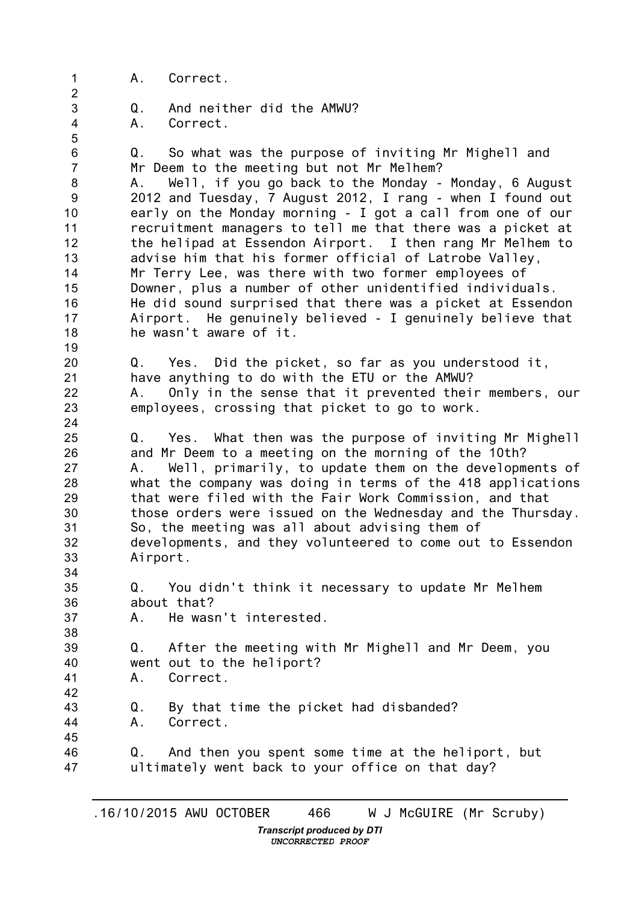1 2 3 4 5 6 7 8 9 10 11 12 13 14 15 16 17 18 19 20 21 22 23 24 25 26 27 28 29 30 31 32 33 34 35 36 37 38 39 40 41 42 43 44 45 46 47 A. Correct. Q. And neither did the AMWU? A. Correct. Q. So what was the purpose of inviting Mr Mighell and Mr Deem to the meeting but not Mr Melhem? A. Well, if you go back to the Monday - Monday, 6 August 2012 and Tuesday, 7 August 2012, I rang - when I found out early on the Monday morning - I got a call from one of our recruitment managers to tell me that there was a picket at the helipad at Essendon Airport. I then rang Mr Melhem to advise him that his former official of Latrobe Valley, Mr Terry Lee, was there with two former employees of Downer, plus a number of other unidentified individuals. He did sound surprised that there was a picket at Essendon Airport. He genuinely believed - I genuinely believe that he wasn't aware of it. Q. Yes. Did the picket, so far as you understood it, have anything to do with the ETU or the AMWU? A. Only in the sense that it prevented their members, our employees, crossing that picket to go to work. Q. Yes. What then was the purpose of inviting Mr Mighell and Mr Deem to a meeting on the morning of the 10th? A. Well, primarily, to update them on the developments of what the company was doing in terms of the 418 applications that were filed with the Fair Work Commission, and that those orders were issued on the Wednesday and the Thursday. So, the meeting was all about advising them of developments, and they volunteered to come out to Essendon Airport. Q. You didn't think it necessary to update Mr Melhem about that? A. He wasn't interested. Q. After the meeting with Mr Mighell and Mr Deem, you went out to the heliport? A. Correct. Q. By that time the picket had disbanded? A. Correct. Q. And then you spent some time at the heliport, but ultimately went back to your office on that day?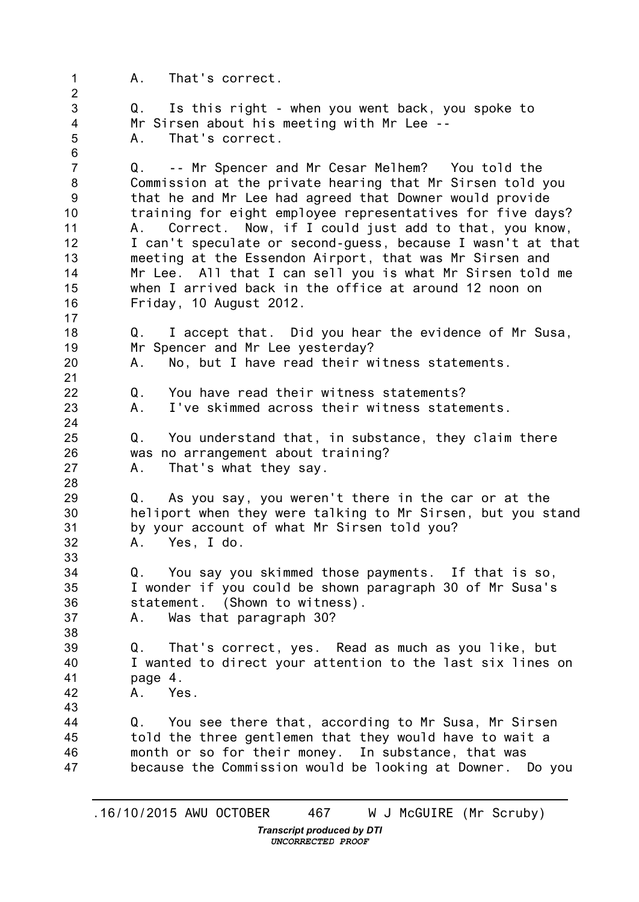1 2 3 4 5 6 7 8 9 10 11 12 13 14 15 16 17 18 19 20 21 22 23 24 25 26 27 28 29 30 31 32 33 34 35 36 37 38 39 40 41 42 43 44 45 46 47 A. That's correct. Q. Is this right - when you went back, you spoke to Mr Sirsen about his meeting with Mr Lee -- A. That's correct. Q. -- Mr Spencer and Mr Cesar Melhem? You told the Commission at the private hearing that Mr Sirsen told you that he and Mr Lee had agreed that Downer would provide training for eight employee representatives for five days? A. Correct. Now, if I could just add to that, you know, I can't speculate or second-guess, because I wasn't at that meeting at the Essendon Airport, that was Mr Sirsen and Mr Lee. All that I can sell you is what Mr Sirsen told me when I arrived back in the office at around 12 noon on Friday, 10 August 2012. Q. I accept that. Did you hear the evidence of Mr Susa, Mr Spencer and Mr Lee yesterday? A. No, but I have read their witness statements. Q. You have read their witness statements? A. I've skimmed across their witness statements. Q. You understand that, in substance, they claim there was no arrangement about training? A. That's what they say. Q. As you say, you weren't there in the car or at the heliport when they were talking to Mr Sirsen, but you stand by your account of what Mr Sirsen told you? A. Yes, I do. Q. You say you skimmed those payments. If that is so, I wonder if you could be shown paragraph 30 of Mr Susa's statement. (Shown to witness). A. Was that paragraph 30? Q. That's correct, yes. Read as much as you like, but I wanted to direct your attention to the last six lines on page 4. A. Yes. Q. You see there that, according to Mr Susa, Mr Sirsen told the three gentlemen that they would have to wait a month or so for their money. In substance, that was because the Commission would be looking at Downer. Do you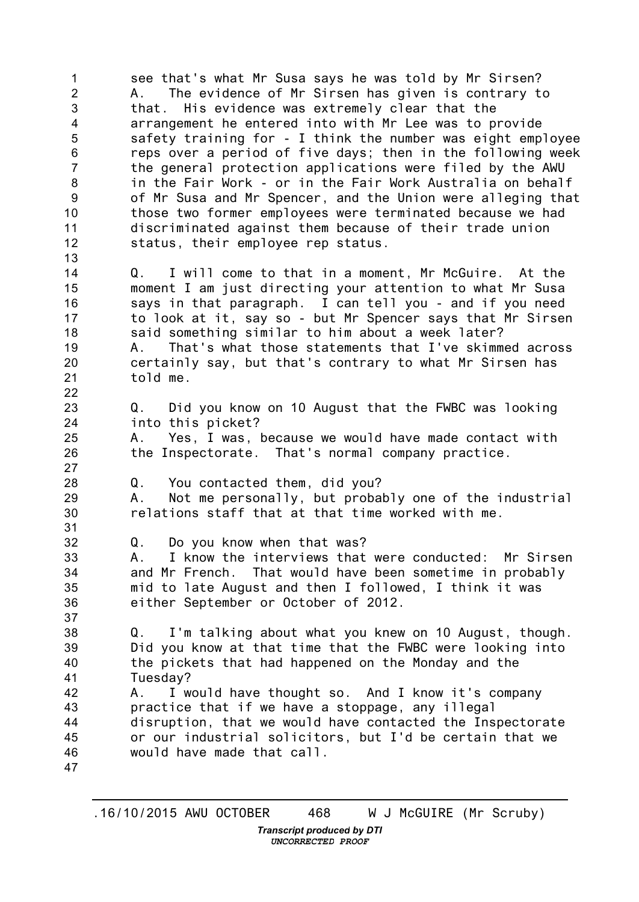1  $\mathfrak{D}$ 3 4 5 6 7 8 9 10 11 12 13 14 15 16 17 18 19 20 21 22 23 24 25 26 27 28 29 30 31 32 33 34 35 36 37 38 39 40 41 42 43 44 45 46 47 see that's what Mr Susa says he was told by Mr Sirsen? A. The evidence of Mr Sirsen has given is contrary to that. His evidence was extremely clear that the arrangement he entered into with Mr Lee was to provide safety training for - I think the number was eight employee reps over a period of five days; then in the following week the general protection applications were filed by the AWU in the Fair Work - or in the Fair Work Australia on behalf of Mr Susa and Mr Spencer, and the Union were alleging that those two former employees were terminated because we had discriminated against them because of their trade union status, their employee rep status. Q. I will come to that in a moment, Mr McGuire. At the moment I am just directing your attention to what Mr Susa says in that paragraph. I can tell you - and if you need to look at it, say so - but Mr Spencer says that Mr Sirsen said something similar to him about a week later? A. That's what those statements that I've skimmed across certainly say, but that's contrary to what Mr Sirsen has told me. Q. Did you know on 10 August that the FWBC was looking into this picket? A. Yes, I was, because we would have made contact with the Inspectorate. That's normal company practice. Q. You contacted them, did you? A. Not me personally, but probably one of the industrial relations staff that at that time worked with me. Q. Do you know when that was? A. I know the interviews that were conducted: Mr Sirsen and Mr French. That would have been sometime in probably mid to late August and then I followed, I think it was either September or October of 2012. Q. I'm talking about what you knew on 10 August, though. Did you know at that time that the FWBC were looking into the pickets that had happened on the Monday and the Tuesday? A. I would have thought so. And I know it's company practice that if we have a stoppage, any illegal disruption, that we would have contacted the Inspectorate or our industrial solicitors, but I'd be certain that we would have made that call.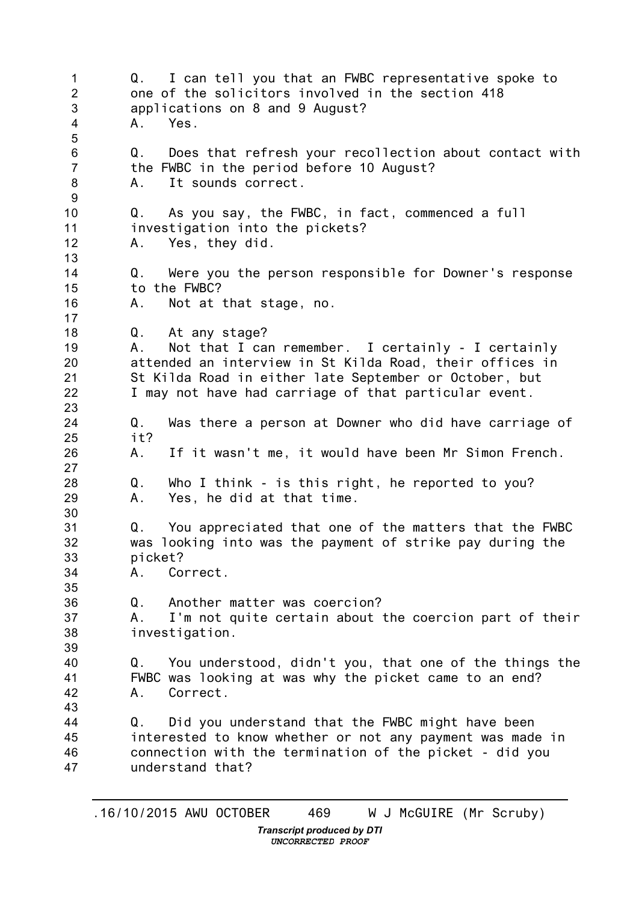1 2 3 4 5 6 7 8 9 10 11 12 13 14 15 16 17 18 19 20 21 22 23 24 25 26 27 28 29 30 31 32 33 34 35 36 37 38 39 40 41 42 43 44 45 46 47 Q. I can tell you that an FWBC representative spoke to one of the solicitors involved in the section 418 applications on 8 and 9 August? A. Yes. Q. Does that refresh your recollection about contact with the FWBC in the period before 10 August? A. It sounds correct. Q. As you say, the FWBC, in fact, commenced a full investigation into the pickets? A. Yes, they did. Q. Were you the person responsible for Downer's response to the FWBC? A. Not at that stage, no. Q. At any stage? A. Not that I can remember. I certainly - I certainly attended an interview in St Kilda Road, their offices in St Kilda Road in either late September or October, but I may not have had carriage of that particular event. Q. Was there a person at Downer who did have carriage of it? A. If it wasn't me, it would have been Mr Simon French. Q. Who I think - is this right, he reported to you? A. Yes, he did at that time. Q. You appreciated that one of the matters that the FWBC was looking into was the payment of strike pay during the picket? A. Correct. Q. Another matter was coercion? A. I'm not quite certain about the coercion part of their investigation. Q. You understood, didn't you, that one of the things the FWBC was looking at was why the picket came to an end? A. Correct. Q. Did you understand that the FWBC might have been interested to know whether or not any payment was made in connection with the termination of the picket - did you understand that?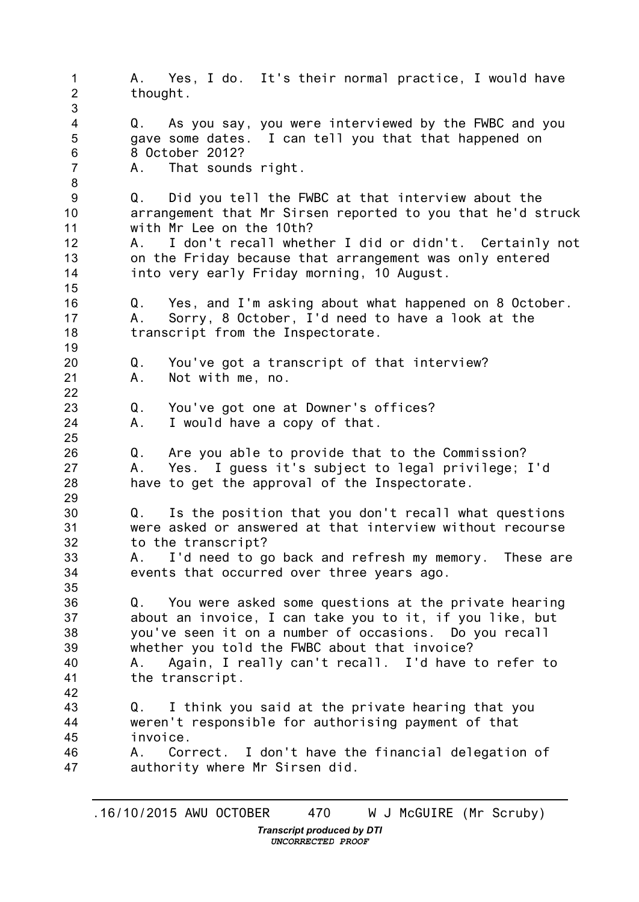1 2 3 4 5 6 7 8 9 10 11 12 13 14 15 16 17 18 19 20 21 22 23 24 25 26 27 28 29 30 31 32 33 34 35 36 37 38 39 40 41 42 43 44 45 46 47 A. Yes, I do. It's their normal practice, I would have thought. Q. As you say, you were interviewed by the FWBC and you gave some dates. I can tell you that that happened on 8 October 2012? A. That sounds right. Q. Did you tell the FWBC at that interview about the arrangement that Mr Sirsen reported to you that he'd struck with Mr Lee on the 10th? A. I don't recall whether I did or didn't. Certainly not on the Friday because that arrangement was only entered into very early Friday morning, 10 August. Q. Yes, and I'm asking about what happened on 8 October. A. Sorry, 8 October, I'd need to have a look at the transcript from the Inspectorate. Q. You've got a transcript of that interview? A. Not with me, no. Q. You've got one at Downer's offices? A. I would have a copy of that. Q. Are you able to provide that to the Commission? A. Yes. I guess it's subject to legal privilege; I'd have to get the approval of the Inspectorate. Q. Is the position that you don't recall what questions were asked or answered at that interview without recourse to the transcript? A. I'd need to go back and refresh my memory. These are events that occurred over three years ago. Q. You were asked some questions at the private hearing about an invoice, I can take you to it, if you like, but you've seen it on a number of occasions. Do you recall whether you told the FWBC about that invoice? A. Again, I really can't recall. I'd have to refer to the transcript. Q. I think you said at the private hearing that you weren't responsible for authorising payment of that invoice. A. Correct. I don't have the financial delegation of authority where Mr Sirsen did.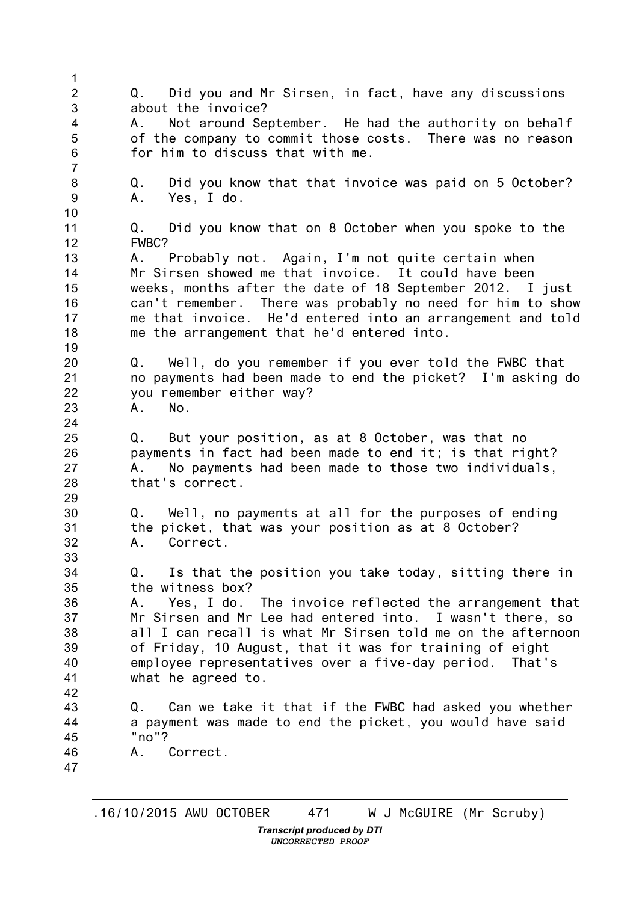1 2 3 4 5 6 7 8 9 10 11 12 13 14 15 16 17 18 19 20 21 22 23 24 25 26 27 28 29 30 31 32 33 34 35 36 37 38 39 40 41 42 43 44 45 46 47 Q. Did you and Mr Sirsen, in fact, have any discussions about the invoice? A. Not around September. He had the authority on behalf of the company to commit those costs. There was no reason for him to discuss that with me. Q. Did you know that that invoice was paid on 5 October? A. Yes, I do. Q. Did you know that on 8 October when you spoke to the FWBC? A. Probably not. Again, I'm not quite certain when Mr Sirsen showed me that invoice. It could have been weeks, months after the date of 18 September 2012. I just can't remember. There was probably no need for him to show me that invoice. He'd entered into an arrangement and told me the arrangement that he'd entered into. Q. Well, do you remember if you ever told the FWBC that no payments had been made to end the picket? I'm asking do you remember either way? A. No. Q. But your position, as at 8 October, was that no payments in fact had been made to end it; is that right? A. No payments had been made to those two individuals, that's correct. Q. Well, no payments at all for the purposes of ending the picket, that was your position as at 8 October? A. Correct. Q. Is that the position you take today, sitting there in the witness box? A. Yes, I do. The invoice reflected the arrangement that Mr Sirsen and Mr Lee had entered into. I wasn't there, so all I can recall is what Mr Sirsen told me on the afternoon of Friday, 10 August, that it was for training of eight employee representatives over a five-day period. That's what he agreed to. Q. Can we take it that if the FWBC had asked you whether a payment was made to end the picket, you would have said "no"? A. Correct.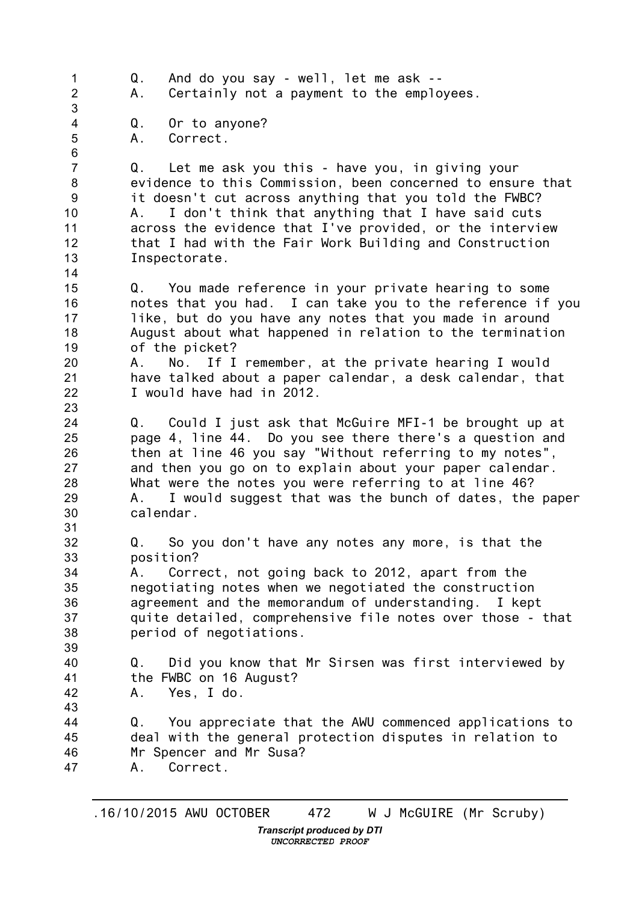1  $\mathfrak{D}$ 3 4 5 6 7 8 9 10 11 12 13 14 15 16 17 18 19 20 21 22 23 24 25 26 27 28 29 30 31 32 33 34 35 36 37 38 39 40 41 42 43 44 45 46 47 Q. And do you say - well, let me ask -- A. Certainly not a payment to the employees. Q. Or to anyone? A. Correct. Q. Let me ask you this - have you, in giving your evidence to this Commission, been concerned to ensure that it doesn't cut across anything that you told the FWBC? A. I don't think that anything that I have said cuts across the evidence that I've provided, or the interview that I had with the Fair Work Building and Construction Inspectorate. Q. You made reference in your private hearing to some notes that you had. I can take you to the reference if you like, but do you have any notes that you made in around August about what happened in relation to the termination of the picket? A. No. If I remember, at the private hearing I would have talked about a paper calendar, a desk calendar, that I would have had in 2012. Q. Could I just ask that McGuire MFI-1 be brought up at page 4, line 44. Do you see there there's a question and then at line 46 you say "Without referring to my notes", and then you go on to explain about your paper calendar. What were the notes you were referring to at line 46? A. I would suggest that was the bunch of dates, the paper calendar. Q. So you don't have any notes any more, is that the position? A. Correct, not going back to 2012, apart from the negotiating notes when we negotiated the construction agreement and the memorandum of understanding. I kept quite detailed, comprehensive file notes over those - that period of negotiations. Q. Did you know that Mr Sirsen was first interviewed by the FWBC on 16 August? A. Yes, I do. Q. You appreciate that the AWU commenced applications to deal with the general protection disputes in relation to Mr Spencer and Mr Susa? A. Correct.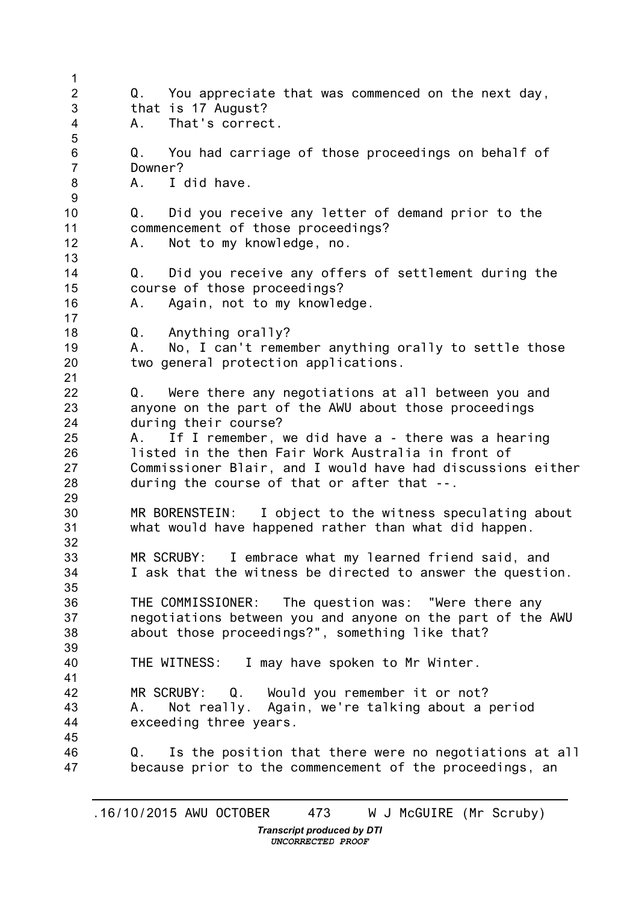1 2 3 4 5 6 7 8 9 10 11 12 13 14 15 16 17 18 19 20 21 22 23 24 25 26 27 28 29 30 31 32 33 34 35 36 37 38 39 40 41 42 43 44 45 46 47 Q. You appreciate that was commenced on the next day, that is 17 August? A. That's correct. Q. You had carriage of those proceedings on behalf of Downer? A. I did have. Q. Did you receive any letter of demand prior to the commencement of those proceedings? A. Not to my knowledge, no. Q. Did you receive any offers of settlement during the course of those proceedings? A. Again, not to my knowledge. Q. Anything orally? A. No, I can't remember anything orally to settle those two general protection applications. Q. Were there any negotiations at all between you and anyone on the part of the AWU about those proceedings during their course? A. If I remember, we did have a - there was a hearing listed in the then Fair Work Australia in front of Commissioner Blair, and I would have had discussions either during the course of that or after that --. MR BORENSTEIN: I object to the witness speculating about what would have happened rather than what did happen. MR SCRUBY: I embrace what my learned friend said, and I ask that the witness be directed to answer the question. THE COMMISSIONER: The question was: "Were there any negotiations between you and anyone on the part of the AWU about those proceedings?", something like that? THE WITNESS: I may have spoken to Mr Winter. MR SCRUBY: Q. Would you remember it or not? A. Not really. Again, we're talking about a period exceeding three years. Q. Is the position that there were no negotiations at all because prior to the commencement of the proceedings, an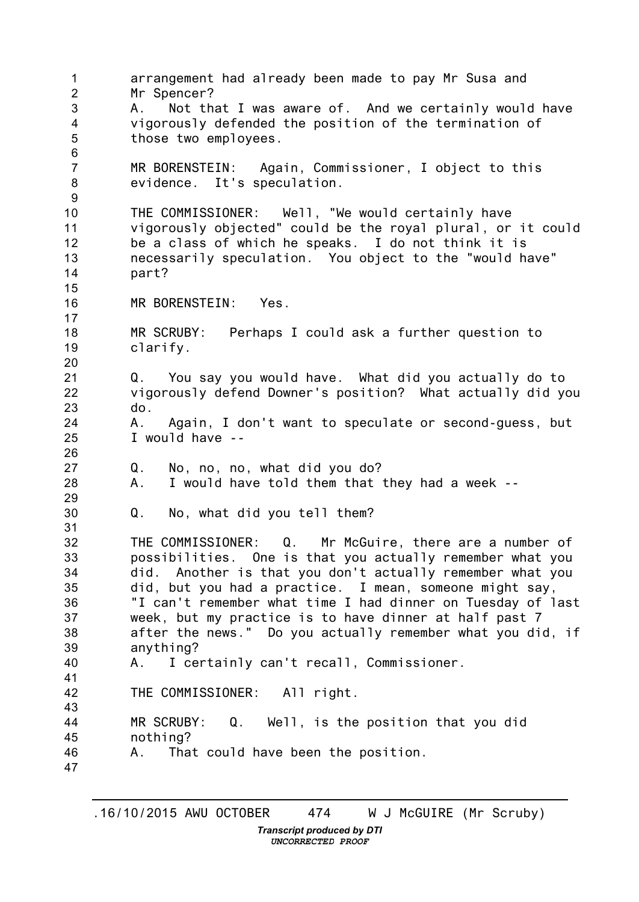1 2 3 4 5 6 7 8 9 10 11 12 13 14 15 16 17 18 19 20 21 22 23 24 25 26 27 28 29 30 31 32 33 34 35 36 37 38 39 40 41 42 43 44 45 46 47 arrangement had already been made to pay Mr Susa and Mr Spencer? A. Not that I was aware of. And we certainly would have vigorously defended the position of the termination of those two employees. MR BORENSTEIN: Again, Commissioner, I object to this evidence. It's speculation. THE COMMISSIONER: Well, "We would certainly have vigorously objected" could be the royal plural, or it could be a class of which he speaks. I do not think it is necessarily speculation. You object to the "would have" part? MR BORENSTEIN: Yes. MR SCRUBY: Perhaps I could ask a further question to clarify. Q. You say you would have. What did you actually do to vigorously defend Downer's position? What actually did you do. A. Again, I don't want to speculate or second-guess, but I would have -- Q. No, no, no, what did you do? A. I would have told them that they had a week -- Q. No, what did you tell them? THE COMMISSIONER: Q. Mr McGuire, there are a number of possibilities. One is that you actually remember what you did. Another is that you don't actually remember what you did, but you had a practice. I mean, someone might say, "I can't remember what time I had dinner on Tuesday of last week, but my practice is to have dinner at half past 7 after the news." Do you actually remember what you did, if anything? A. I certainly can't recall, Commissioner. THE COMMISSIONER: All right. MR SCRUBY: Q. Well, is the position that you did nothing? A. That could have been the position.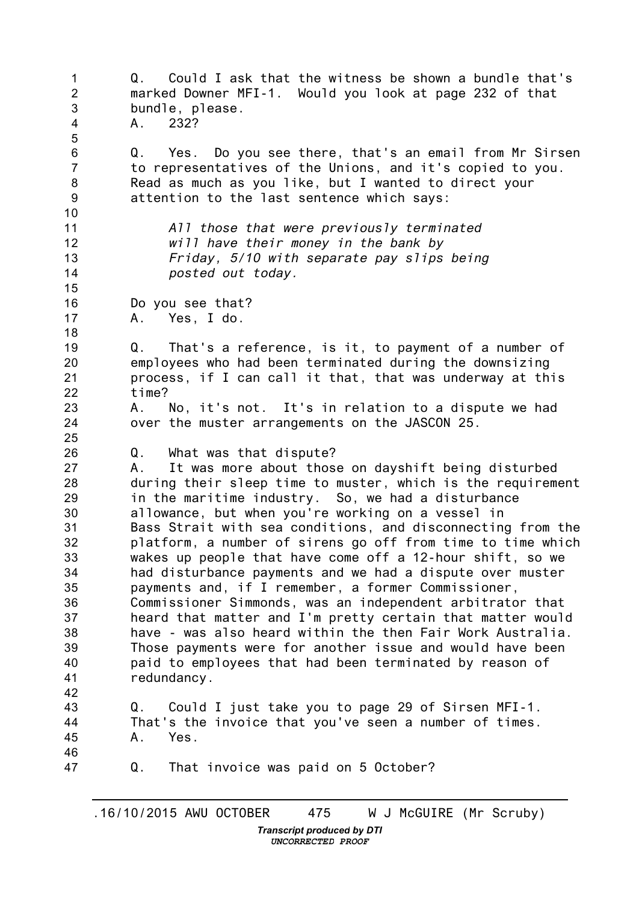1 2 3 4 5 6 7 8 9 10 11 12 13 14 15 16 17 18 19 20 21 22 23 24 25 26 27 28 29 30 31 32 33 34 35 36 37 38 39 40 41 42 43 44 45 46 47 Q. Could I ask that the witness be shown a bundle that's marked Downer MFI-1. Would you look at page 232 of that bundle, please. A. 232? Q. Yes. Do you see there, that's an email from Mr Sirsen to representatives of the Unions, and it's copied to you. Read as much as you like, but I wanted to direct your attention to the last sentence which says: *All those that were previously terminated will have their money in the bank by Friday, 5/10 with separate pay slips being posted out today.* Do you see that? A. Yes, I do. Q. That's a reference, is it, to payment of a number of employees who had been terminated during the downsizing process, if I can call it that, that was underway at this time? A. No, it's not. It's in relation to a dispute we had over the muster arrangements on the JASCON 25. Q. What was that dispute? A. It was more about those on dayshift being disturbed during their sleep time to muster, which is the requirement in the maritime industry. So, we had a disturbance allowance, but when you're working on a vessel in Bass Strait with sea conditions, and disconnecting from the platform, a number of sirens go off from time to time which wakes up people that have come off a 12-hour shift, so we had disturbance payments and we had a dispute over muster payments and, if I remember, a former Commissioner, Commissioner Simmonds, was an independent arbitrator that heard that matter and I'm pretty certain that matter would have - was also heard within the then Fair Work Australia. Those payments were for another issue and would have been paid to employees that had been terminated by reason of redundancy. Q. Could I just take you to page 29 of Sirsen MFI-1. That's the invoice that you've seen a number of times. A. Yes. Q. That invoice was paid on 5 October?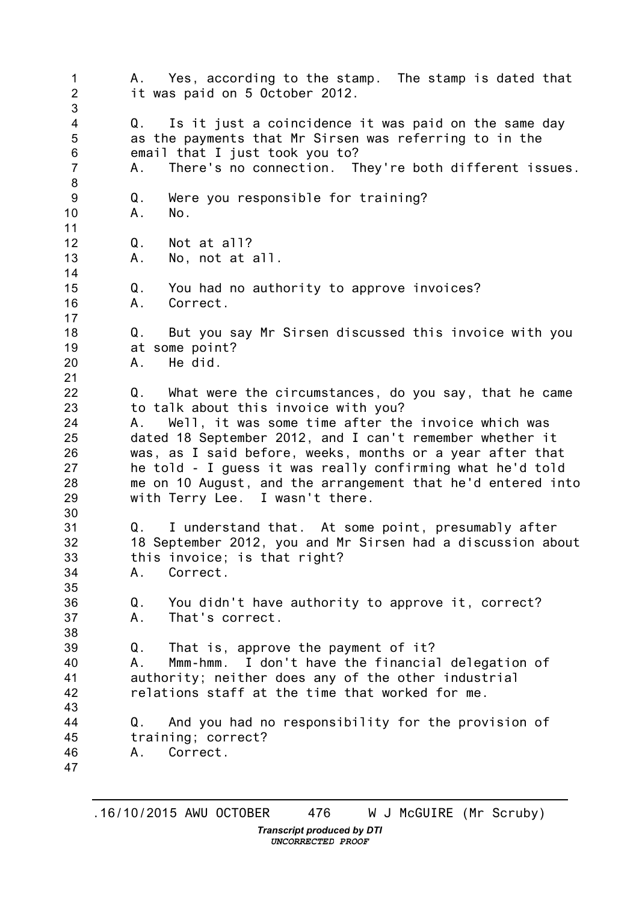1 2 3 4 5 6 7 8 9 10 11 12 13 14 15 16 17 18 19 20 21 22 23 24 25 26 27 28 29 30 31 32 33 34 35 36 37 38 39 40 41 42 43 44 45 46 47 A. Yes, according to the stamp. The stamp is dated that it was paid on 5 October 2012. Q. Is it just a coincidence it was paid on the same day as the payments that Mr Sirsen was referring to in the email that I just took you to? A. There's no connection. They're both different issues. Q. Were you responsible for training?<br>A. No.  $No.$ Q. Not at all? A. No, not at all. Q. You had no authority to approve invoices? A. Correct. Q. But you say Mr Sirsen discussed this invoice with you at some point? A. He did. Q. What were the circumstances, do you say, that he came to talk about this invoice with you? A. Well, it was some time after the invoice which was dated 18 September 2012, and I can't remember whether it was, as I said before, weeks, months or a year after that he told - I guess it was really confirming what he'd told me on 10 August, and the arrangement that he'd entered into with Terry Lee. I wasn't there. Q. I understand that. At some point, presumably after 18 September 2012, you and Mr Sirsen had a discussion about this invoice; is that right? A. Correct. Q. You didn't have authority to approve it, correct? A. That's correct. Q. That is, approve the payment of it? A. Mmm-hmm. I don't have the financial delegation of authority; neither does any of the other industrial relations staff at the time that worked for me. Q. And you had no responsibility for the provision of training; correct? A. Correct.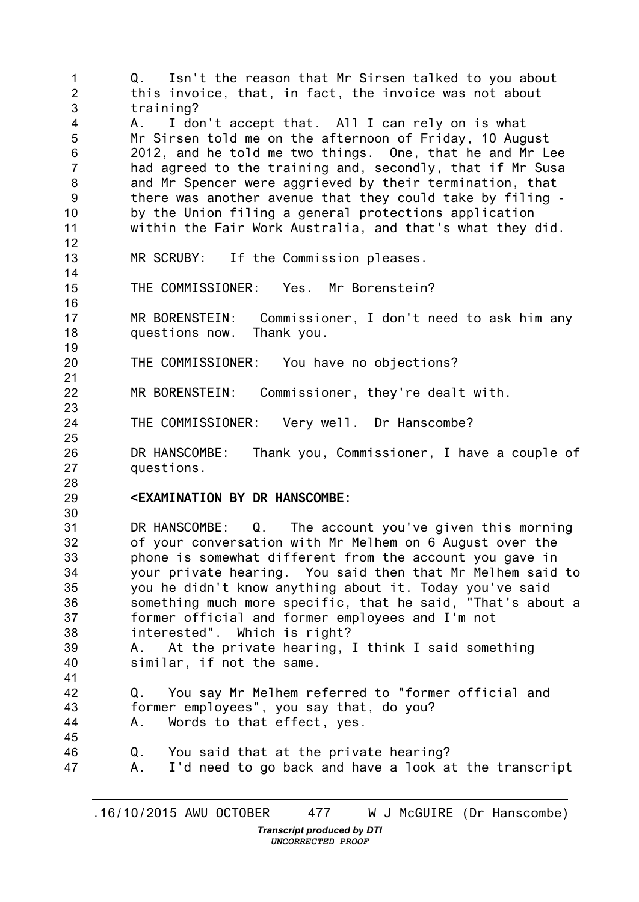1 2 3 4 5 6 7 8 9 10 11 12 13 14 15 16 17 18 19 20 21 22 23 24 25 26 27 28 29 30 31 32 33 34 35 36 37 38 39 40 41 42 43 44 45 46 47 Q. Isn't the reason that Mr Sirsen talked to you about this invoice, that, in fact, the invoice was not about training? A. I don't accept that. All I can rely on is what Mr Sirsen told me on the afternoon of Friday, 10 August 2012, and he told me two things. One, that he and Mr Lee had agreed to the training and, secondly, that if Mr Susa and Mr Spencer were aggrieved by their termination, that there was another avenue that they could take by filing by the Union filing a general protections application within the Fair Work Australia, and that's what they did. MR SCRUBY: If the Commission pleases. THE COMMISSIONER: Yes. Mr Borenstein? MR BORENSTEIN: Commissioner, I don't need to ask him any questions now. Thank you. THE COMMISSIONER: You have no objections? MR BORENSTEIN: Commissioner, they're dealt with. THE COMMISSIONER: Very well. Dr Hanscombe? DR HANSCOMBE: Thank you, Commissioner, I have a couple of questions. **<EXAMINATION BY DR HANSCOMBE:** DR HANSCOMBE: Q. The account you've given this morning of your conversation with Mr Melhem on 6 August over the phone is somewhat different from the account you gave in your private hearing. You said then that Mr Melhem said to you he didn't know anything about it. Today you've said something much more specific, that he said, "That's about a former official and former employees and I'm not interested". Which is right? A. At the private hearing, I think I said something similar, if not the same. Q. You say Mr Melhem referred to "former official and former employees", you say that, do you? A. Words to that effect, yes. Q. You said that at the private hearing? A. I'd need to go back and have a look at the transcript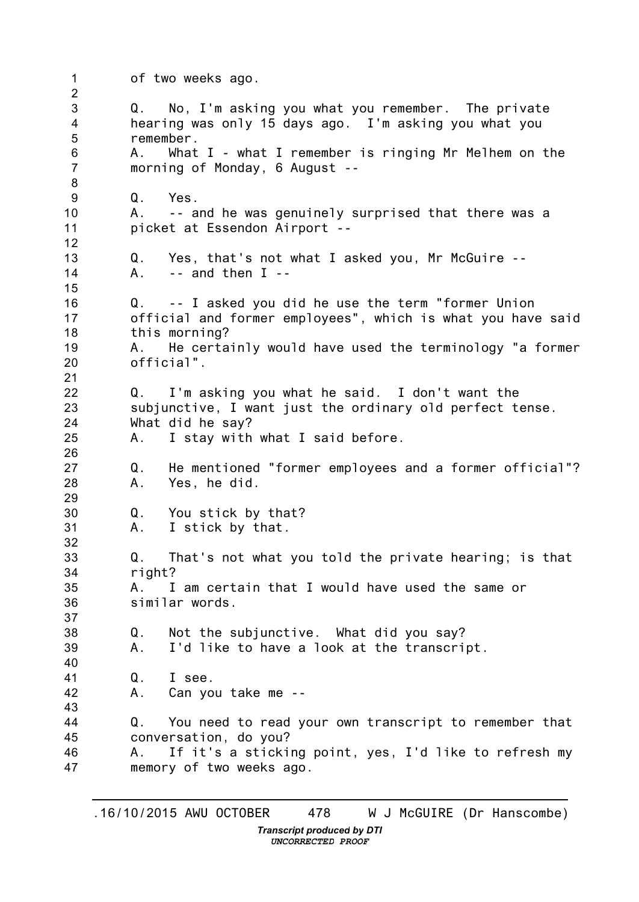1 2 3 4 5 6 7 8 9 10 11 12 13 14 15 16 17 18 19 20 21 22 23 24 25 26 27 28 29 30 31 32 33 34 35 36 37 38 39 40 41 42 43 44 45 46 47 of two weeks ago. Q. No, I'm asking you what you remember. The private hearing was only 15 days ago. I'm asking you what you remember. A. What I - what I remember is ringing Mr Melhem on the morning of Monday, 6 August -- Q. Yes. A. -- and he was genuinely surprised that there was a picket at Essendon Airport -- Q. Yes, that's not what I asked you, Mr McGuire --<br>A. -- and then I -- $-$  and then I  $-$ Q. -- I asked you did he use the term "former Union official and former employees", which is what you have said this morning? A. He certainly would have used the terminology "a former official". Q. I'm asking you what he said. I don't want the subjunctive, I want just the ordinary old perfect tense. What did he say? A. I stay with what I said before. Q. He mentioned "former employees and a former official"? A. Yes, he did. Q. You stick by that? A. I stick by that. Q. That's not what you told the private hearing; is that right? A. I am certain that I would have used the same or similar words. Q. Not the subjunctive. What did you say? A. I'd like to have a look at the transcript. Q. I see. A. Can you take me -- Q. You need to read your own transcript to remember that conversation, do you? A. If it's a sticking point, yes, I'd like to refresh my memory of two weeks ago.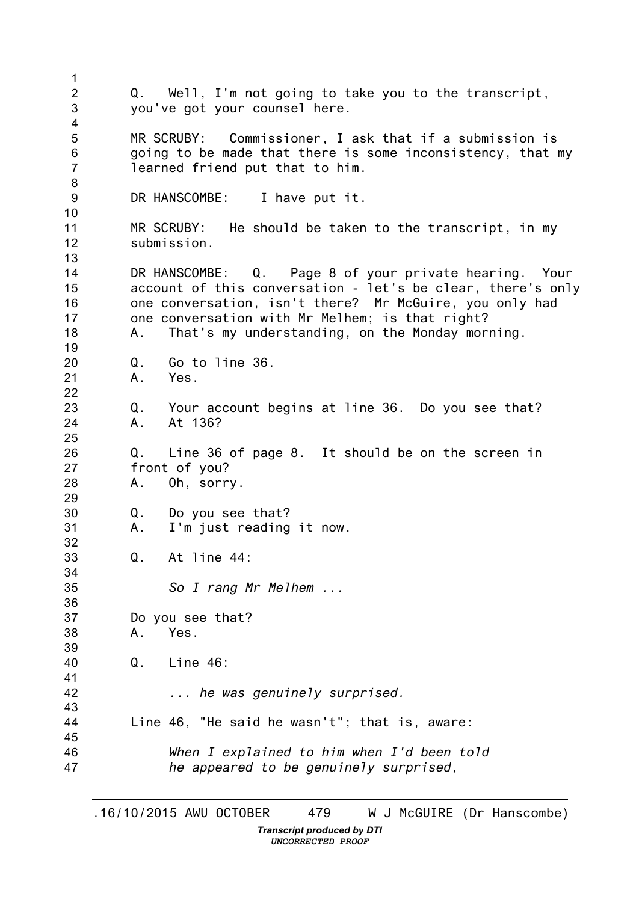1 2 3 4 5 6 7 8 9 10 11 12 13 14 15 16 17 18 19 20 21 22 23 24 25 26 27 28 29 30 31 32 33 34 35 36 37 38 39 40 41 42 43 44 45 46 47 Q. Well, I'm not going to take you to the transcript, you've got your counsel here. MR SCRUBY: Commissioner, I ask that if a submission is going to be made that there is some inconsistency, that my learned friend put that to him. DR HANSCOMBE: I have put it. MR SCRUBY: He should be taken to the transcript, in my submission. DR HANSCOMBE: Q. Page 8 of your private hearing. Your account of this conversation - let's be clear, there's only one conversation, isn't there? Mr McGuire, you only had one conversation with Mr Melhem; is that right? A. That's my understanding, on the Monday morning. Q. Go to line 36. A. Yes. Q. Your account begins at line 36. Do you see that? A. At 136? Q. Line 36 of page 8. It should be on the screen in front of you? A. Oh, sorry. Q. Do you see that? A. I'm just reading it now. Q. At line 44: *So I rang Mr Melhem ...* Do you see that? A. Yes. Q. Line 46: *... he was genuinely surprised.* Line 46, "He said he wasn't"; that is, aware: *When I explained to him when I'd been told he appeared to be genuinely surprised,*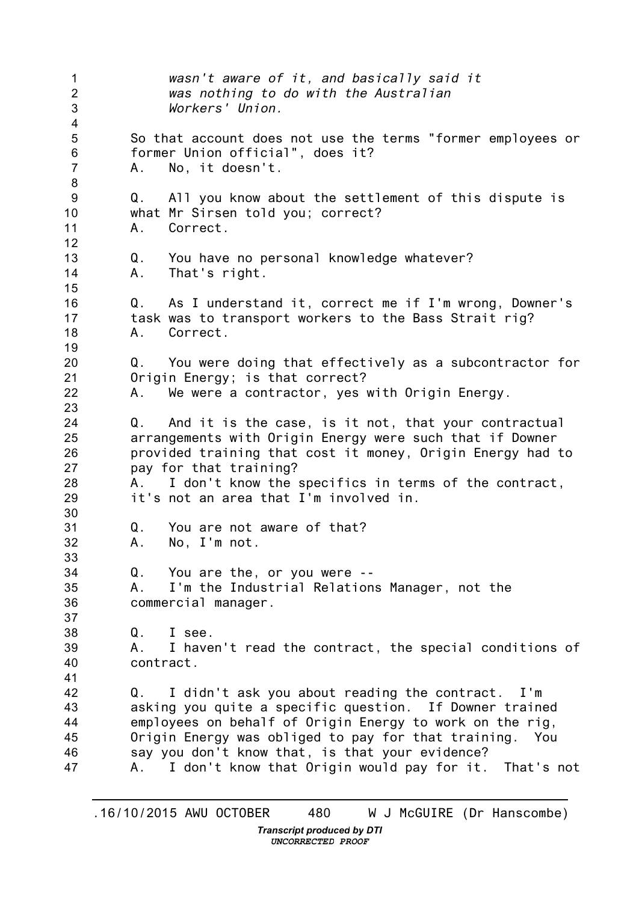1 2 3 4 5 6 7 8 9 10 11 12 13 14 15 16 17 18 19 20 21 22 23 24 25 26 27 28 29 30 31 32 33 34 35 36 37 38 39 40 41 42 43 44 45 46 47 *wasn't aware of it, and basically said it was nothing to do with the Australian Workers' Union.* So that account does not use the terms "former employees or former Union official", does it? A. No, it doesn't. Q. All you know about the settlement of this dispute is what Mr Sirsen told you; correct? A. Correct. Q. You have no personal knowledge whatever? A. That's right. Q. As I understand it, correct me if I'm wrong, Downer's task was to transport workers to the Bass Strait rig? A. Correct. Q. You were doing that effectively as a subcontractor for Origin Energy; is that correct? A. We were a contractor, yes with Origin Energy. Q. And it is the case, is it not, that your contractual arrangements with Origin Energy were such that if Downer provided training that cost it money, Origin Energy had to pay for that training? A. I don't know the specifics in terms of the contract, it's not an area that I'm involved in. Q. You are not aware of that? A. No, I'm not. Q. You are the, or you were -- A. I'm the Industrial Relations Manager, not the commercial manager. Q. I see. A. I haven't read the contract, the special conditions of contract. Q. I didn't ask you about reading the contract. I'm asking you quite a specific question. If Downer trained employees on behalf of Origin Energy to work on the rig, Origin Energy was obliged to pay for that training. You say you don't know that, is that your evidence? A. I don't know that Origin would pay for it. That's not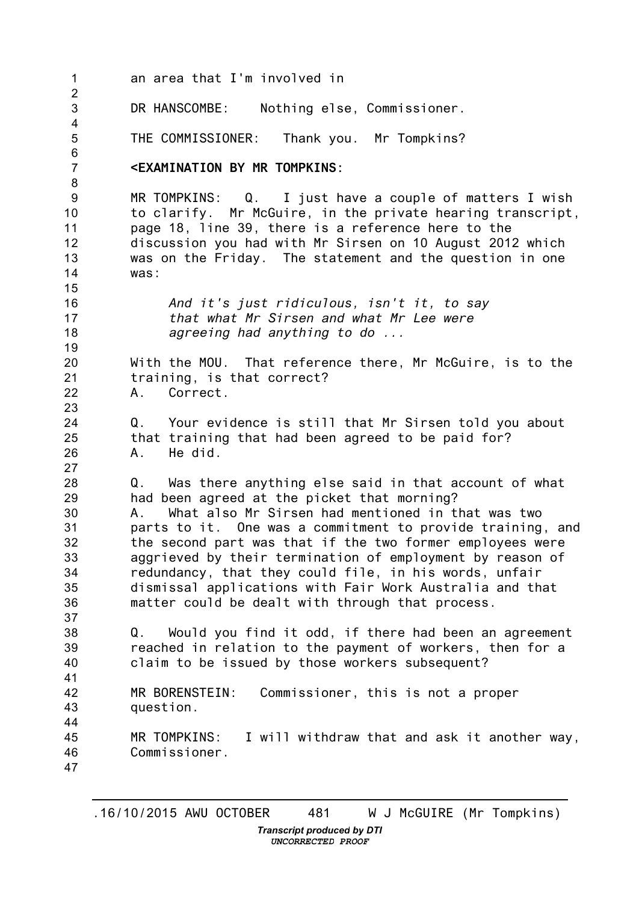1 2 3 4 5 6 7 8 9 10 11 12 13 14 15 16 17 18 19 20 21 22 23 24 25 26 27 28 29 30 31 32 33 34 35 36 37 38 39 40 41 42 43 44 45 46 47 an area that I'm involved in DR HANSCOMBE: Nothing else, Commissioner. THE COMMISSIONER: Thank you. Mr Tompkins? **<EXAMINATION BY MR TOMPKINS:** MR TOMPKINS: Q. I just have a couple of matters I wish to clarify. Mr McGuire, in the private hearing transcript, page 18, line 39, there is a reference here to the discussion you had with Mr Sirsen on 10 August 2012 which was on the Friday. The statement and the question in one was: *And it's just ridiculous, isn't it, to say that what Mr Sirsen and what Mr Lee were agreeing had anything to do ...* With the MOU. That reference there, Mr McGuire, is to the training, is that correct? A. Correct. Q. Your evidence is still that Mr Sirsen told you about that training that had been agreed to be paid for? A. He did. Q. Was there anything else said in that account of what had been agreed at the picket that morning? A. What also Mr Sirsen had mentioned in that was two parts to it. One was a commitment to provide training, and the second part was that if the two former employees were aggrieved by their termination of employment by reason of redundancy, that they could file, in his words, unfair dismissal applications with Fair Work Australia and that matter could be dealt with through that process. Q. Would you find it odd, if there had been an agreement reached in relation to the payment of workers, then for a claim to be issued by those workers subsequent? MR BORENSTEIN: Commissioner, this is not a proper question. MR TOMPKINS: I will withdraw that and ask it another way, Commissioner.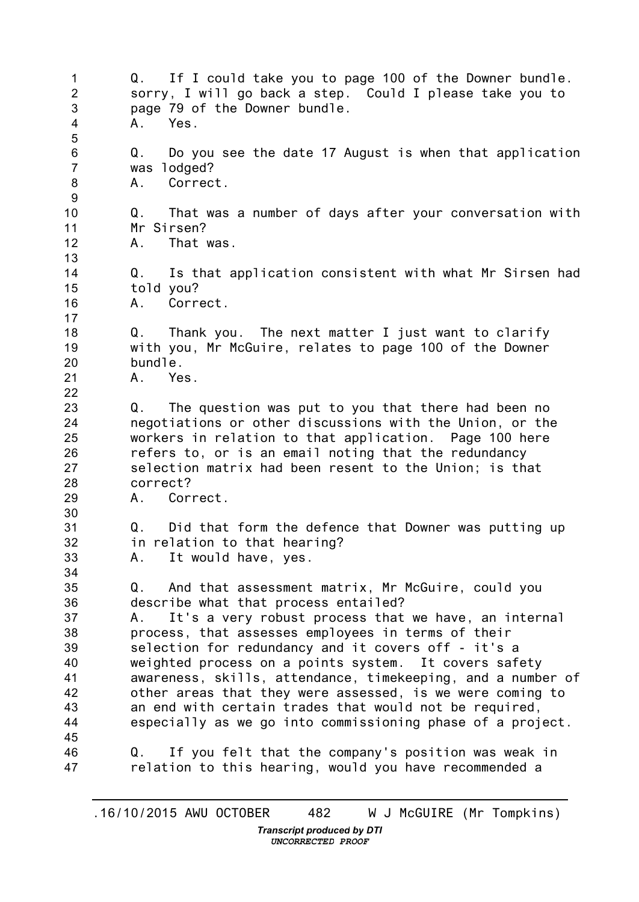1  $\mathcal{P}$ 3 4 5 6 7 8 9 10 11 12 13 14 15 16 17 18 19 20 21 22 23 24 25 26 27 28 29 30 31 32 33 34 35 36 37 38 39 40 41 42 43 44 45 46 47 Q. If I could take you to page 100 of the Downer bundle. sorry, I will go back a step. Could I please take you to page 79 of the Downer bundle. A. Yes. Q. Do you see the date 17 August is when that application was lodged? A. Correct. Q. That was a number of days after your conversation with Mr Sirsen? A. That was. Q. Is that application consistent with what Mr Sirsen had told you? A. Correct. Q. Thank you. The next matter I just want to clarify with you, Mr McGuire, relates to page 100 of the Downer bundle. A. Yes. Q. The question was put to you that there had been no negotiations or other discussions with the Union, or the workers in relation to that application. Page 100 here refers to, or is an email noting that the redundancy selection matrix had been resent to the Union; is that correct? A. Correct. Q. Did that form the defence that Downer was putting up in relation to that hearing? A. It would have, yes. Q. And that assessment matrix, Mr McGuire, could you describe what that process entailed? A. It's a very robust process that we have, an internal process, that assesses employees in terms of their selection for redundancy and it covers off - it's a weighted process on a points system. It covers safety awareness, skills, attendance, timekeeping, and a number of other areas that they were assessed, is we were coming to an end with certain trades that would not be required, especially as we go into commissioning phase of a project. Q. If you felt that the company's position was weak in relation to this hearing, would you have recommended a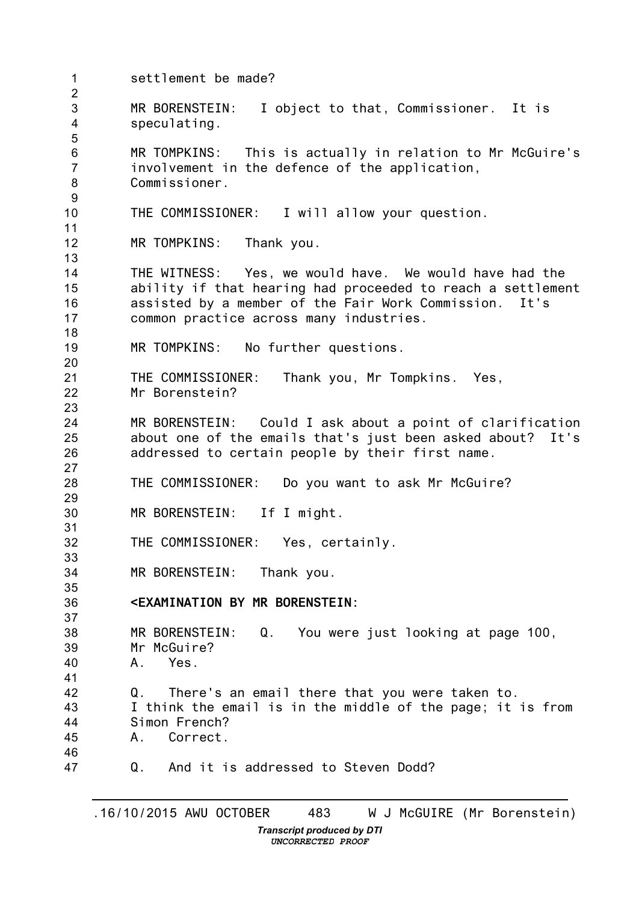1  $\mathcal{P}$ 3 4 5 6 7 8 9 10 11 12 13 14 15 16 17 18 19 20 21 22 23 24 25 26 27 28 29 30 31 32 33 34 35 36 37 38 39 40 41 42 43 44 45 46 47 settlement be made? MR BORENSTEIN: I object to that, Commissioner. It is speculating. MR TOMPKINS: This is actually in relation to Mr McGuire's involvement in the defence of the application, Commissioner. THE COMMISSIONER: I will allow your question. MR TOMPKINS: Thank you. THE WITNESS: Yes, we would have. We would have had the ability if that hearing had proceeded to reach a settlement assisted by a member of the Fair Work Commission. It's common practice across many industries. MR TOMPKINS: No further questions. THE COMMISSIONER: Thank you, Mr Tompkins. Yes, Mr Borenstein? MR BORENSTEIN: Could I ask about a point of clarification about one of the emails that's just been asked about? It's addressed to certain people by their first name. THE COMMISSIONER: Do you want to ask Mr McGuire? MR BORENSTEIN: If I might. THE COMMISSIONER: Yes, certainly. MR BORENSTEIN: Thank you. **<EXAMINATION BY MR BORENSTEIN:** MR BORENSTEIN: Q. You were just looking at page 100, Mr McGuire? A. Yes. Q. There's an email there that you were taken to. I think the email is in the middle of the page; it is from Simon French? A. Correct. Q. And it is addressed to Steven Dodd?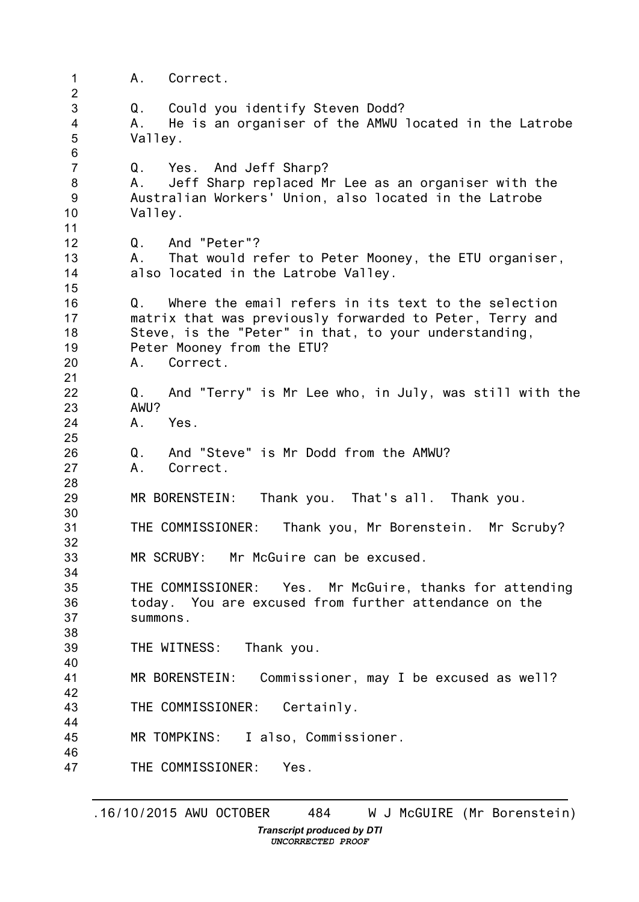1  $\mathcal{P}$ 3 4 5 6 7 8 9 10 11 12 13 14 15 16 17 18 19 20 21 22 23 24 25 26 27 28 29 30 31 32 33 34 35 36 37 38 39 40 41 42 43 44 45 46 47 A. Correct. Q. Could you identify Steven Dodd? A. He is an organiser of the AMWU located in the Latrobe Valley. Q. Yes. And Jeff Sharp? A. Jeff Sharp replaced Mr Lee as an organiser with the Australian Workers' Union, also located in the Latrobe Valley. Q. And "Peter"? A. That would refer to Peter Mooney, the ETU organiser, also located in the Latrobe Valley. Q. Where the email refers in its text to the selection matrix that was previously forwarded to Peter, Terry and Steve, is the "Peter" in that, to your understanding, Peter Mooney from the ETU? A. Correct. Q. And "Terry" is Mr Lee who, in July, was still with the AWU? A. Yes. Q. And "Steve" is Mr Dodd from the AMWU? A. Correct. MR BORENSTEIN: Thank you. That's all. Thank you. THE COMMISSIONER: Thank you, Mr Borenstein. Mr Scruby? MR SCRUBY: Mr McGuire can be excused. THE COMMISSIONER: Yes. Mr McGuire, thanks for attending today. You are excused from further attendance on the summons. THE WITNESS: Thank you. MR BORENSTEIN: Commissioner, may I be excused as well? THE COMMISSIONER: Certainly. MR TOMPKINS: I also, Commissioner. THE COMMISSIONER: Yes.

*UNCORRECTED PROOF*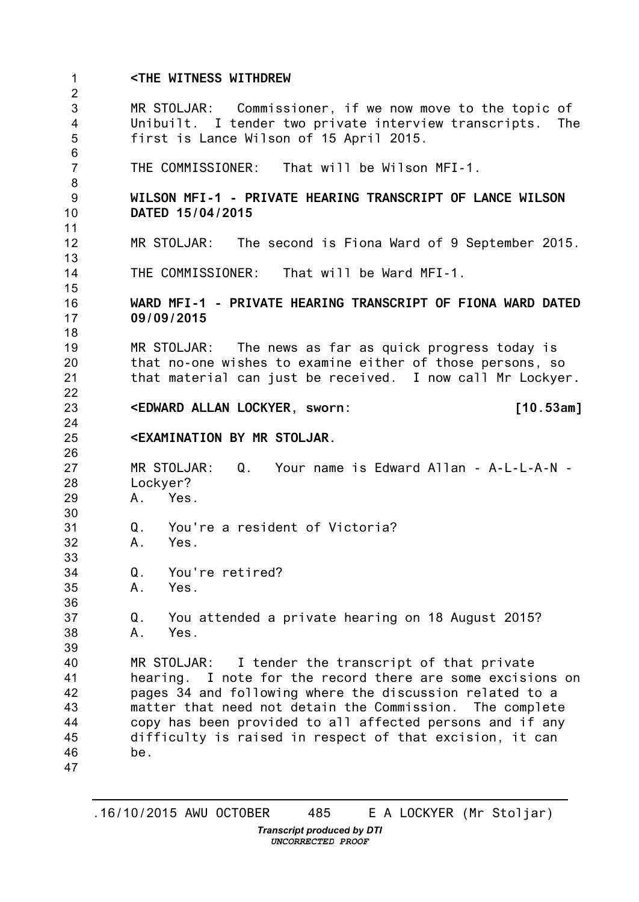1  $\mathcal{P}$ 3 4 5 6 7 8 9 10 11 12 13 14 15 16 17 18 19 20 21 22 23 24 25 26 27 28 29 30 31 32 33 34 35 36 37 38 39 40 41 42 43 44 45 46 47 **<THE WITNESS WITHDREW** MR STOLJAR: Commissioner, if we now move to the topic of Unibuilt. I tender two private interview transcripts. The first is Lance Wilson of 15 April 2015. THE COMMISSIONER: That will be Wilson MFI-1. **WILSON MFI-1 - PRIVATE HEARING TRANSCRIPT OF LANCE WILSON DATED 15/04/2015** MR STOLJAR: The second is Fiona Ward of 9 September 2015. THE COMMISSIONER: That will be Ward MFI-1. **WARD MFI-1 - PRIVATE HEARING TRANSCRIPT OF FIONA WARD DATED 09/09/2015** MR STOLJAR: The news as far as quick progress today is that no-one wishes to examine either of those persons, so that material can just be received. I now call Mr Lockyer**. <EDWARD ALLAN LOCKYER, sworn: [10.53am] <EXAMINATION BY MR STOLJAR.** MR STOLJAR: Q. Your name is Edward Allan - A-L-L-A-N - Lockyer? A. Yes. Q. You're a resident of Victoria? A. Yes. Q. You're retired? A. Yes. Q. You attended a private hearing on 18 August 2015? A. Yes. MR STOLJAR: I tender the transcript of that private hearing. I note for the record there are some excisions on pages 34 and following where the discussion related to a matter that need not detain the Commission. The complete copy has been provided to all affected persons and if any difficulty is raised in respect of that excision, it can be.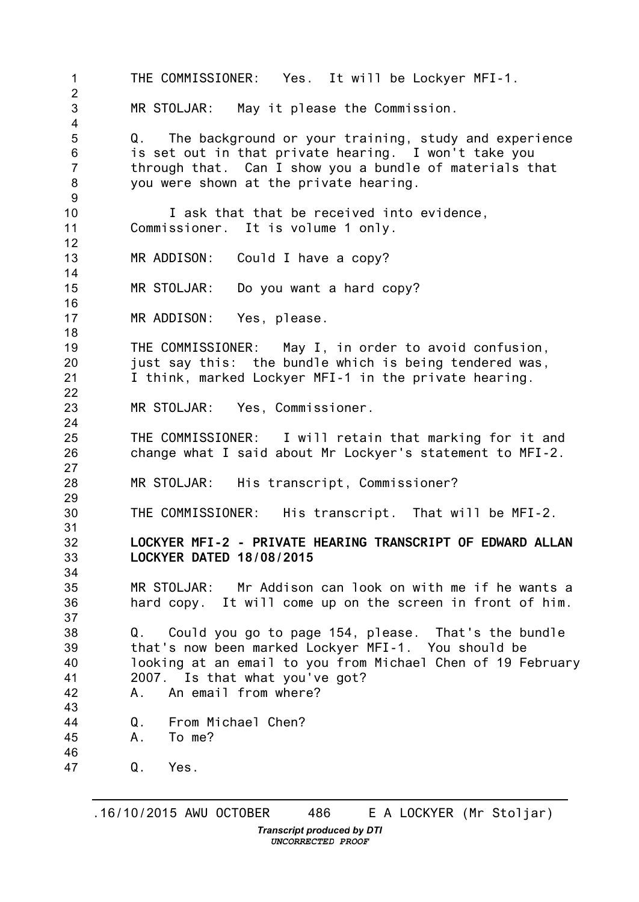1  $\mathcal{P}$ 3 4 5 6 7 8 9 10 11 12 13 14 15 16 17 18 19 20 21 22 23 24 25 26 27 28 29 30 31 32 33 34 35 36 37 38 39 40 41 42 43 44 45 46 47 THE COMMISSIONER: Yes. It will be Lockyer MFI-1. MR STOLJAR: May it please the Commission. Q. The background or your training, study and experience is set out in that private hearing. I won't take you through that. Can I show you a bundle of materials that you were shown at the private hearing. I ask that that be received into evidence, Commissioner. It is volume 1 only. MR ADDISON: Could I have a copy? MR STOLJAR: Do you want a hard copy? MR ADDISON: Yes, please. THE COMMISSIONER: May I, in order to avoid confusion, just say this: the bundle which is being tendered was, I think, marked Lockyer MFI-1 in the private hearing. MR STOLJAR: Yes, Commissioner. THE COMMISSIONER: I will retain that marking for it and change what I said about Mr Lockyer's statement to MFI-2. MR STOLJAR: His transcript, Commissioner? THE COMMISSIONER: His transcript. That will be MFI-2. **LOCKYER MFI-2 - PRIVATE HEARING TRANSCRIPT OF EDWARD ALLAN LOCKYER DATED 18/08/2015** MR STOLJAR: Mr Addison can look on with me if he wants a hard copy. It will come up on the screen in front of him. Q. Could you go to page 154, please. That's the bundle that's now been marked Lockyer MFI-1. You should be looking at an email to you from Michael Chen of 19 February 2007. Is that what you've got? A. An email from where? Q. From Michael Chen? A. To me? Q. Yes.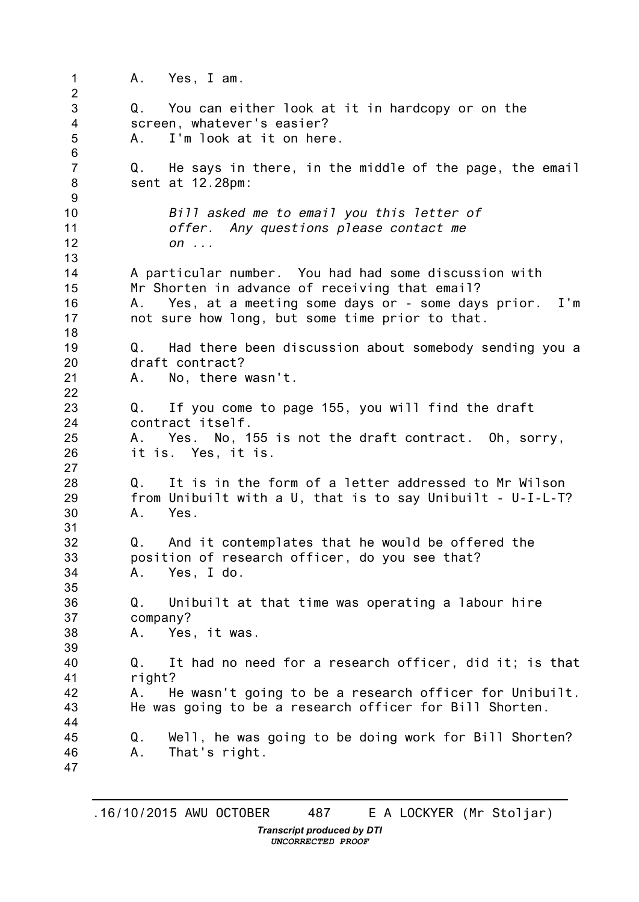1  $\mathcal{P}$ 3 4 5 6 7 8 9 10 11 12 13 14 15 16 17 18 19 20 21 22 23 24 25 26 27 28 29 30 31 32 33 34 35 36 37 38 39 40 41 42 43 44 45 46 47 A. Yes, I am. Q. You can either look at it in hardcopy or on the screen, whatever's easier? A. I'm look at it on here. Q. He says in there, in the middle of the page, the email sent at 12.28pm: *Bill asked me to email you this letter of offer. Any questions please contact me on ...* A particular number. You had had some discussion with Mr Shorten in advance of receiving that email? A. Yes, at a meeting some days or - some days prior. I'm not sure how long, but some time prior to that. Q. Had there been discussion about somebody sending you a draft contract? A. No, there wasn't. Q. If you come to page 155, you will find the draft contract itself. A. Yes. No, 155 is not the draft contract. Oh, sorry, it is. Yes, it is. Q. It is in the form of a letter addressed to Mr Wilson from Unibuilt with a U, that is to say Unibuilt - U-I-L-T? A. Yes. Q. And it contemplates that he would be offered the position of research officer, do you see that? A. Yes, I do. Q. Unibuilt at that time was operating a labour hire company? A. Yes, it was. Q. It had no need for a research officer, did it; is that right? A. He wasn't going to be a research officer for Unibuilt. He was going to be a research officer for Bill Shorten. Q. Well, he was going to be doing work for Bill Shorten? A. That's right.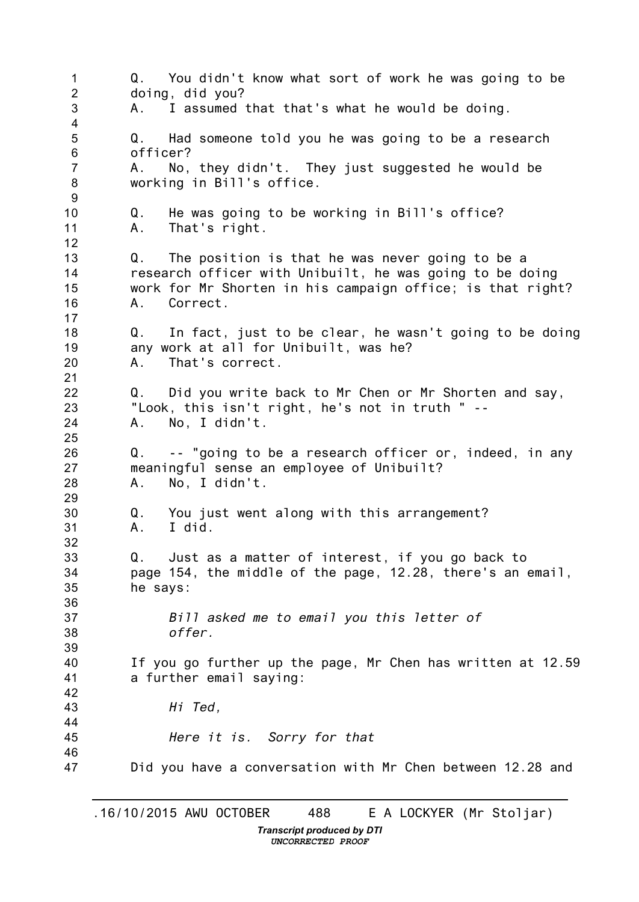1  $\mathcal{P}$ 3 4 5 6 7 8 9 10 11 12 13 14 15 16 17 18 19 20 21 22 23 24 25 26 27 28 29 30 31 32 33 34 35 36 37 38 39 40 41 42 43 44 45 46 47 Q. You didn't know what sort of work he was going to be doing, did you? A. I assumed that that's what he would be doing. Q. Had someone told you he was going to be a research officer? A. No, they didn't. They just suggested he would be working in Bill's office. Q. He was going to be working in Bill's office? A. That's right. Q. The position is that he was never going to be a research officer with Unibuilt, he was going to be doing work for Mr Shorten in his campaign office; is that right? A. Correct. Q. In fact, just to be clear, he wasn't going to be doing any work at all for Unibuilt, was he? A. That's correct. Q. Did you write back to Mr Chen or Mr Shorten and say, "Look, this isn't right, he's not in truth " -- A. No, I didn't. Q. -- "going to be a research officer or, indeed, in any meaningful sense an employee of Unibuilt? A. No, I didn't. Q. You just went along with this arrangement? A. I did. Q. Just as a matter of interest, if you go back to page 154, the middle of the page, 12.28, there's an email, he says: *Bill asked me to email you this letter of offer.* If you go further up the page, Mr Chen has written at 12.59 a further email saying: *Hi Ted, Here it is. Sorry for that* Did you have a conversation with Mr Chen between 12.28 and

*Transcript produced by DTI UNCORRECTED PROOF*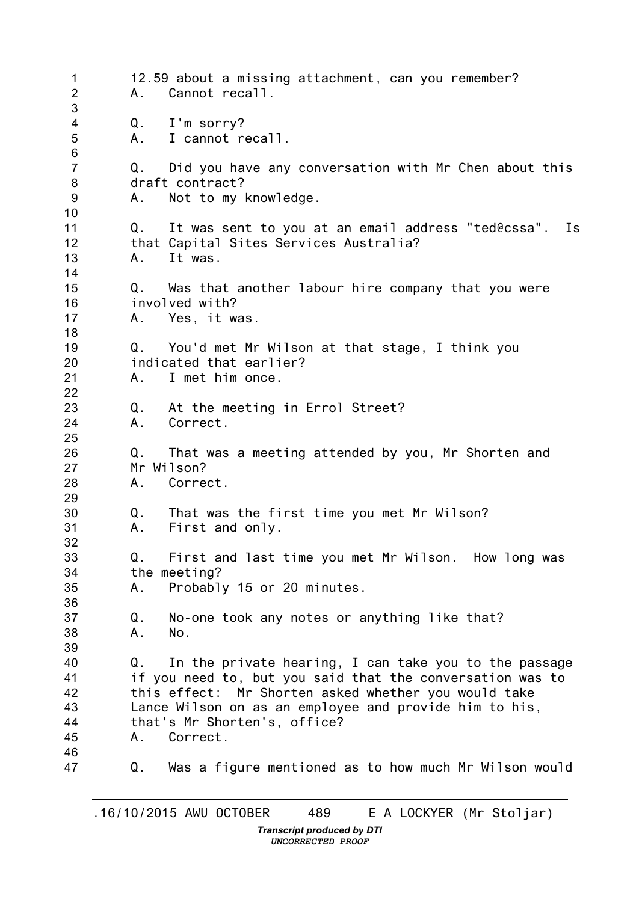1  $\mathcal{P}$ 3 4 5 6 7 8 9 10 11 12 13 14 15 16 17 18 19 20 21 22 23 24 25 26 27 28 29 30 31 32 33 34 35 36 37 38 39 40 41 42 43 44 45 46 47 12.59 about a missing attachment, can you remember? A. Cannot recall. Q. I'm sorry? A. I cannot recall. Q. Did you have any conversation with Mr Chen about this draft contract? A. Not to my knowledge. Q. It was sent to you at an email address "ted@cssa". Is that Capital Sites Services Australia? A. It was. Q. Was that another labour hire company that you were involved with? A. Yes, it was. Q. You'd met Mr Wilson at that stage, I think you indicated that earlier? A. I met him once. Q. At the meeting in Errol Street? A. Correct. Q. That was a meeting attended by you, Mr Shorten and Mr Wilson? A. Correct. Q. That was the first time you met Mr Wilson? A. First and only. Q. First and last time you met Mr Wilson. How long was the meeting? A. Probably 15 or 20 minutes. Q. No-one took any notes or anything like that? A. No. Q. In the private hearing, I can take you to the passage if you need to, but you said that the conversation was to this effect: Mr Shorten asked whether you would take Lance Wilson on as an employee and provide him to his, that's Mr Shorten's, office? A. Correct. Q. Was a figure mentioned as to how much Mr Wilson would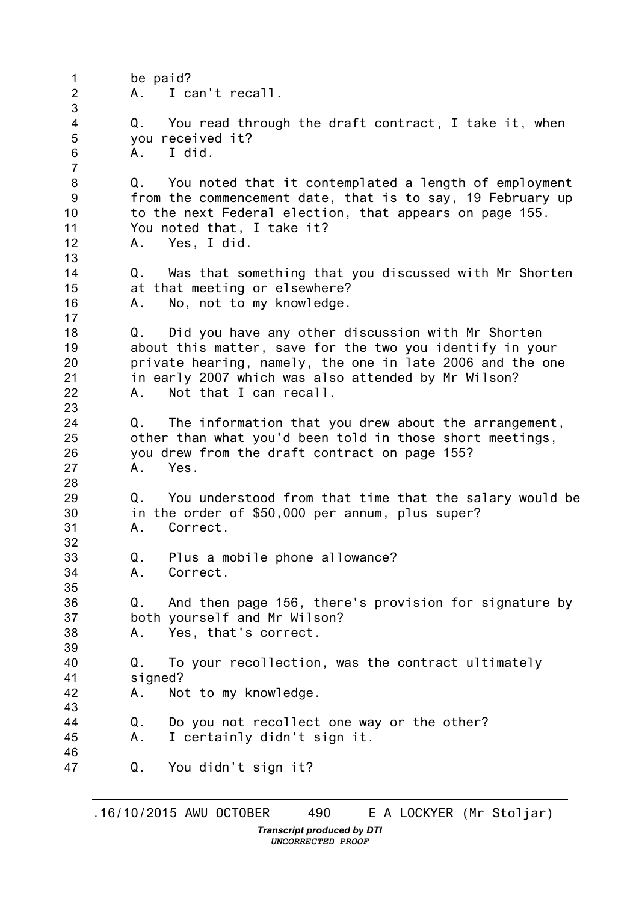1  $\mathcal{P}$ 3 4 5 6 7 8 9 10 11 12 13 14 15 16 17 18 19 20 21 22 23 24 25 26 27 28 29 30 31 32 33 34 35 36 37 38 39 40 41 42 43 44 45 46 47 be paid? A. I can't recall. Q. You read through the draft contract, I take it, when you received it? A. I did. Q. You noted that it contemplated a length of employment from the commencement date, that is to say, 19 February up to the next Federal election, that appears on page 155. You noted that, I take it? A. Yes, I did. Q. Was that something that you discussed with Mr Shorten at that meeting or elsewhere? A. No, not to my knowledge. Q. Did you have any other discussion with Mr Shorten about this matter, save for the two you identify in your private hearing, namely, the one in late 2006 and the one in early 2007 which was also attended by Mr Wilson? A. Not that I can recall. Q. The information that you drew about the arrangement, other than what you'd been told in those short meetings, you drew from the draft contract on page 155? A. Yes. Q. You understood from that time that the salary would be in the order of \$50,000 per annum, plus super? A. Correct. Q. Plus a mobile phone allowance? A. Correct. Q. And then page 156, there's provision for signature by both yourself and Mr Wilson? A. Yes, that's correct. Q. To your recollection, was the contract ultimately signed? A. Not to my knowledge. Q. Do you not recollect one way or the other? A. I certainly didn't sign it. Q. You didn't sign it?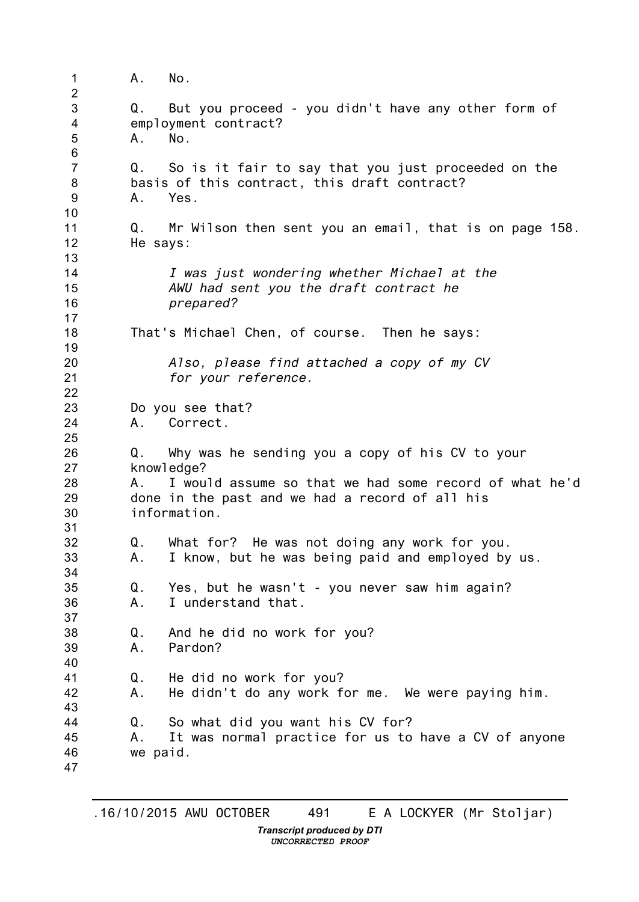1  $\mathcal{P}$ 3 4 5 6 7 8 9 10 11 12 13 14 15 16 17 18 19 20 21 22 23 24 25 26 27 28 29 30 31 32 33 34 35 36 37 38 39 40 41 42 43 44 45 46 47 A. No. Q. But you proceed - you didn't have any other form of employment contract? A. No. Q. So is it fair to say that you just proceeded on the basis of this contract, this draft contract? A. Yes. Q. Mr Wilson then sent you an email, that is on page 158. He says: *I was just wondering whether Michael at the AWU had sent you the draft contract he prepared?* That's Michael Chen, of course. Then he says: *Also, please find attached a copy of my CV for your reference.* Do you see that? A. Correct. Q. Why was he sending you a copy of his CV to your knowledge? A. I would assume so that we had some record of what he'd done in the past and we had a record of all his information. Q. What for? He was not doing any work for you. A. I know, but he was being paid and employed by us. Q. Yes, but he wasn't - you never saw him again? A. I understand that. Q. And he did no work for you? A. Pardon? Q. He did no work for you? A. He didn't do any work for me. We were paying him. Q. So what did you want his CV for? A. It was normal practice for us to have a CV of anyone we paid.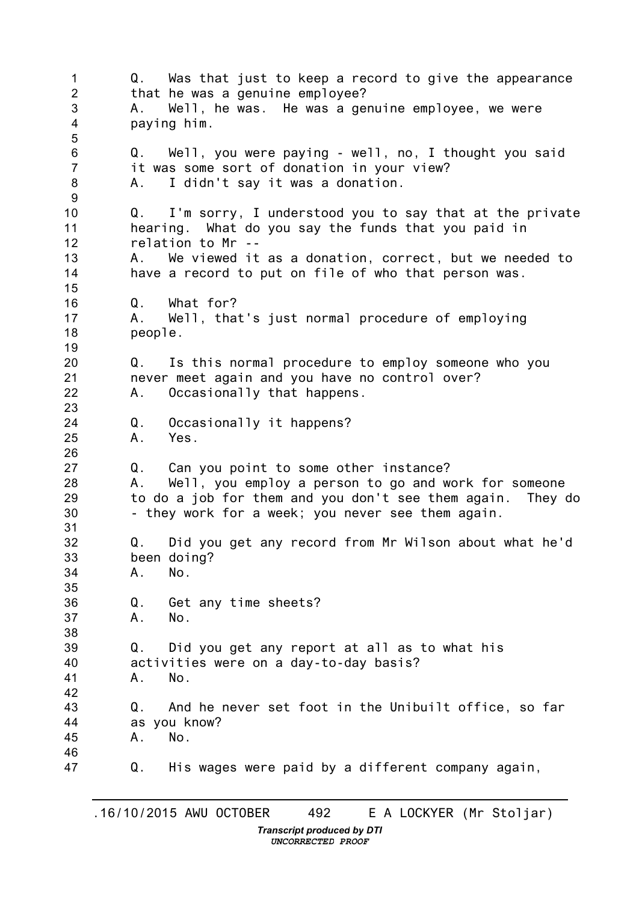1 2 3 4 5 6 7 8 9 10 11 12 13 14 15 16 17 18 19 20 21 22 23 24 25 26 27 28 29 30 31 32 33 34 35 36 37 38 39 40 41 42 43 44 45 46 47 Q. Was that just to keep a record to give the appearance that he was a genuine employee? A. Well, he was. He was a genuine employee, we were paying him. Q. Well, you were paying - well, no, I thought you said it was some sort of donation in your view? A. I didn't say it was a donation. Q. I'm sorry, I understood you to say that at the private hearing. What do you say the funds that you paid in relation to Mr -- A. We viewed it as a donation, correct, but we needed to have a record to put on file of who that person was. Q. What for? A. Well, that's just normal procedure of employing people. Q. Is this normal procedure to employ someone who you never meet again and you have no control over? A. Occasionally that happens. Q. Occasionally it happens? A. Yes. Q. Can you point to some other instance? A. Well, you employ a person to go and work for someone to do a job for them and you don't see them again. They do - they work for a week; you never see them again. Q. Did you get any record from Mr Wilson about what he'd been doing? A. No. Q. Get any time sheets? A. No. Q. Did you get any report at all as to what his activities were on a day-to-day basis? A. No. Q. And he never set foot in the Unibuilt office, so far as you know? A. No. Q. His wages were paid by a different company again,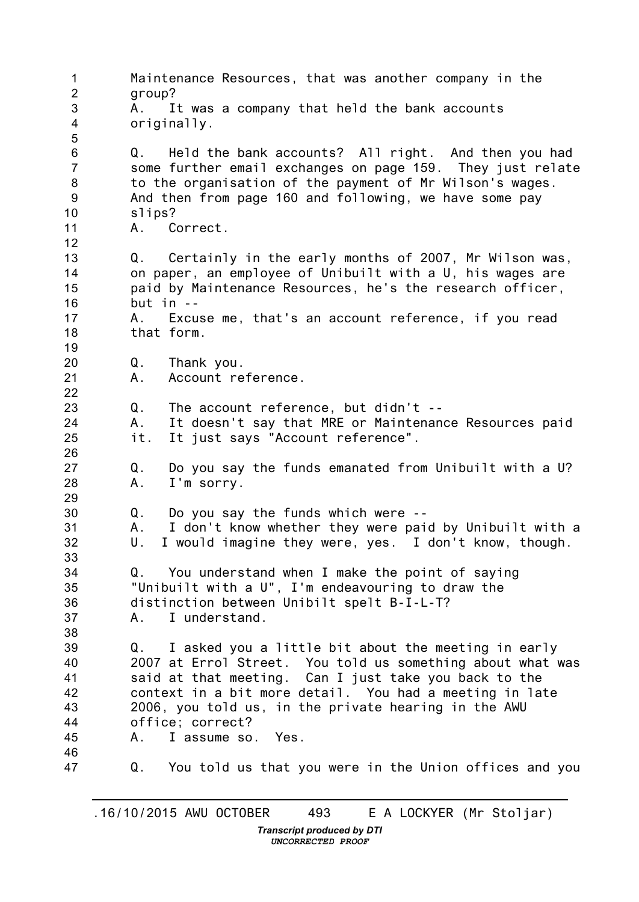1  $\mathcal{P}$ 3 4 5 6 7 8 9 10 11 12 13 14 15 16 17 18 19 20 21 22 23 24 25 26 27 28 29 30 31 32 33 34 35 36 37 38 39 40 41 42 43 44 45 46 47 Maintenance Resources, that was another company in the group? A. It was a company that held the bank accounts originally. Q. Held the bank accounts? All right. And then you had some further email exchanges on page 159. They just relate to the organisation of the payment of Mr Wilson's wages. And then from page 160 and following, we have some pay slips? A. Correct. Q. Certainly in the early months of 2007, Mr Wilson was, on paper, an employee of Unibuilt with a U, his wages are paid by Maintenance Resources, he's the research officer, but  $in -$ A. Excuse me, that's an account reference, if you read that form. Q. Thank you. A. Account reference. Q. The account reference, but didn't -- A. It doesn't say that MRE or Maintenance Resources paid it. It just says "Account reference". Q. Do you say the funds emanated from Unibuilt with a U? A. I'm sorry. Q. Do you say the funds which were -- A. I don't know whether they were paid by Unibuilt with a U. I would imagine they were, yes. I don't know, though. Q. You understand when I make the point of saying "Unibuilt with a U", I'm endeavouring to draw the distinction between Unibilt spelt B-I-L-T? A. I understand. Q. I asked you a little bit about the meeting in early 2007 at Errol Street. You told us something about what was said at that meeting. Can I just take you back to the context in a bit more detail. You had a meeting in late 2006, you told us, in the private hearing in the AWU office; correct? A. I assume so. Yes. Q. You told us that you were in the Union offices and you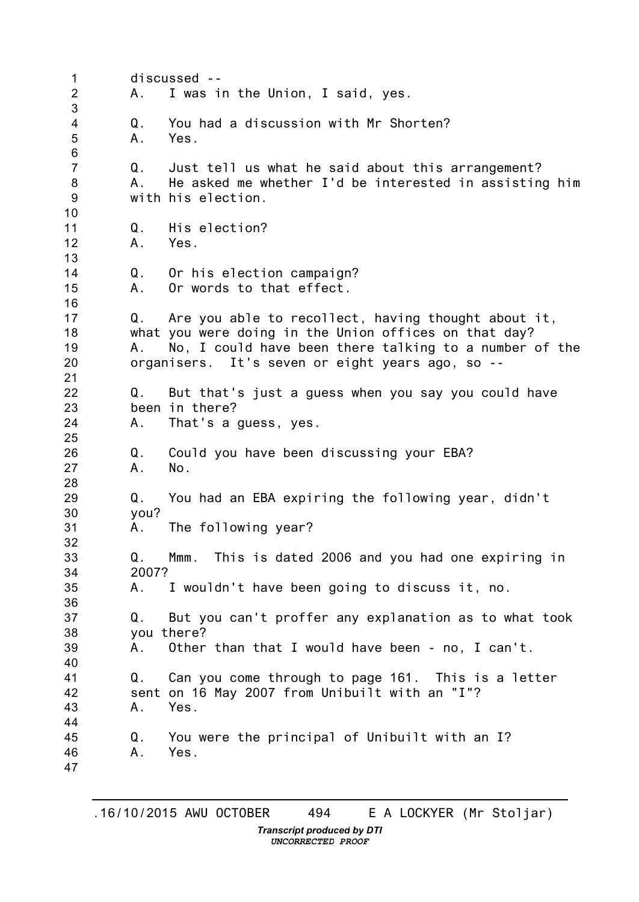1  $\mathcal{P}$ 3 4 5 6 7 8 9 10 11 12 13 14 15 16 17 18 19 20 21 22 23 24 25 26 27 28 29 30 31 32 33 34 35 36 37 38 39 40 41 42 43 44 45 46 47 discussed -- A. I was in the Union, I said, yes. Q. You had a discussion with Mr Shorten? A. Yes. Q. Just tell us what he said about this arrangement? A. He asked me whether I'd be interested in assisting him with his election. Q. His election? A. Yes. Q. Or his election campaign? A. Or words to that effect. Q. Are you able to recollect, having thought about it, what you were doing in the Union offices on that day? A. No, I could have been there talking to a number of the organisers. It's seven or eight years ago, so -- Q. But that's just a guess when you say you could have been in there? A. That's a guess, yes. Q. Could you have been discussing your EBA? A. No. Q. You had an EBA expiring the following year, didn't you? A. The following year? Q. Mmm. This is dated 2006 and you had one expiring in 2007? A. I wouldn't have been going to discuss it, no. Q. But you can't proffer any explanation as to what took you there? A. Other than that I would have been - no, I can't. Q. Can you come through to page 161. This is a letter sent on 16 May 2007 from Unibuilt with an "I"? A. Yes. Q. You were the principal of Unibuilt with an I? A. Yes.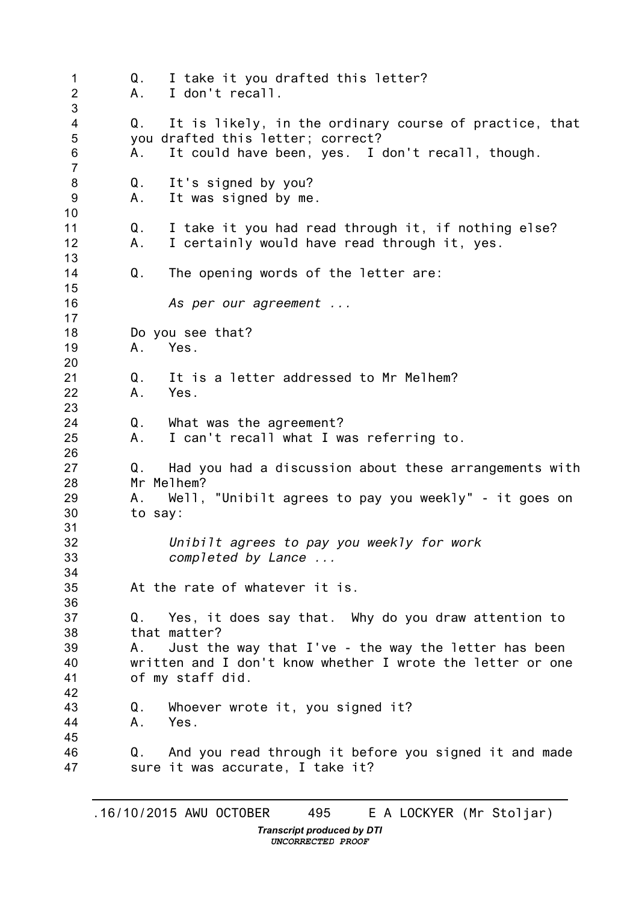1  $\mathcal{P}$ 3 4 5 6 7 8 9 10 11 12 13 14 15 16 17 18 19 20 21 22 23 24 25 26 27 28 29 30 31 32 33 34 35 36 37 38 39 40 41 42 43 44 45 46 47 Q. I take it you drafted this letter? A. I don't recall. Q. It is likely, in the ordinary course of practice, that you drafted this letter; correct? A. It could have been, yes. I don't recall, though. Q. It's signed by you? A. It was signed by me. Q. I take it you had read through it, if nothing else? A. I certainly would have read through it, yes. Q. The opening words of the letter are: *As per our agreement ...* Do you see that? A. Yes. Q. It is a letter addressed to Mr Melhem? A. Yes. Q. What was the agreement? A. I can't recall what I was referring to. Q. Had you had a discussion about these arrangements with Mr Melhem? A. Well, "Unibilt agrees to pay you weekly" - it goes on to say: *Unibilt agrees to pay you weekly for work completed by Lance ...* At the rate of whatever it is. Q. Yes, it does say that. Why do you draw attention to that matter? A. Just the way that I've - the way the letter has been written and I don't know whether I wrote the letter or one of my staff did. Q. Whoever wrote it, you signed it? A. Yes. Q. And you read through it before you signed it and made sure it was accurate, I take it?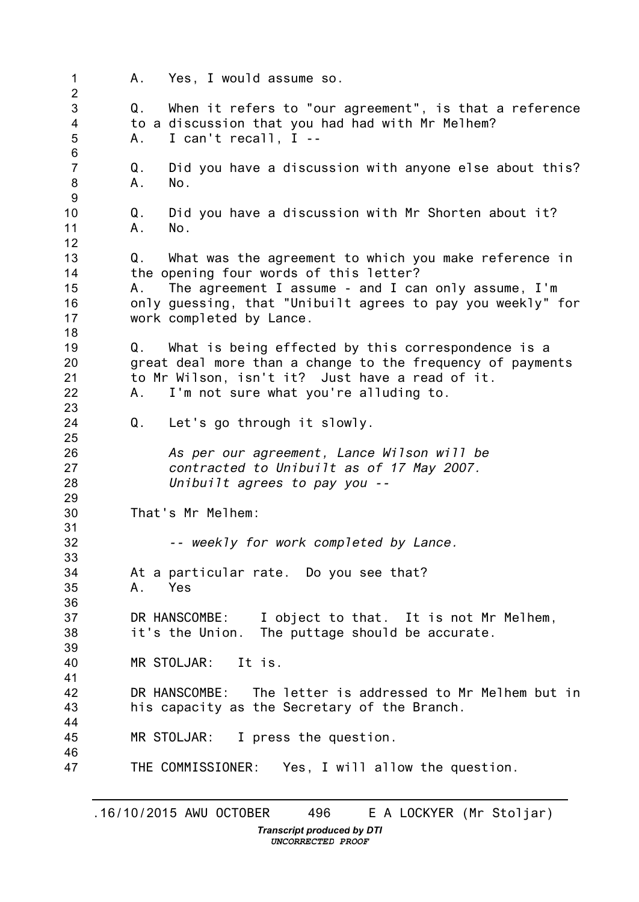1  $\mathcal{P}$ 3 4 5 6 7 8 9 10 11 12 13 14 15 16 17 18 19 20 21 22 23 24 25 26 27 28 29 30 31 32 33 34 35 36 37 38 39 40 41 42 43 44 45 46 47 A. Yes, I would assume so. Q. When it refers to "our agreement", is that a reference to a discussion that you had had with Mr Melhem? A. I can't recall, I -- Q. Did you have a discussion with anyone else about this? A. No. Q. Did you have a discussion with Mr Shorten about it? A. No. Q. What was the agreement to which you make reference in the opening four words of this letter? A. The agreement I assume - and I can only assume, I'm only guessing, that "Unibuilt agrees to pay you weekly" for work completed by Lance. Q. What is being effected by this correspondence is a great deal more than a change to the frequency of payments to Mr Wilson, isn't it? Just have a read of it. A. I'm not sure what you're alluding to. Q. Let's go through it slowly. *As per our agreement, Lance Wilson will be contracted to Unibuilt as of 17 May 2007. Unibuilt agrees to pay you --* That's Mr Melhem: *-- weekly for work completed by Lance.* At a particular rate. Do you see that? A. Yes DR HANSCOMBE: I object to that. It is not Mr Melhem, it's the Union. The puttage should be accurate. MR STOLJAR: It is. DR HANSCOMBE: The letter is addressed to Mr Melhem but in his capacity as the Secretary of the Branch. MR STOLJAR: I press the question. THE COMMISSIONER: Yes, I will allow the question.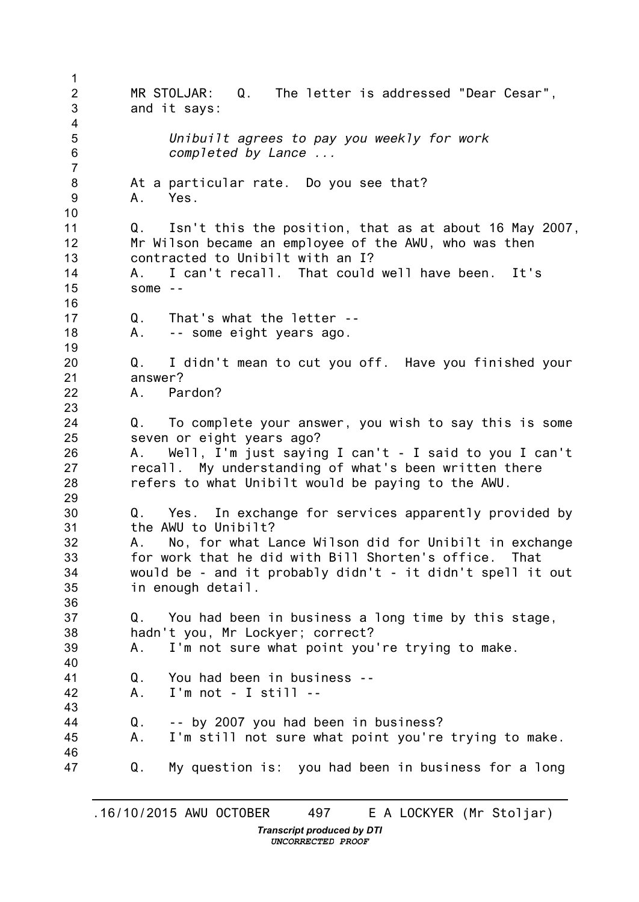1  $\mathcal{P}$ 3 4 5 6 7 8 9 10 11 12 13 14 15 16 17 18 19 20 21 22 23 24 25 26 27 28 29 30 31 32 33 34 35 36 37 38 39 40 41 42 43 44 45 46 47 MR STOLJAR: Q. The letter is addressed "Dear Cesar", and it says: *Unibuilt agrees to pay you weekly for work completed by Lance ...* At a particular rate. Do you see that? A. Yes. Q. Isn't this the position, that as at about 16 May 2007, Mr Wilson became an employee of the AWU, who was then contracted to Unibilt with an I? I can't recall. That could well have been. It's some  $-$ Q. That's what the letter -- A. -- some eight years ago. Q. I didn't mean to cut you off. Have you finished your answer? A. Pardon? Q. To complete your answer, you wish to say this is some seven or eight years ago? A. Well, I'm just saying I can't - I said to you I can't recall. My understanding of what's been written there refers to what Unibilt would be paying to the AWU. Q. Yes. In exchange for services apparently provided by the AWU to Unibilt? A. No, for what Lance Wilson did for Unibilt in exchange for work that he did with Bill Shorten's office. That would be - and it probably didn't - it didn't spell it out in enough detail. Q. You had been in business a long time by this stage, hadn't you, Mr Lockyer; correct? A. I'm not sure what point you're trying to make. Q. You had been in business -- A. I'm not - I still -- Q. -- by 2007 you had been in business? A. I'm still not sure what point you're trying to make. Q. My question is: you had been in business for a long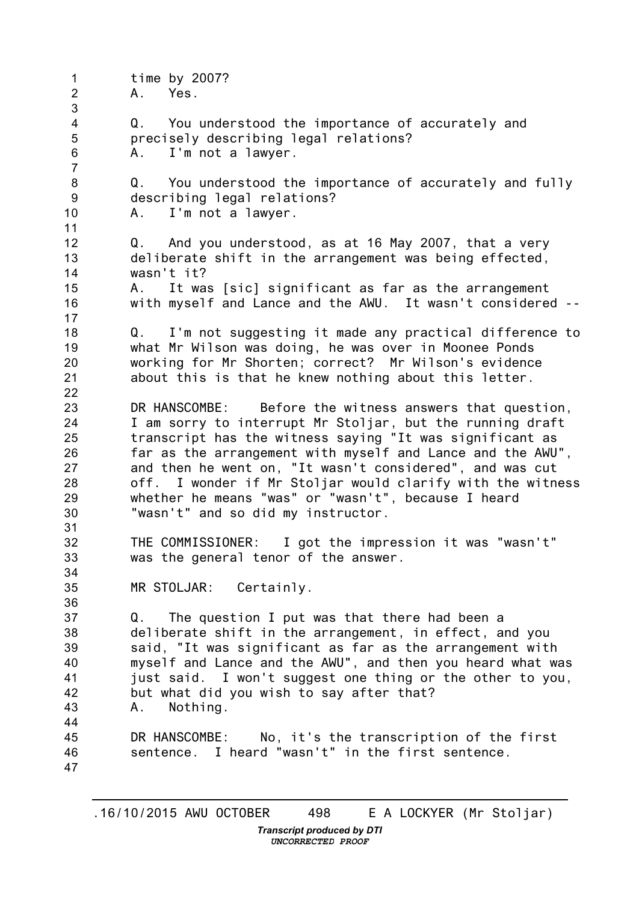1  $\mathfrak{D}$ 3 4 5 6 7 8 9 10 11 12 13 14 15 16 17 18 19 20 21 22 23 24 25 26 27 28 29 30 31 32 33 34 35 36 37 38 39 40 41 42 43 44 45 46 47 time by 2007? A. Yes. Q. You understood the importance of accurately and precisely describing legal relations? A. I'm not a lawyer. Q. You understood the importance of accurately and fully describing legal relations? A. I'm not a lawyer. Q. And you understood, as at 16 May 2007, that a very deliberate shift in the arrangement was being effected, wasn't it? A. It was [sic] significant as far as the arrangement with myself and Lance and the AWU. It wasn't considered -- Q. I'm not suggesting it made any practical difference to what Mr Wilson was doing, he was over in Moonee Ponds working for Mr Shorten; correct? Mr Wilson's evidence about this is that he knew nothing about this letter. DR HANSCOMBE: Before the witness answers that question, I am sorry to interrupt Mr Stoljar, but the running draft transcript has the witness saying "It was significant as far as the arrangement with myself and Lance and the AWU", and then he went on, "It wasn't considered", and was cut off. I wonder if Mr Stoljar would clarify with the witness whether he means "was" or "wasn't", because I heard "wasn't" and so did my instructor. THE COMMISSIONER: I got the impression it was "wasn't" was the general tenor of the answer. MR STOLJAR: Certainly. Q. The question I put was that there had been a deliberate shift in the arrangement, in effect, and you said, "It was significant as far as the arrangement with myself and Lance and the AWU", and then you heard what was just said. I won't suggest one thing or the other to you, but what did you wish to say after that? A. Nothing. DR HANSCOMBE: No, it's the transcription of the first sentence. I heard "wasn't" in the first sentence.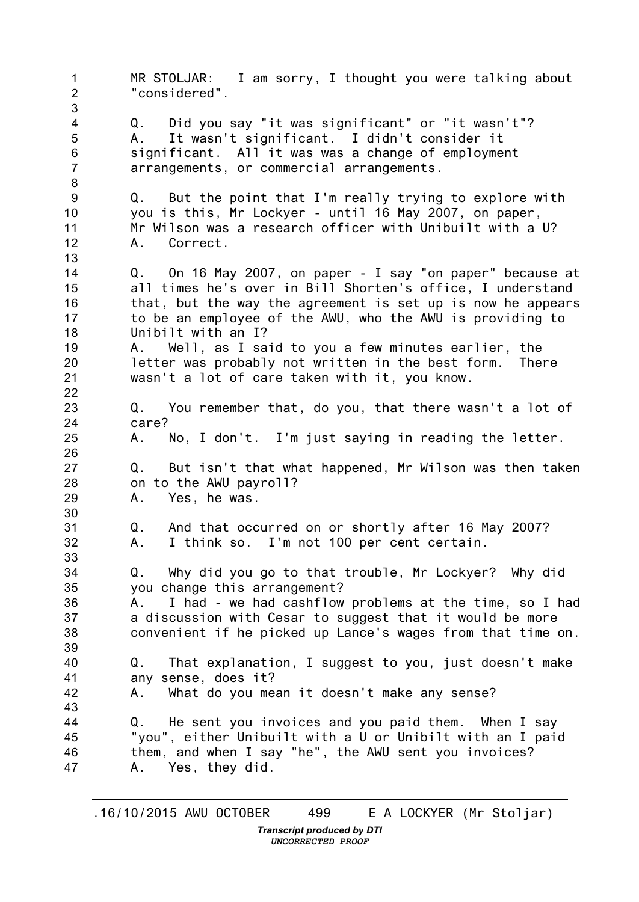1 2 3 4 5 6 7 8 9 10 11 12 13 14 15 16 17 18 19 20 21 22 23 24 25 26 27 28 29 30 31 32 33 34 35 36 37 38 39 40 41 42 43 44 45 46 47 MR STOLJAR: I am sorry, I thought you were talking about "considered". Q. Did you say "it was significant" or "it wasn't"? A. It wasn't significant. I didn't consider it significant. All it was was a change of employment arrangements, or commercial arrangements. Q. But the point that I'm really trying to explore with you is this, Mr Lockyer - until 16 May 2007, on paper, Mr Wilson was a research officer with Unibuilt with a U? A. Correct. Q. On 16 May 2007, on paper - I say "on paper" because at all times he's over in Bill Shorten's office, I understand that, but the way the agreement is set up is now he appears to be an employee of the AWU, who the AWU is providing to Unibilt with an I? A. Well, as I said to you a few minutes earlier, the letter was probably not written in the best form. There wasn't a lot of care taken with it, you know. Q. You remember that, do you, that there wasn't a lot of care? A. No, I don't. I'm just saying in reading the letter. Q. But isn't that what happened, Mr Wilson was then taken on to the AWU payroll? A. Yes, he was. Q. And that occurred on or shortly after 16 May 2007? A. I think so. I'm not 100 per cent certain. Q. Why did you go to that trouble, Mr Lockyer? Why did you change this arrangement? A. I had - we had cashflow problems at the time, so I had a discussion with Cesar to suggest that it would be more convenient if he picked up Lance's wages from that time on. Q. That explanation, I suggest to you, just doesn't make any sense, does it? A. What do you mean it doesn't make any sense? Q. He sent you invoices and you paid them. When I say "you", either Unibuilt with a U or Unibilt with an I paid them, and when I say "he", the AWU sent you invoices? A. Yes, they did.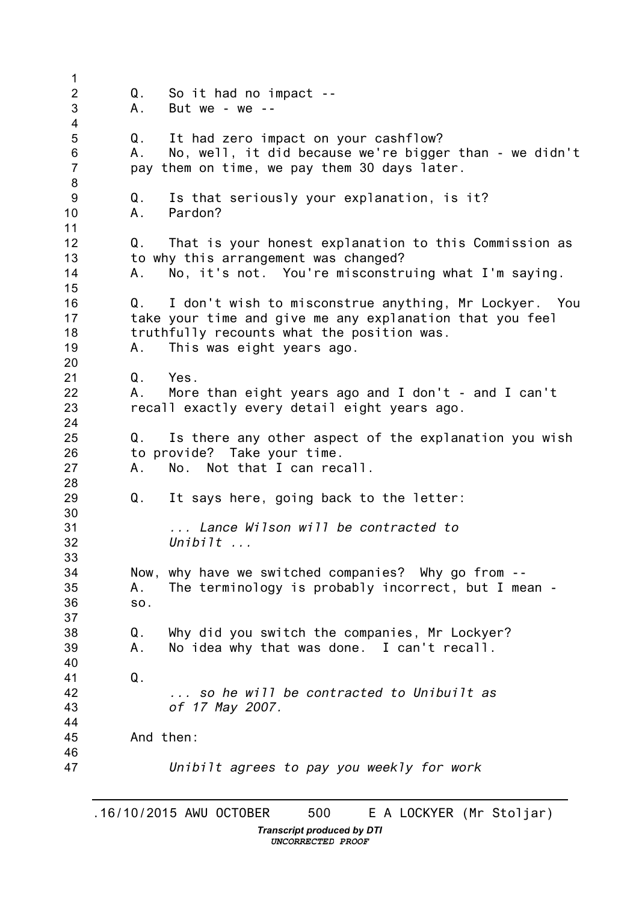1 2 3 4 5 6 7 8 9 10 11 12 13 14 15 16 17 18 19 20 21 22 23 24 25 26 27 28 29 30 31 32 33 34 35 36 37 38 39 40 41 42 43 44 45 46 47 Q. So it had no impact -- A. But we - we -- Q. It had zero impact on your cashflow? A. No, well, it did because we're bigger than - we didn't pay them on time, we pay them 30 days later. Q. Is that seriously your explanation, is it? A. Pardon? Q. That is your honest explanation to this Commission as to why this arrangement was changed? A. No, it's not. You're misconstruing what I'm saying. Q. I don't wish to misconstrue anything, Mr Lockyer. You take your time and give me any explanation that you feel truthfully recounts what the position was. A. This was eight years ago. Q. Yes. A. More than eight years ago and I don't - and I can't recall exactly every detail eight years ago. Q. Is there any other aspect of the explanation you wish to provide? Take your time. A. No. Not that I can recall. Q. It says here, going back to the letter: *... Lance Wilson will be contracted to Unibilt ...* Now, why have we switched companies? Why go from -- A. The terminology is probably incorrect, but I mean so. Q. Why did you switch the companies, Mr Lockyer? A. No idea why that was done. I can't recall. Q. *... so he will be contracted to Unibuilt as of 17 May 2007.* And then: *Unibilt agrees to pay you weekly for work*

*Transcript produced by DTI UNCORRECTED PROOF*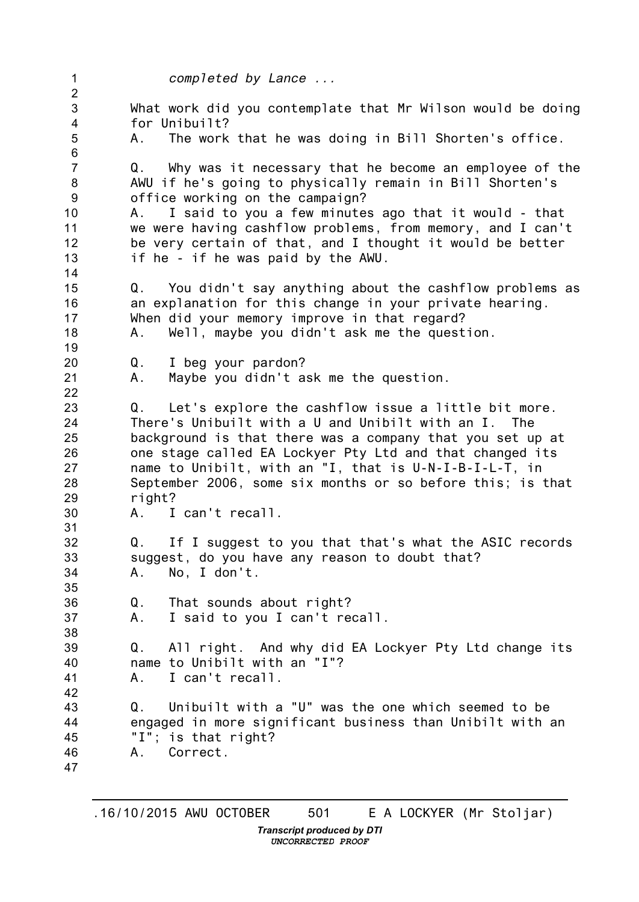1 2 3 4 5 6 7 8 9 10 11 12 13 14 15 16 17 18 19 20 21 22 23 24 25 26 27 28 29 30 31 32 33 34 35 36 37 38 39 40 41 42 43 44 45 46 47 *completed by Lance ...* What work did you contemplate that Mr Wilson would be doing for Unibuilt? A. The work that he was doing in Bill Shorten's office. Q. Why was it necessary that he become an employee of the AWU if he's going to physically remain in Bill Shorten's office working on the campaign? A. I said to you a few minutes ago that it would - that we were having cashflow problems, from memory, and I can't be very certain of that, and I thought it would be better if he - if he was paid by the AWU. Q. You didn't say anything about the cashflow problems as an explanation for this change in your private hearing. When did your memory improve in that regard? A. Well, maybe you didn't ask me the question. Q. I beg your pardon? A. Maybe you didn't ask me the question. Q. Let's explore the cashflow issue a little bit more. There's Unibuilt with a U and Unibilt with an I. The background is that there was a company that you set up at one stage called EA Lockyer Pty Ltd and that changed its name to Unibilt, with an "I, that is U-N-I-B-I-L-T, in September 2006, some six months or so before this; is that right? A. I can't recall. Q. If I suggest to you that that's what the ASIC records suggest, do you have any reason to doubt that? A. No, I don't. Q. That sounds about right? A. I said to you I can't recall. Q. All right. And why did EA Lockyer Pty Ltd change its name to Unibilt with an "I"? A. I can't recall. Q. Unibuilt with a "U" was the one which seemed to be engaged in more significant business than Unibilt with an "I"; is that right? A. Correct.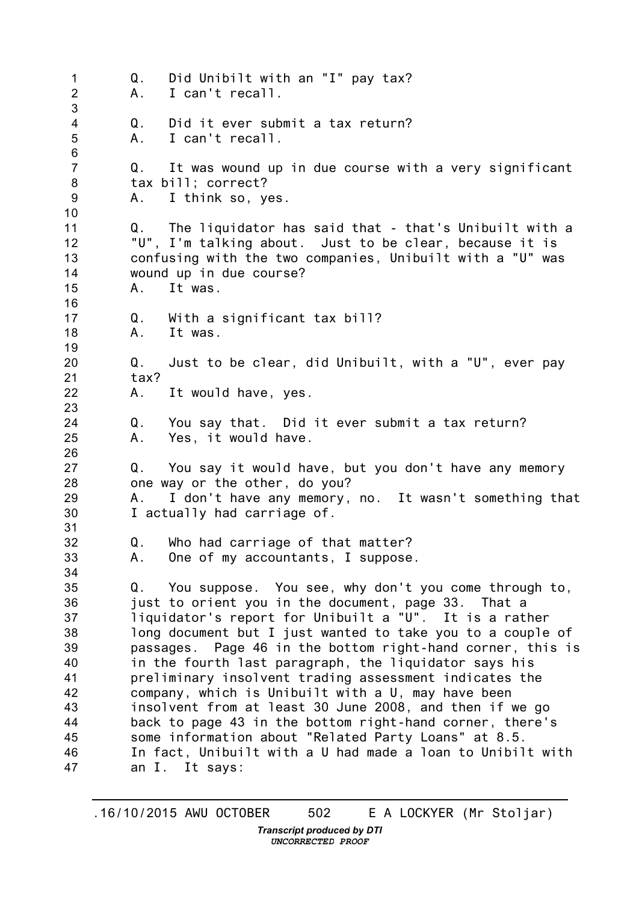1  $\mathfrak{D}$ 3 4 5 6 7 8 9 10 11 12 13 14 15 16 17 18 19 20 21 22 23 24 25 26 27 28 29 30 31 32 33 34 35 36 37 38 39 40 41 42 43 44 45 46 47 Q. Did Unibilt with an "I" pay tax? A. I can't recall. Q. Did it ever submit a tax return? A. I can't recall. Q. It was wound up in due course with a very significant tax bill; correct? A. I think so, yes. Q. The liquidator has said that - that's Unibuilt with a "U", I'm talking about. Just to be clear, because it is confusing with the two companies, Unibuilt with a "U" was wound up in due course? A. It was. Q. With a significant tax bill? A. It was. Q. Just to be clear, did Unibuilt, with a "U", ever pay tax? A. It would have, yes. Q. You say that. Did it ever submit a tax return? A. Yes, it would have. Q. You say it would have, but you don't have any memory one way or the other, do you? A. I don't have any memory, no. It wasn't something that I actually had carriage of. Q. Who had carriage of that matter? A. One of my accountants, I suppose. Q. You suppose. You see, why don't you come through to, just to orient you in the document, page 33. That a liquidator's report for Unibuilt a "U". It is a rather long document but I just wanted to take you to a couple of passages. Page 46 in the bottom right-hand corner, this is in the fourth last paragraph, the liquidator says his preliminary insolvent trading assessment indicates the company, which is Unibuilt with a U, may have been insolvent from at least 30 June 2008, and then if we go back to page 43 in the bottom right-hand corner, there's some information about "Related Party Loans" at 8.5. In fact, Unibuilt with a U had made a loan to Unibilt with an I. It says: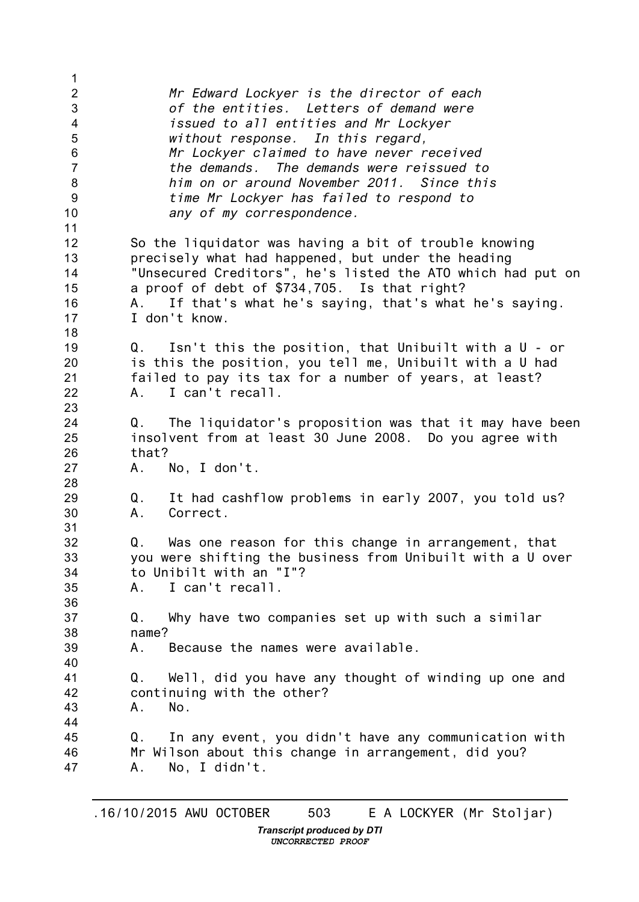| 1                       |                                                              |
|-------------------------|--------------------------------------------------------------|
| $\overline{2}$          | Mr Edward Lockyer is the director of each                    |
| $\mathfrak{S}$          | of the entities. Letters of demand were                      |
| $\overline{\mathbf{4}}$ | issued to all entities and Mr Lockyer                        |
| 5                       | without response. In this regard,                            |
|                         |                                                              |
| $\,6$                   | Mr Lockyer claimed to have never received                    |
| $\overline{7}$          | the demands. The demands were reissued to                    |
| 8                       | him on or around November 2011. Since this                   |
| $\boldsymbol{9}$        | time Mr Lockyer has failed to respond to                     |
| 10                      | any of my correspondence.                                    |
| 11                      |                                                              |
| 12                      | So the liquidator was having a bit of trouble knowing        |
| 13                      | precisely what had happened, but under the heading           |
| 14                      | "Unsecured Creditors", he's listed the ATO which had put on  |
| 15                      | a proof of debt of \$734,705. Is that right?                 |
|                         |                                                              |
| 16                      | If that's what he's saying, that's what he's saying.<br>A.   |
| 17                      | I don't know.                                                |
| 18                      |                                                              |
| 19                      | Isn't this the position, that Unibuilt with a U - or<br>Q.   |
| 20                      | is this the position, you tell me, Unibuilt with a U had     |
| 21                      | failed to pay its tax for a number of years, at least?       |
| 22                      | I can't recall.<br>A.,                                       |
| 23                      |                                                              |
| 24                      | The liquidator's proposition was that it may have been<br>Q. |
| 25                      | insolvent from at least 30 June 2008. Do you agree with      |
|                         | that?                                                        |
| 26                      |                                                              |
| 27                      | No, I don't.<br>A.                                           |
| 28                      |                                                              |
| 29                      | It had cashflow problems in early 2007, you told us?<br>Q.   |
| 30                      | Correct.<br>A.                                               |
| 31                      |                                                              |
| 32                      | Was one reason for this change in arrangement, that<br>Q.    |
| 33                      | you were shifting the business from Unibuilt with a U over   |
| 34                      | to Unibilt with an "I"?                                      |
| 35                      | I can't recall.<br>A.,                                       |
| 36                      |                                                              |
| 37                      | Why have two companies set up with such a similar<br>Q.      |
| 38                      | name?                                                        |
|                         | Because the names were available.                            |
| 39                      | А.                                                           |
| 40                      |                                                              |
| 41                      | Well, did you have any thought of winding up one and<br>Q.   |
| 42                      | continuing with the other?                                   |
| 43                      | А.<br>No.                                                    |
| 44                      |                                                              |
| 45                      | In any event, you didn't have any communication with<br>Q.   |
| 46                      | Mr Wilson about this change in arrangement, did you?         |
| 47                      | No, I didn't.<br>Α.                                          |
|                         |                                                              |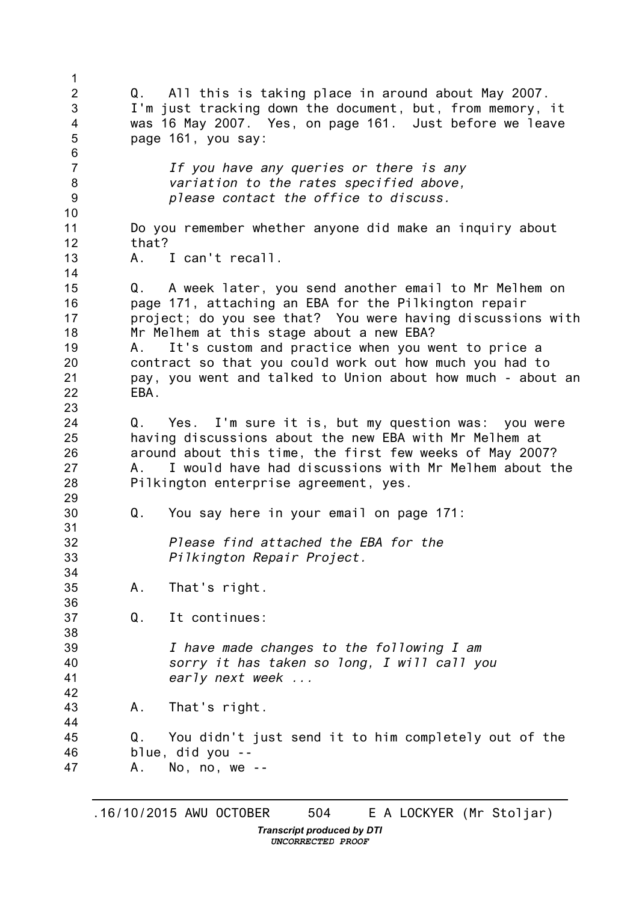1 2 3 4 5 6 7 8 9 10 11 12 13 14 15 16 17 18 19 20 21 22 23 24 25 26 27 28 29 30 31 32 33 34 35 36 37 38 39 40 41 42 43 44 45 46 47 Q. All this is taking place in around about May 2007. I'm just tracking down the document, but, from memory, it was 16 May 2007. Yes, on page 161. Just before we leave page 161, you say: *If you have any queries or there is any variation to the rates specified above, please contact the office to discuss.* Do you remember whether anyone did make an inquiry about that? A. I can't recall. Q. A week later, you send another email to Mr Melhem on page 171, attaching an EBA for the Pilkington repair project; do you see that? You were having discussions with Mr Melhem at this stage about a new EBA? A. It's custom and practice when you went to price a contract so that you could work out how much you had to pay, you went and talked to Union about how much - about an EBA. Q. Yes. I'm sure it is, but my question was: you were having discussions about the new EBA with Mr Melhem at around about this time, the first few weeks of May 2007? A. I would have had discussions with Mr Melhem about the Pilkington enterprise agreement, yes. Q. You say here in your email on page 171: *Please find attached the EBA for the Pilkington Repair Project.* A. That's right. Q. It continues: *I have made changes to the following I am sorry it has taken so long, I will call you early next week ...* A. That's right. Q. You didn't just send it to him completely out of the blue, did you -- A. No, no, we --

*Transcript produced by DTI UNCORRECTED PROOF*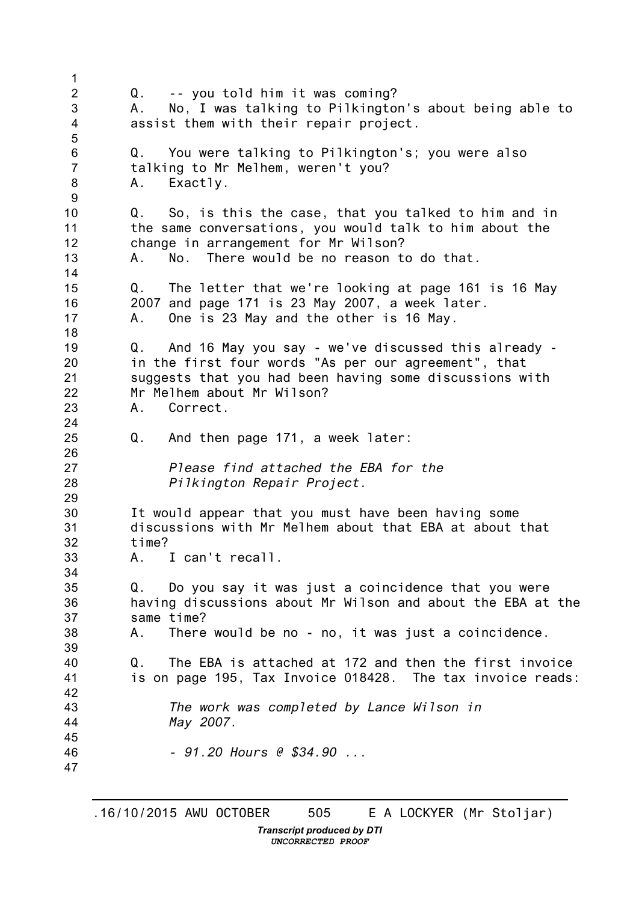1  $\mathfrak{D}$ 3 4 5 6 7 8 9 10 11 12 13 14 15 16 17 18 19 20 21 22 23 24 25 26 27 28 29 30 31 32 33 34 35 36 37 38 39 40 41 42 43 44 45 46 47 Q. -- you told him it was coming? A. No, I was talking to Pilkington's about being able to assist them with their repair project. Q. You were talking to Pilkington's; you were also talking to Mr Melhem, weren't you? A. Exactly. Q. So, is this the case, that you talked to him and in the same conversations, you would talk to him about the change in arrangement for Mr Wilson? A. No. There would be no reason to do that. Q. The letter that we're looking at page 161 is 16 May 2007 and page 171 is 23 May 2007, a week later. One is 23 May and the other is 16 May. Q. And 16 May you say - we've discussed this already in the first four words "As per our agreement", that suggests that you had been having some discussions with Mr Melhem about Mr Wilson? A. Correct. Q. And then page 171, a week later: *Please find attached the EBA for the Pilkington Repair Project.* It would appear that you must have been having some discussions with Mr Melhem about that EBA at about that time? A. I can't recall. Q. Do you say it was just a coincidence that you were having discussions about Mr Wilson and about the EBA at the same time? A. There would be no - no, it was just a coincidence. Q. The EBA is attached at 172 and then the first invoice is on page 195, Tax Invoice 018428. The tax invoice reads: *The work was completed by Lance Wilson in May 2007. - 91.20 Hours @ \$34.90 ...*

*Transcript produced by DTI UNCORRECTED PROOF*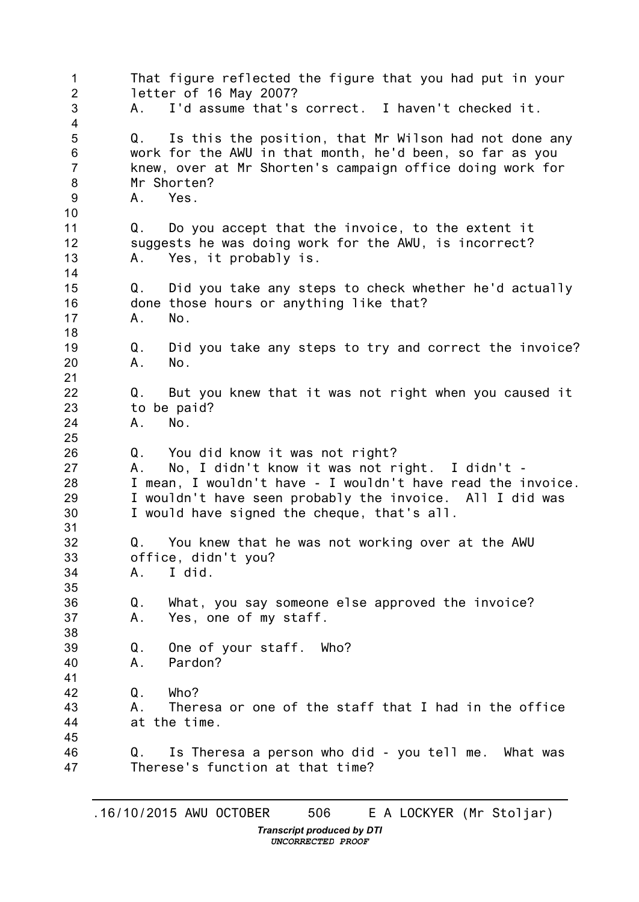1  $\mathfrak{D}$ 3 4 5 6 7 8 9 10 11 12 13 14 15 16 17 18 19 20 21 22 23 24 25 26 27 28 29 30 31 32 33 34 35 36 37 38 39 40 41 42 43 44 45 46 47 That figure reflected the figure that you had put in your letter of 16 May 2007? A. I'd assume that's correct. I haven't checked it. Q. Is this the position, that Mr Wilson had not done any work for the AWU in that month, he'd been, so far as you knew, over at Mr Shorten's campaign office doing work for Mr Shorten? A. Yes. Q. Do you accept that the invoice, to the extent it suggests he was doing work for the AWU, is incorrect? A. Yes, it probably is. Q. Did you take any steps to check whether he'd actually done those hours or anything like that? A. No. Q. Did you take any steps to try and correct the invoice? A. No. Q. But you knew that it was not right when you caused it to be paid? A. No. Q. You did know it was not right? A. No, I didn't know it was not right. I didn't - I mean, I wouldn't have - I wouldn't have read the invoice. I wouldn't have seen probably the invoice. All I did was I would have signed the cheque, that's all. Q. You knew that he was not working over at the AWU office, didn't you? A. I did. Q. What, you say someone else approved the invoice? A. Yes, one of my staff. Q. One of your staff. Who? A. Pardon?  $0$  Who? A. Theresa or one of the staff that I had in the office at the time. Q. Is Theresa a person who did - you tell me. What was Therese's function at that time?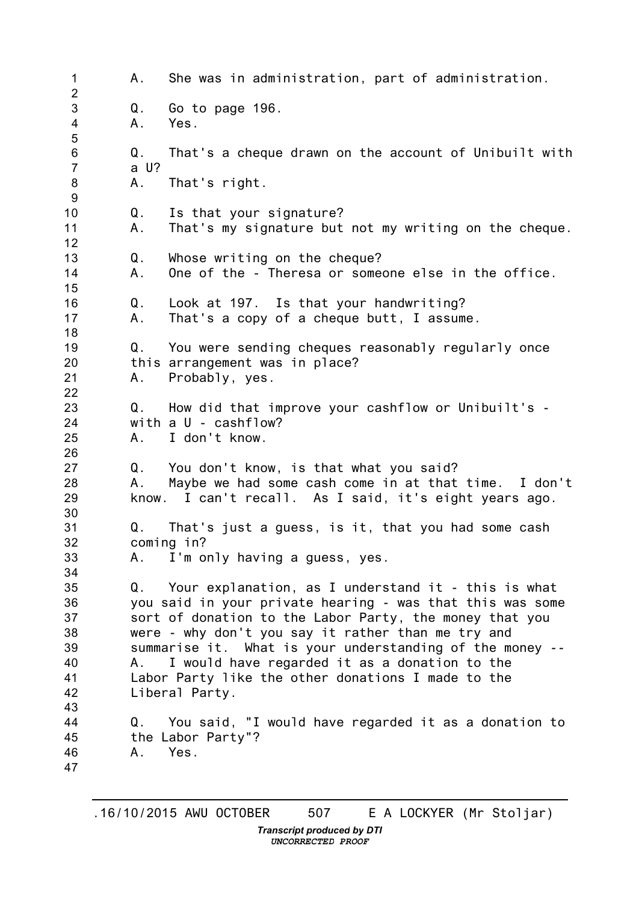1 2 3 4 5 6 7 8 9 10 11 12 13 14 15 16 17 18 19 20 21 22 23 24 25 26 27 28 29 30 31 32 33 34 35 36 37 38 39 40 41 42 43 44 45 46 47 A. She was in administration, part of administration. Q. Go to page 196. A. Yes. Q. That's a cheque drawn on the account of Unibuilt with a U? A. That's right. Q. Is that your signature? A. That's my signature but not my writing on the cheque. Q. Whose writing on the cheque? A. One of the - Theresa or someone else in the office. Q. Look at 197. Is that your handwriting? A. That's a copy of a cheque butt, I assume. Q. You were sending cheques reasonably regularly once this arrangement was in place? A. Probably, yes. Q. How did that improve your cashflow or Unibuilt's with a U - cashflow? A. I don't know. Q. You don't know, is that what you said? A. Maybe we had some cash come in at that time. I don't know. I can't recall. As I said, it's eight years ago. Q. That's just a guess, is it, that you had some cash coming in? A. I'm only having a guess, yes. Q. Your explanation, as I understand it - this is what you said in your private hearing - was that this was some sort of donation to the Labor Party, the money that you were - why don't you say it rather than me try and summarise it. What is your understanding of the money -- A. I would have regarded it as a donation to the Labor Party like the other donations I made to the Liberal Party. Q. You said, "I would have regarded it as a donation to the Labor Party"? A. Yes.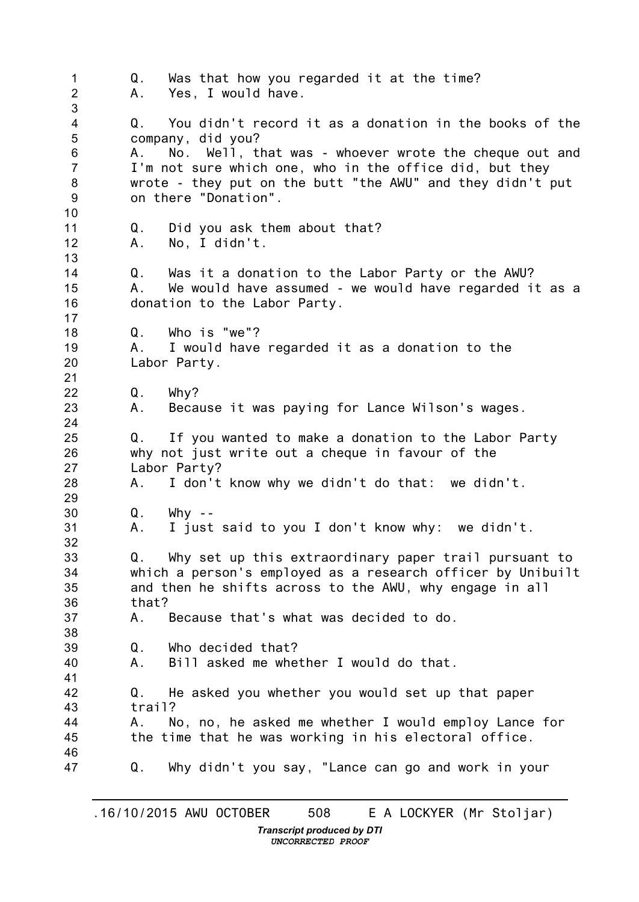1  $\mathfrak{D}$ 3 4 5 6 7 8 9 10 11 12 13 14 15 16 17 18 19 20 21 22 23 24 25 26 27 28 29 30 31 32 33 34 35 36 37 38 39 40 41 42 43 44 45 46 47 Q. Was that how you regarded it at the time? A. Yes, I would have. Q. You didn't record it as a donation in the books of the company, did you? A. No. Well, that was - whoever wrote the cheque out and I'm not sure which one, who in the office did, but they wrote - they put on the butt "the AWU" and they didn't put on there "Donation". Q. Did you ask them about that? A. No, I didn't. Q. Was it a donation to the Labor Party or the AWU? A. We would have assumed - we would have regarded it as a donation to the Labor Party. Q. Who is "we"? A. I would have regarded it as a donation to the Labor Party. Q. Why? A. Because it was paying for Lance Wilson's wages. Q. If you wanted to make a donation to the Labor Party why not just write out a cheque in favour of the Labor Party? A. I don't know why we didn't do that: we didn't.  $Q.$  Why  $-$ A. I just said to you I don't know why: we didn't. Q. Why set up this extraordinary paper trail pursuant to which a person's employed as a research officer by Unibuilt and then he shifts across to the AWU, why engage in all that? A. Because that's what was decided to do. Q. Who decided that? A. Bill asked me whether I would do that. Q. He asked you whether you would set up that paper trail? A. No, no, he asked me whether I would employ Lance for the time that he was working in his electoral office. Q. Why didn't you say, "Lance can go and work in your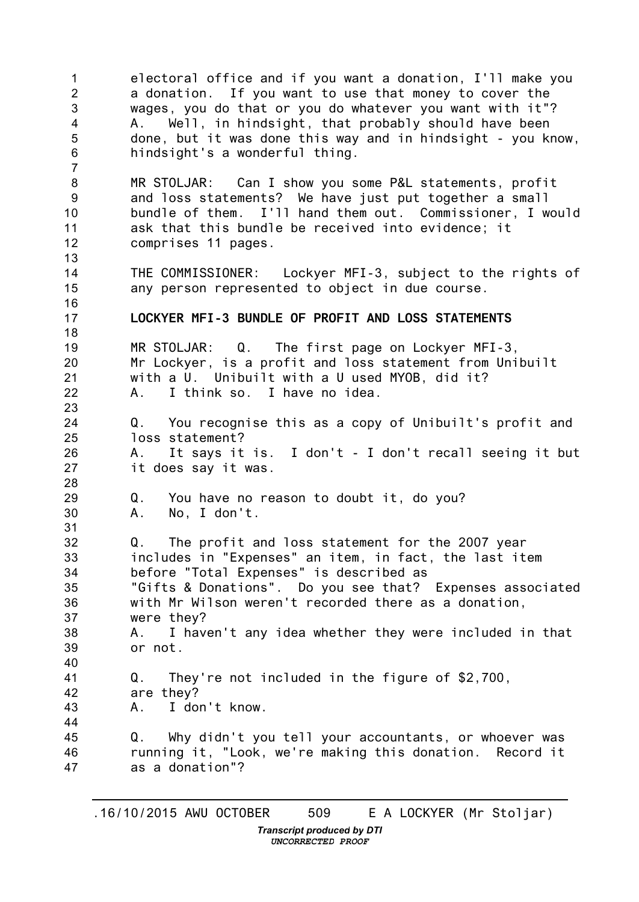1  $\mathfrak{D}$ 3 4 5 6 7 8 9 10 11 12 13 14 15 16 17 18 19 20 21 22 23 24 25 26 27 28 29 30 31 32 33 34 35 36 37 38 39 40 41 42 43 44 45 46 47 electoral office and if you want a donation, I'll make you a donation. If you want to use that money to cover the wages, you do that or you do whatever you want with it"? A. Well, in hindsight, that probably should have been done, but it was done this way and in hindsight - you know, hindsight's a wonderful thing. MR STOLJAR: Can I show you some P&L statements, profit and loss statements? We have just put together a small bundle of them. I'll hand them out. Commissioner, I would ask that this bundle be received into evidence; it comprises 11 pages. THE COMMISSIONER: Lockyer MFI-3, subject to the rights of any person represented to object in due course. **LOCKYER MFI-3 BUNDLE OF PROFIT AND LOSS STATEMENTS** MR STOLJAR: Q. The first page on Lockyer MFI-3, Mr Lockyer, is a profit and loss statement from Unibuilt with a U. Unibuilt with a U used MYOB, did it? A. I think so. I have no idea. Q. You recognise this as a copy of Unibuilt's profit and loss statement? A. It says it is. I don't - I don't recall seeing it but it does say it was. Q. You have no reason to doubt it, do you? A. No, I don't. Q. The profit and loss statement for the 2007 year includes in "Expenses" an item, in fact, the last item before "Total Expenses" is described as "Gifts & Donations". Do you see that? Expenses associated with Mr Wilson weren't recorded there as a donation, were they? A. I haven't any idea whether they were included in that or not. Q. They're not included in the figure of \$2,700, are they? A. I don't know. Q. Why didn't you tell your accountants, or whoever was running it, "Look, we're making this donation. Record it as a donation"?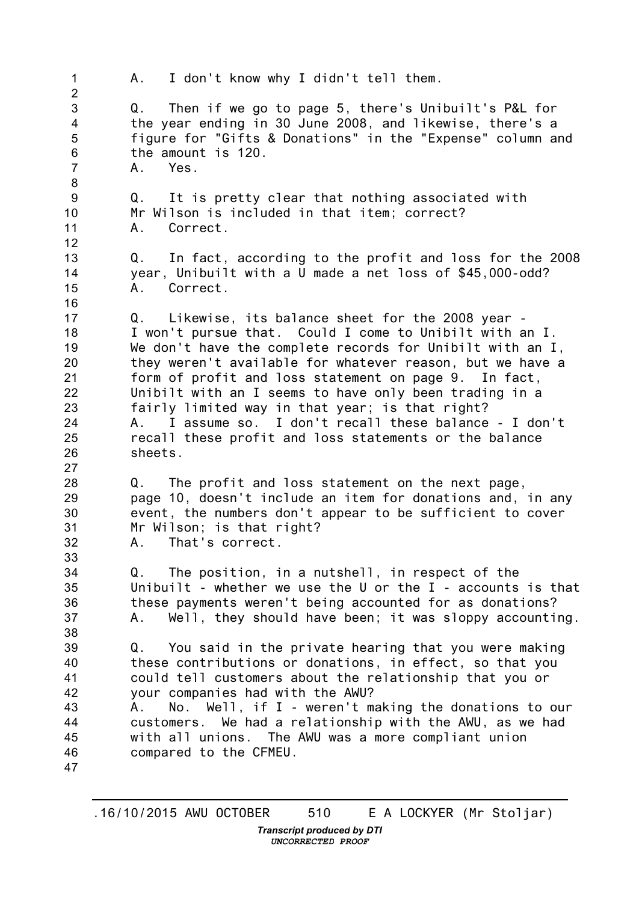1  $\mathfrak{D}$ 3 4 5 6 7 8 9 10 11 12 13 14 15 16 17 18 19 20 21 22 23 24 25 26 27 28 29 30 31 32 33 34 35 36 37 38 39 40 41 42 43 44 45 46 47 A. I don't know why I didn't tell them. Q. Then if we go to page 5, there's Unibuilt's P&L for the year ending in 30 June 2008, and likewise, there's a figure for "Gifts & Donations" in the "Expense" column and the amount is 120. A. Yes. Q. It is pretty clear that nothing associated with Mr Wilson is included in that item; correct? A. Correct. Q. In fact, according to the profit and loss for the 2008 year, Unibuilt with a U made a net loss of \$45,000-odd? A. Correct. Q. Likewise, its balance sheet for the 2008 year - I won't pursue that. Could I come to Unibilt with an I. We don't have the complete records for Unibilt with an I, they weren't available for whatever reason, but we have a form of profit and loss statement on page 9. In fact, Unibilt with an I seems to have only been trading in a fairly limited way in that year; is that right? A. I assume so. I don't recall these balance - I don't recall these profit and loss statements or the balance sheets. Q. The profit and loss statement on the next page, page 10, doesn't include an item for donations and, in any event, the numbers don't appear to be sufficient to cover Mr Wilson; is that right? A. That's correct. Q. The position, in a nutshell, in respect of the Unibuilt - whether we use the U or the I - accounts is that these payments weren't being accounted for as donations? A. Well, they should have been; it was sloppy accounting. Q. You said in the private hearing that you were making these contributions or donations, in effect, so that you could tell customers about the relationship that you or your companies had with the AWU? A. No. Well, if I - weren't making the donations to our customers. We had a relationship with the AWU, as we had with all unions. The AWU was a more compliant union compared to the CFMEU.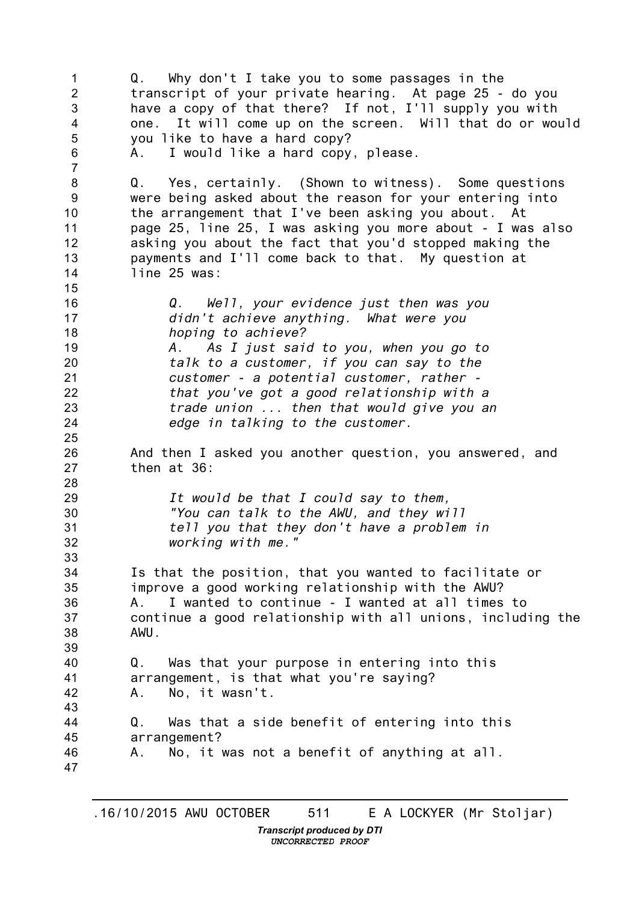1 2 3 4 5 6 7 8 9 10 11 12 13 14 15 16 17 18 19 20 21 22 23 24 25 26 27 28 29 30 31 32 33 34 35 36 37 38 39 40 41 42 43 44 45 46 47 Q. Why don't I take you to some passages in the transcript of your private hearing. At page 25 - do you have a copy of that there? If not, I'll supply you with one. It will come up on the screen. Will that do or would you like to have a hard copy? A. I would like a hard copy, please. Q. Yes, certainly. (Shown to witness). Some questions were being asked about the reason for your entering into the arrangement that I've been asking you about. At page 25, line 25, I was asking you more about - I was also asking you about the fact that you'd stopped making the payments and I'll come back to that. My question at line 25 was: *Q. Well, your evidence just then was you didn't achieve anything. What were you hoping to achieve? A. As I just said to you, when you go to talk to a customer, if you can say to the customer - a potential customer, rather that you've got a good relationship with a trade union ... then that would give you an edge in talking to the customer.* And then I asked you another question, you answered, and then at 36: *It would be that I could say to them, "You can talk to the AWU, and they will tell you that they don't have a problem in working with me."* Is that the position, that you wanted to facilitate or improve a good working relationship with the AWU? A. I wanted to continue - I wanted at all times to continue a good relationship with all unions, including the AWU. Q. Was that your purpose in entering into this arrangement, is that what you're saying? A. No, it wasn't. Q. Was that a side benefit of entering into this arrangement? A. No, it was not a benefit of anything at all.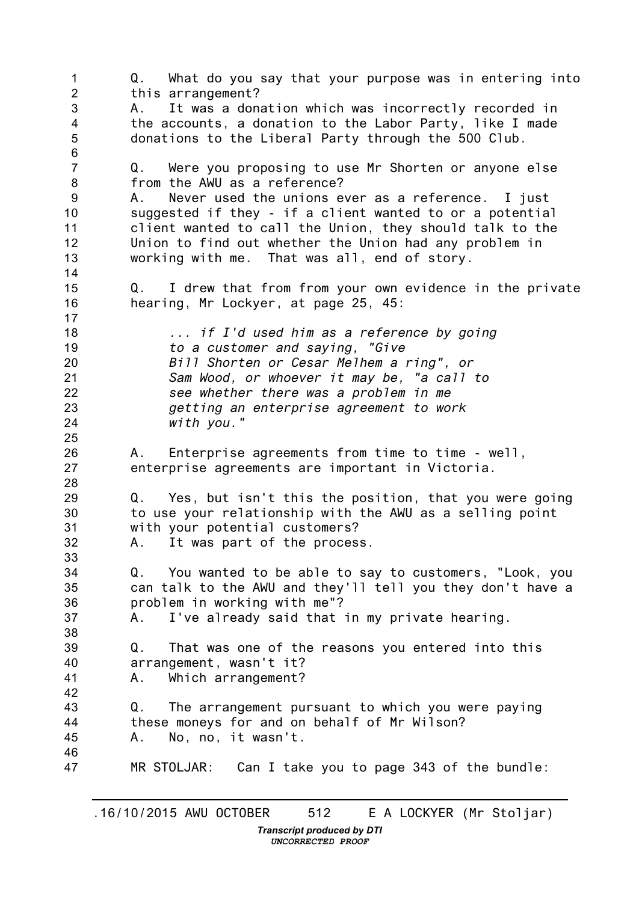1 2 3 4 5 6 7 8 9 10 11 12 13 14 15 16 17 18 19 20 21 22 23 24 25 26 27 28 29 30 31 32 33 34 35 36 37 38 39 40 41 42 43 44 45 46 47 Q. What do you say that your purpose was in entering into this arrangement? A. It was a donation which was incorrectly recorded in the accounts, a donation to the Labor Party, like I made donations to the Liberal Party through the 500 Club. Q. Were you proposing to use Mr Shorten or anyone else from the AWU as a reference? A. Never used the unions ever as a reference. I just suggested if they - if a client wanted to or a potential client wanted to call the Union, they should talk to the Union to find out whether the Union had any problem in working with me. That was all, end of story. Q. I drew that from from your own evidence in the private hearing, Mr Lockyer, at page 25, 45: *... if I'd used him as a reference by going to a customer and saying, "Give Bill Shorten or Cesar Melhem a ring", or Sam Wood, or whoever it may be, "a call to see whether there was a problem in me getting an enterprise agreement to work with you."* A. Enterprise agreements from time to time - well, enterprise agreements are important in Victoria. Q. Yes, but isn't this the position, that you were going to use your relationship with the AWU as a selling point with your potential customers? A. It was part of the process. Q. You wanted to be able to say to customers, "Look, you can talk to the AWU and they'll tell you they don't have a problem in working with me"? A. I've already said that in my private hearing. Q. That was one of the reasons you entered into this arrangement, wasn't it? A. Which arrangement? Q. The arrangement pursuant to which you were paying these moneys for and on behalf of Mr Wilson? A. No, no, it wasn't. MR STOLJAR: Can I take you to page 343 of the bundle: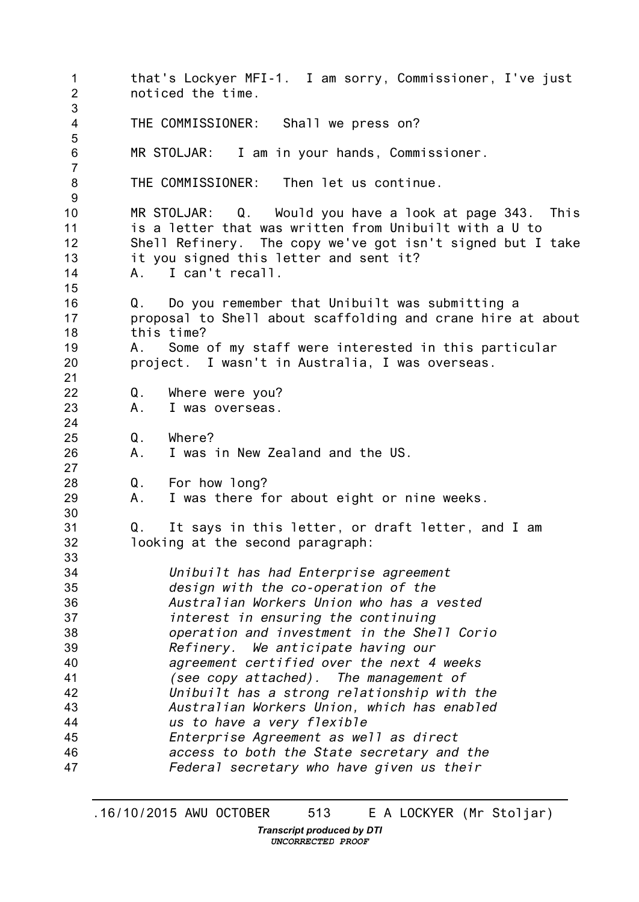1 2 3 4 5 6 7 8 9 10 11 12 13 14 15 16 17 18 19 20 21 22 23 24 25 26 27 28 29 30 31 32 33 34 35 36 37 38 39 40 41 42 43 44 45 46 47 that's Lockyer MFI-1. I am sorry, Commissioner, I've just noticed the time. THE COMMISSIONER: Shall we press on? MR STOLJAR: I am in your hands, Commissioner. THE COMMISSIONER: Then let us continue. MR STOLJAR: Q. Would you have a look at page 343. This is a letter that was written from Unibuilt with a U to Shell Refinery. The copy we've got isn't signed but I take it you signed this letter and sent it? A. I can't recall. Q. Do you remember that Unibuilt was submitting a proposal to Shell about scaffolding and crane hire at about this time? A. Some of my staff were interested in this particular project. I wasn't in Australia, I was overseas. Q. Where were you? A. I was overseas. Q. Where? A. I was in New Zealand and the US. Q. For how long? A. I was there for about eight or nine weeks. Q. It says in this letter, or draft letter, and I am looking at the second paragraph: *Unibuilt has had Enterprise agreement design with the co-operation of the Australian Workers Union who has a vested interest in ensuring the continuing operation and investment in the Shell Corio Refinery. We anticipate having our agreement certified over the next 4 weeks (see copy attached). The management of Unibuilt has a strong relationship with the Australian Workers Union, which has enabled us to have a very flexible Enterprise Agreement as well as direct access to both the State secretary and the Federal secretary who have given us their*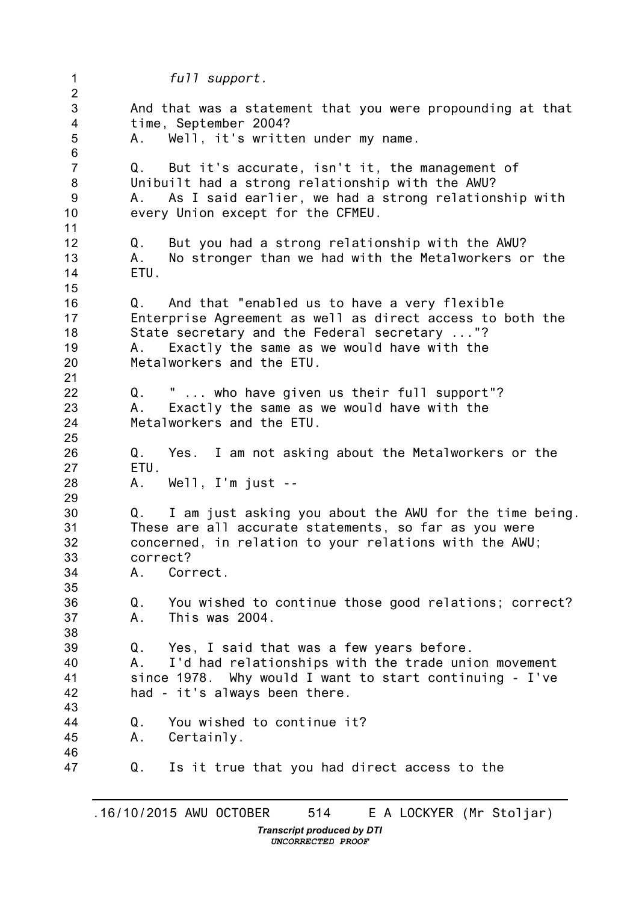1 2 3 4 5 6 7 8 9 10 11 12 13 14 15 16 17 18 19 20 21 22 23 24 25 26 27 28 29 30 31 32 33 34 35 36 37 38 39 40 41 42 43 44 45 46 47 *full support.* And that was a statement that you were propounding at that time, September 2004? A. Well, it's written under my name. Q. But it's accurate, isn't it, the management of Unibuilt had a strong relationship with the AWU? A. As I said earlier, we had a strong relationship with every Union except for the CFMEU. Q. But you had a strong relationship with the AWU? A. No stronger than we had with the Metalworkers or the ETU. Q. And that "enabled us to have a very flexible Enterprise Agreement as well as direct access to both the State secretary and the Federal secretary ..."? A. Exactly the same as we would have with the Metalworkers and the ETU. Q. " ... who have given us their full support"? A. Exactly the same as we would have with the Metalworkers and the ETU. Q. Yes. I am not asking about the Metalworkers or the ETU. A. Well, I'm just -- Q. I am just asking you about the AWU for the time being. These are all accurate statements, so far as you were concerned, in relation to your relations with the AWU; correct? A. Correct. Q. You wished to continue those good relations; correct? A. This was 2004. Q. Yes, I said that was a few years before. A. I'd had relationships with the trade union movement since 1978. Why would I want to start continuing - I've had - it's always been there. Q. You wished to continue it? A. Certainly. Q. Is it true that you had direct access to the

*UNCORRECTED PROOF*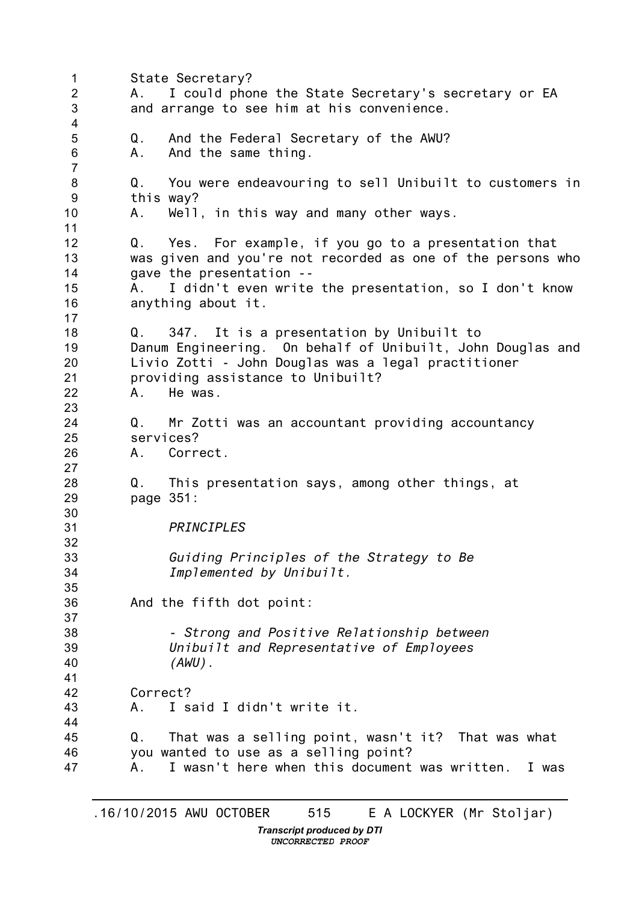1 2 3 4 5 6 7 8 9 10 11 12 13 14 15 16 17 18 19 20 21 22 23 24 25 26 27 28 29 30 31 32 33 34 35 36 37 38 39 40 41 42 43 44 45 46 47 State Secretary? A. I could phone the State Secretary's secretary or EA and arrange to see him at his convenience. Q. And the Federal Secretary of the AWU? A. And the same thing. Q. You were endeavouring to sell Unibuilt to customers in this way? A. Well, in this way and many other ways. Q. Yes. For example, if you go to a presentation that was given and you're not recorded as one of the persons who gave the presentation -- A. I didn't even write the presentation, so I don't know anything about it. Q. 347. It is a presentation by Unibuilt to Danum Engineering. On behalf of Unibuilt, John Douglas and Livio Zotti - John Douglas was a legal practitioner providing assistance to Unibuilt? A. He was. Q. Mr Zotti was an accountant providing accountancy services? A. Correct. Q. This presentation says, among other things, at page 351: *PRINCIPLES Guiding Principles of the Strategy to Be Implemented by Unibuilt.* And the fifth dot point: *- Strong and Positive Relationship between Unibuilt and Representative of Employees (AWU).* Correct? A. I said I didn't write it. Q. That was a selling point, wasn't it? That was what you wanted to use as a selling point? A. I wasn't here when this document was written. I was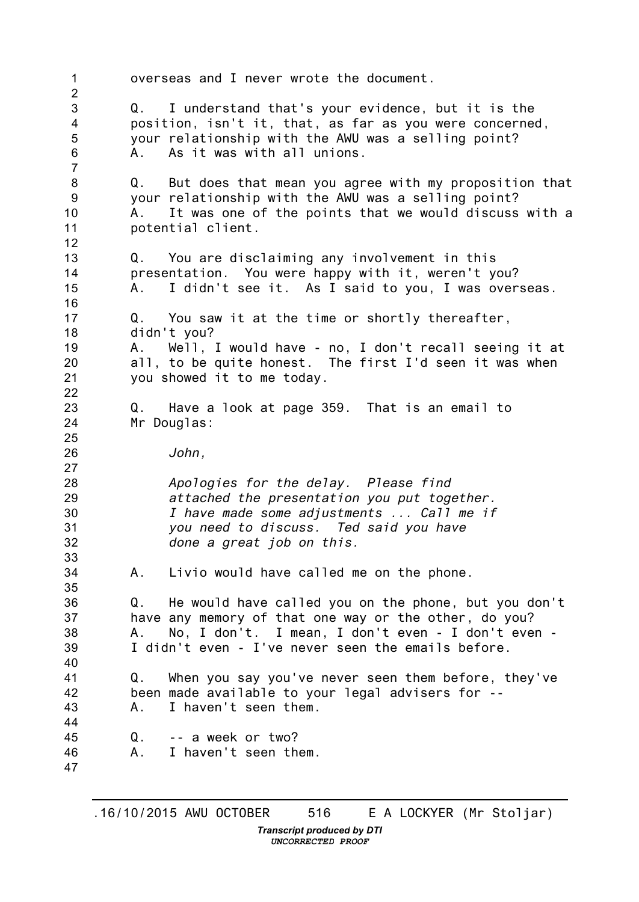1 2 3 4 5 6 7 8 9 10 11 12 13 14 15 16 17 18 19 20 21 22 23 24 25 26 27 28 29 30 31 32 33 34 35 36 37 38 39 40 41 42 43 44 45 46 47 overseas and I never wrote the document. Q. I understand that's your evidence, but it is the position, isn't it, that, as far as you were concerned, your relationship with the AWU was a selling point? A. As it was with all unions. Q. But does that mean you agree with my proposition that your relationship with the AWU was a selling point? A. It was one of the points that we would discuss with a potential client. Q. You are disclaiming any involvement in this presentation. You were happy with it, weren't you? A. I didn't see it. As I said to you, I was overseas. Q. You saw it at the time or shortly thereafter, didn't you? A. Well, I would have - no, I don't recall seeing it at all, to be quite honest. The first I'd seen it was when you showed it to me today. Q. Have a look at page 359. That is an email to Mr Douglas: *John, Apologies for the delay. Please find attached the presentation you put together. I have made some adjustments ... Call me if you need to discuss. Ted said you have done a great job on this.* A. Livio would have called me on the phone. Q. He would have called you on the phone, but you don't have any memory of that one way or the other, do you? A. No, I don't. I mean, I don't even - I don't even - I didn't even - I've never seen the emails before. Q. When you say you've never seen them before, they've been made available to your legal advisers for -- A. I haven't seen them. Q. -- a week or two? A. I haven't seen them.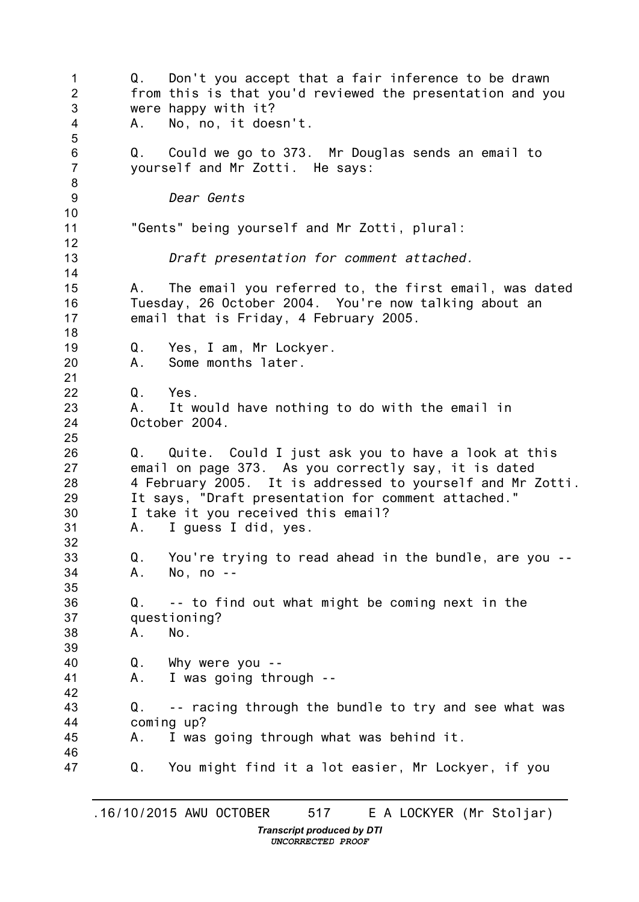1  $\mathfrak{D}$ 3 4 5 6 7 8 9 10 11 12 13 14 15 16 17 18 19 20 21 22 23 24 25 26 27 28 29 30 31 32 33 34 35 36 37 38 39 40 41 42 43 44 45 46 47 Q. Don't you accept that a fair inference to be drawn from this is that you'd reviewed the presentation and you were happy with it? A. No, no, it doesn't. Q. Could we go to 373. Mr Douglas sends an email to yourself and Mr Zotti. He says: *Dear Gents* "Gents" being yourself and Mr Zotti, plural: *Draft presentation for comment attached.* A. The email you referred to, the first email, was dated Tuesday, 26 October 2004. You're now talking about an email that is Friday, 4 February 2005. Q. Yes, I am, Mr Lockyer. A. Some months later. Q. Yes. A. It would have nothing to do with the email in October 2004. Q. Quite. Could I just ask you to have a look at this email on page 373. As you correctly say, it is dated 4 February 2005. It is addressed to yourself and Mr Zotti. It says, "Draft presentation for comment attached." I take it you received this email? A. I guess I did, yes. Q. You're trying to read ahead in the bundle, are you -- A. No, no -- Q. -- to find out what might be coming next in the questioning? A. No. Q. Why were you -- A. I was going through -- Q. -- racing through the bundle to try and see what was coming up? A. I was going through what was behind it. Q. You might find it a lot easier, Mr Lockyer, if you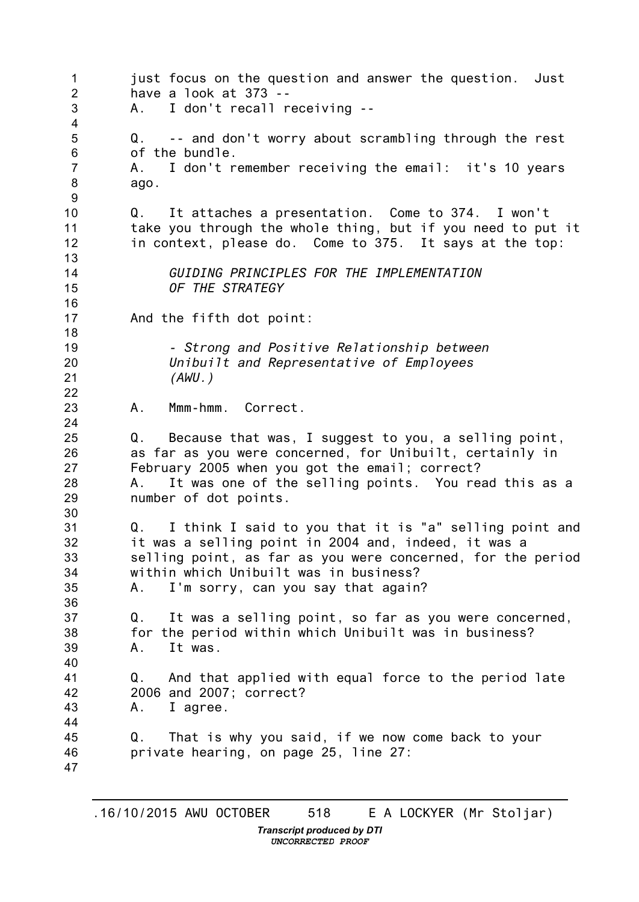1 2 3 4 5 6 7 8 9 10 11 12 13 14 15 16 17 18 19 20 21 22 23 24 25 26 27 28 29 30 31 32 33 34 35 36 37 38 39 40 41 42 43 44 45 46 47 just focus on the question and answer the question. Just have a look at 373 -- A. I don't recall receiving -- Q. -- and don't worry about scrambling through the rest of the bundle. A. I don't remember receiving the email: it's 10 years ago. Q. It attaches a presentation. Come to 374. I won't take you through the whole thing, but if you need to put it in context, please do. Come to 375. It says at the top: *GUIDING PRINCIPLES FOR THE IMPLEMENTATION OF THE STRATEGY* And the fifth dot point: *- Strong and Positive Relationship between Unibuilt and Representative of Employees (AWU.)* A. Mmm-hmm. Correct. Q. Because that was, I suggest to you, a selling point, as far as you were concerned, for Unibuilt, certainly in February 2005 when you got the email; correct? A. It was one of the selling points. You read this as a number of dot points. Q. I think I said to you that it is "a" selling point and it was a selling point in 2004 and, indeed, it was a selling point, as far as you were concerned, for the period within which Unibuilt was in business? A. I'm sorry, can you say that again? Q. It was a selling point, so far as you were concerned, for the period within which Unibuilt was in business? A. It was. Q. And that applied with equal force to the period late 2006 and 2007; correct? A. I agree. Q. That is why you said, if we now come back to your private hearing, on page 25, line 27: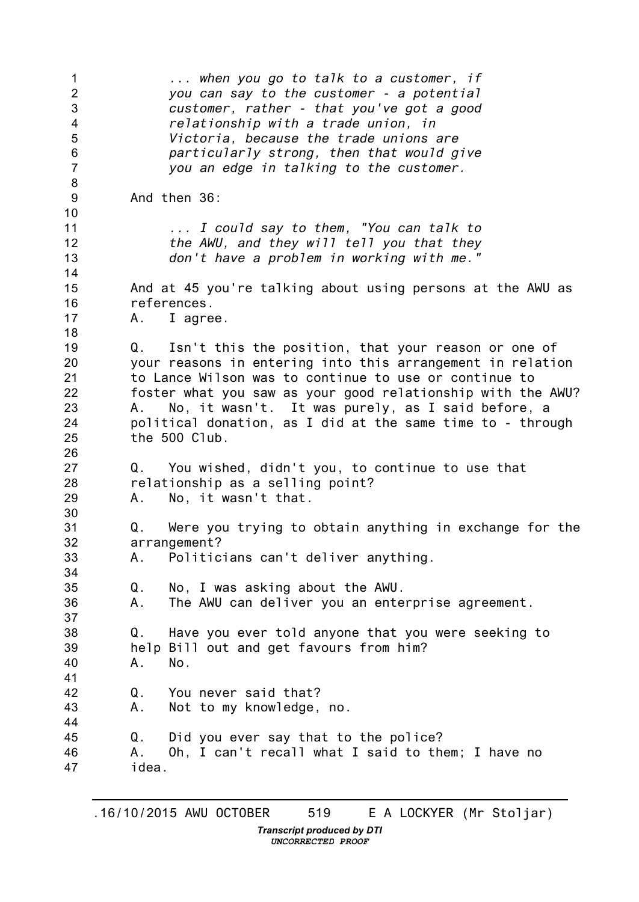| 1<br>$\overline{2}$<br>3<br>$\overline{4}$<br>5<br>$\, 6$<br>$\overline{7}$ | when you go to talk to a customer, if<br>you can say to the customer - a potential<br>customer, rather - that you've got a good<br>relationship with a trade union, in<br>Victoria, because the trade unions are<br>particularly strong, then that would give<br>you an edge in talking to the customer.                                                                               |
|-----------------------------------------------------------------------------|----------------------------------------------------------------------------------------------------------------------------------------------------------------------------------------------------------------------------------------------------------------------------------------------------------------------------------------------------------------------------------------|
| 8<br>$9\,$                                                                  | And then 36:                                                                                                                                                                                                                                                                                                                                                                           |
| 10<br>11<br>12<br>13                                                        | I could say to them, "You can talk to<br>the AWU, and they will tell you that they<br>don't have a problem in working with me."                                                                                                                                                                                                                                                        |
| 14<br>15<br>16<br>17                                                        | And at 45 you're talking about using persons at the AWU as<br>references.<br>A. I agree.                                                                                                                                                                                                                                                                                               |
| 18<br>19<br>20<br>21<br>22<br>23<br>24<br>25                                | Q. Isn't this the position, that your reason or one of<br>your reasons in entering into this arrangement in relation<br>to Lance Wilson was to continue to use or continue to<br>foster what you saw as your good relationship with the AWU?<br>No, it wasn't. It was purely, as I said before, a<br>А.<br>political donation, as I did at the same time to - through<br>the 500 Club. |
| 26<br>27<br>28<br>29                                                        | Q. You wished, didn't you, to continue to use that<br>relationship as a selling point?<br>No, it wasn't that.<br>A.,                                                                                                                                                                                                                                                                   |
| 30<br>31<br>32<br>33<br>34                                                  | Were you trying to obtain anything in exchange for the<br>Q.<br>arrangement?<br>Politicians can't deliver anything.<br>A.,                                                                                                                                                                                                                                                             |
| 35<br>36<br>37                                                              | No, I was asking about the AWU.<br>Q.<br>The AWU can deliver you an enterprise agreement.<br>А.                                                                                                                                                                                                                                                                                        |
| 38<br>39<br>40<br>41                                                        | Have you ever told anyone that you were seeking to<br>Q.<br>help Bill out and get favours from him?<br>No.<br>Α.                                                                                                                                                                                                                                                                       |
| 42<br>43<br>44                                                              | Q.<br>You never said that?<br>Not to my knowledge, no.<br>Α.                                                                                                                                                                                                                                                                                                                           |
| 45<br>46<br>47                                                              | Did you ever say that to the police?<br>Q.<br>Oh, I can't recall what I said to them; I have no<br>А.<br>idea.                                                                                                                                                                                                                                                                         |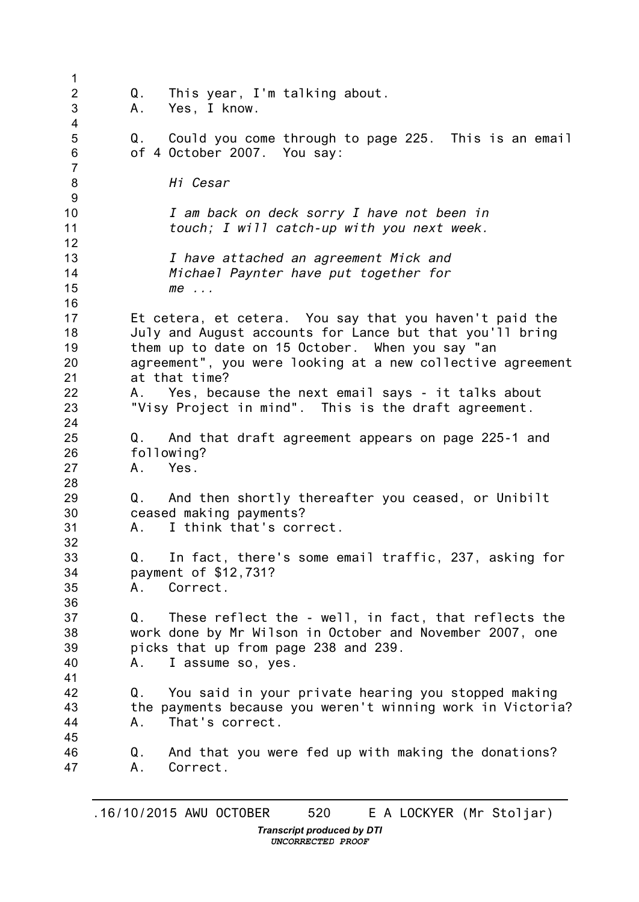| 1                           |          |                                                                                                                                                                                                                                                       |
|-----------------------------|----------|-------------------------------------------------------------------------------------------------------------------------------------------------------------------------------------------------------------------------------------------------------|
| $\overline{2}$<br>3<br>4    | Q.<br>A. | This year, I'm talking about.<br>Yes, I know.                                                                                                                                                                                                         |
| 5<br>6<br>$\overline{7}$    |          | Q. Could you come through to page 225. This is an email<br>of 4 October 2007. You say:                                                                                                                                                                |
| $\bf 8$<br>$\boldsymbol{9}$ |          | Hi Cesar                                                                                                                                                                                                                                              |
| 10<br>11<br>12              |          | I am back on deck sorry I have not been in<br>touch; I will catch-up with you next week.                                                                                                                                                              |
| 13<br>14<br>15<br>16        |          | I have attached an agreement Mick and<br>Michael Paynter have put together for<br>$me$                                                                                                                                                                |
| 17<br>18<br>19<br>20<br>21  |          | Et cetera, et cetera. You say that you haven't paid the<br>July and August accounts for Lance but that you'll bring<br>them up to date on 15 October. When you say "an<br>agreement", you were looking at a new collective agreement<br>at that time? |
| 22<br>23<br>24              |          | A. Yes, because the next email says - it talks about<br>"Visy Project in mind". This is the draft agreement.                                                                                                                                          |
| 25<br>26<br>27<br>28        | А.       | Q. And that draft agreement appears on page 225-1 and<br>following?<br>Yes.                                                                                                                                                                           |
| 29<br>30<br>31<br>32        | A.       | Q. And then shortly thereafter you ceased, or Unibilt<br>ceased making payments?<br>I think that's correct.                                                                                                                                           |
| 33<br>34<br>35<br>36        | Q.<br>Α. | In fact, there's some email traffic, 237, asking for<br>payment of \$12,731?<br>Correct.                                                                                                                                                              |
| 37<br>38<br>39<br>40<br>41  | Q.<br>А. | These reflect the - well, in fact, that reflects the<br>work done by Mr Wilson in October and November 2007, one<br>picks that up from page 238 and 239.<br>I assume so, yes.                                                                         |
| 42<br>43<br>44<br>45        | Q.<br>А. | You said in your private hearing you stopped making<br>the payments because you weren't winning work in Victoria?<br>That's correct.                                                                                                                  |
| 46<br>47                    | Q.<br>Α. | And that you were fed up with making the donations?<br>Correct.                                                                                                                                                                                       |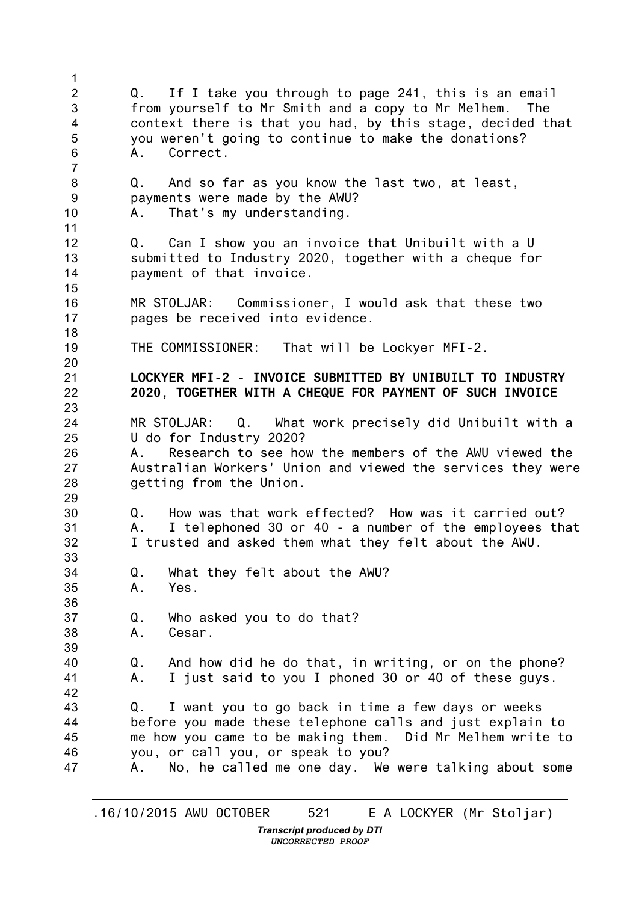1 2 3 4 5 6 7 8 9 10 11 12 13 14 15 16 17 18 19 20 21 22 23 24 25 26 27 28 29 30 31 32 33 34 35 36 37 38 39 40 41 42 43 44 45 46 47 Q. If I take you through to page 241, this is an email from yourself to Mr Smith and a copy to Mr Melhem. The context there is that you had, by this stage, decided that you weren't going to continue to make the donations? A. Correct. Q. And so far as you know the last two, at least, payments were made by the AWU? A. That's my understanding. Q. Can I show you an invoice that Unibuilt with a U submitted to Industry 2020, together with a cheque for payment of that invoice. MR STOLJAR: Commissioner, I would ask that these two pages be received into evidence. THE COMMISSIONER: That will be Lockyer MFI-2. **LOCKYER MFI-2 - INVOICE SUBMITTED BY UNIBUILT TO INDUSTRY 2020, TOGETHER WITH A CHEQUE FOR PAYMENT OF SUCH INVOICE** MR STOLJAR: Q. What work precisely did Unibuilt with a U do for Industry 2020? A. Research to see how the members of the AWU viewed the Australian Workers' Union and viewed the services they were getting from the Union. Q. How was that work effected? How was it carried out? A. I telephoned 30 or 40 - a number of the employees that I trusted and asked them what they felt about the AWU. Q. What they felt about the AWU? A. Yes. Q. Who asked you to do that? A. Cesar. Q. And how did he do that, in writing, or on the phone? A. I just said to you I phoned 30 or 40 of these guys. Q. I want you to go back in time a few days or weeks before you made these telephone calls and just explain to me how you came to be making them. Did Mr Melhem write to you, or call you, or speak to you? A. No, he called me one day. We were talking about some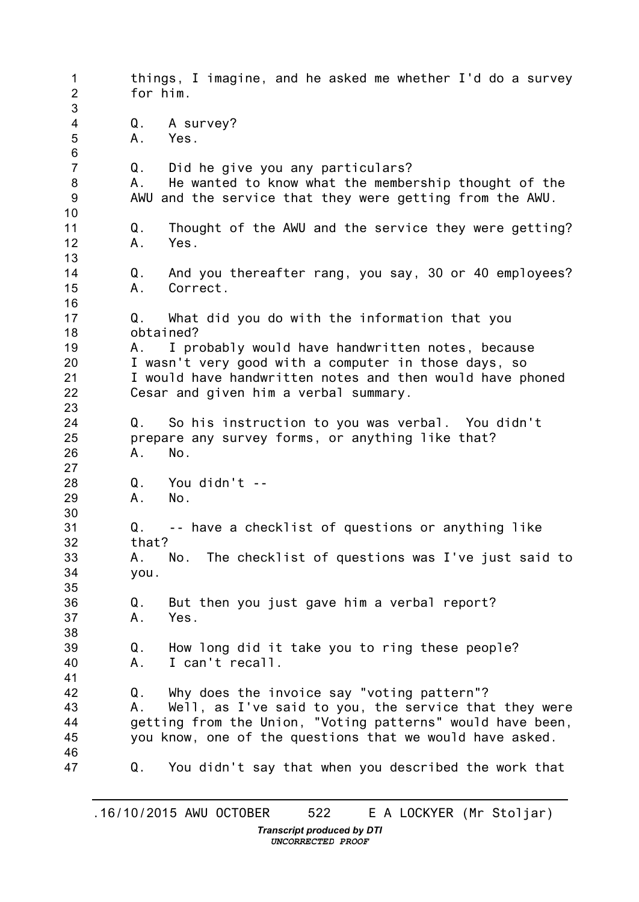1 2 3 4 5 6 7 8 9 10 11 12 13 14 15 16 17 18 19 20 21 22 23 24 25 26 27 28 29 30 31 32 33 34 35 36 37 38 39 40 41 42 43 44 45 46 47 things, I imagine, and he asked me whether I'd do a survey for him. Q. A survey? A. Yes. Q. Did he give you any particulars? A. He wanted to know what the membership thought of the AWU and the service that they were getting from the AWU. Q. Thought of the AWU and the service they were getting? A. Yes. Q. And you thereafter rang, you say, 30 or 40 employees? A. Correct. Q. What did you do with the information that you obtained? A. I probably would have handwritten notes, because I wasn't very good with a computer in those days, so I would have handwritten notes and then would have phoned Cesar and given him a verbal summary. Q. So his instruction to you was verbal. You didn't prepare any survey forms, or anything like that? A. No. Q. You didn't -- A. No. Q. -- have a checklist of questions or anything like that? A. No. The checklist of questions was I've just said to you. Q. But then you just gave him a verbal report? A. Yes. Q. How long did it take you to ring these people? A. I can't recall. Q. Why does the invoice say "voting pattern"? A. Well, as I've said to you, the service that they were getting from the Union, "Voting patterns" would have been, you know, one of the questions that we would have asked. Q. You didn't say that when you described the work that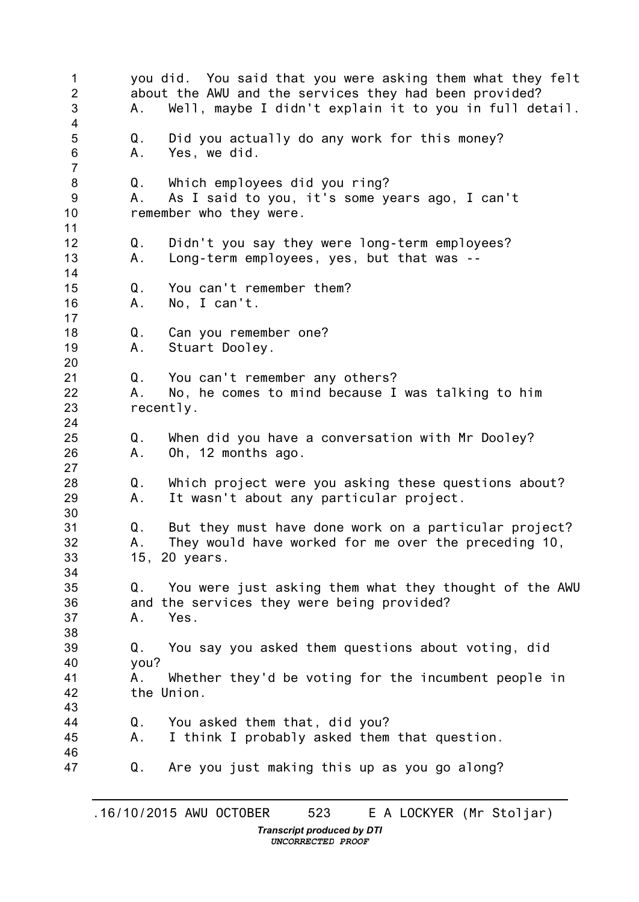1 2 3 4 5 6 7 8 9 10 11 12 13 14 15 16 17 18 19 20 21 22 23 24 25 26 27 28 29 30 31 32 33 34 35 36 37 38 39 40 41 42 43 44 45 46 47 you did. You said that you were asking them what they felt about the AWU and the services they had been provided? A. Well, maybe I didn't explain it to you in full detail. Q. Did you actually do any work for this money? A. Yes, we did. Q. Which employees did you ring? A. As I said to you, it's some years ago, I can't remember who they were. Q. Didn't you say they were long-term employees? A. Long-term employees, yes, but that was -- Q. You can't remember them? A. No, I can't. Q. Can you remember one? A. Stuart Dooley. Q. You can't remember any others? A. No, he comes to mind because I was talking to him recently. Q. When did you have a conversation with Mr Dooley? A. Oh, 12 months ago. Q. Which project were you asking these questions about? A. It wasn't about any particular project. Q. But they must have done work on a particular project? A. They would have worked for me over the preceding 10, 15, 20 years. Q. You were just asking them what they thought of the AWU and the services they were being provided? A. Yes. Q. You say you asked them questions about voting, did you? A. Whether they'd be voting for the incumbent people in the Union. Q. You asked them that, did you? A. I think I probably asked them that question. Q. Are you just making this up as you go along?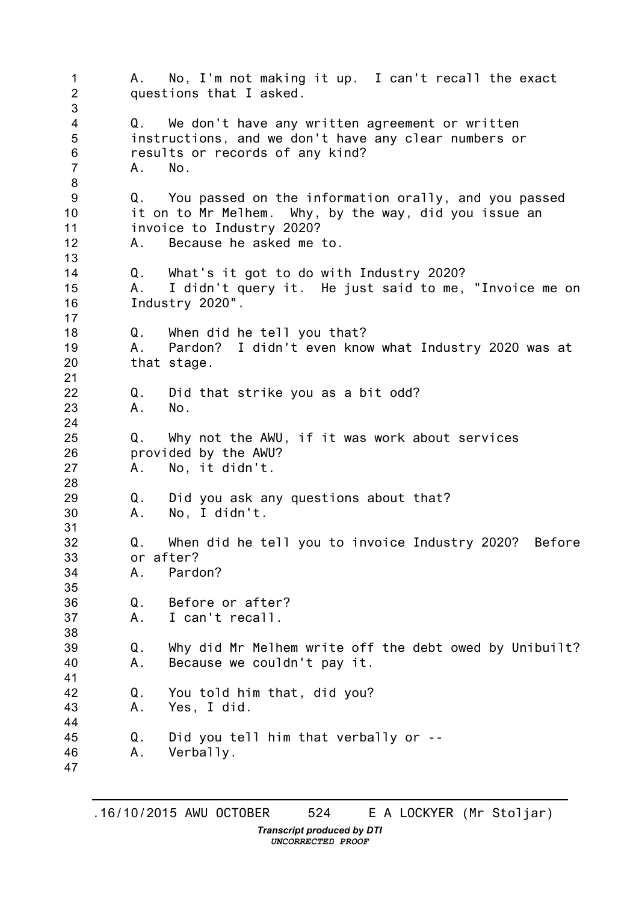1  $\mathfrak{D}$ 3 4 5 6 7 8 9 10 11 12 13 14 15 16 17 18 19 20 21 22 23 24 25 26 27 28 29 30 31 32 33 34 35 36 37 38 39 40 41 42 43 44 45 46 47 A. No, I'm not making it up. I can't recall the exact questions that I asked. Q. We don't have any written agreement or written instructions, and we don't have any clear numbers or results or records of any kind? A. No. Q. You passed on the information orally, and you passed it on to Mr Melhem. Why, by the way, did you issue an invoice to Industry 2020? A. Because he asked me to. Q. What's it got to do with Industry 2020? A. I didn't query it. He just said to me, "Invoice me on Industry 2020". Q. When did he tell you that? A. Pardon? I didn't even know what Industry 2020 was at that stage. Q. Did that strike you as a bit odd? A. No. Q. Why not the AWU, if it was work about services provided by the AWU? A. No, it didn't. Q. Did you ask any questions about that? A. No, I didn't. Q. When did he tell you to invoice Industry 2020? Before or after? A. Pardon? Q. Before or after? A. I can't recall. Q. Why did Mr Melhem write off the debt owed by Unibuilt? A. Because we couldn't pay it. Q. You told him that, did you? A. Yes, I did. Q. Did you tell him that verbally or -- A. Verbally.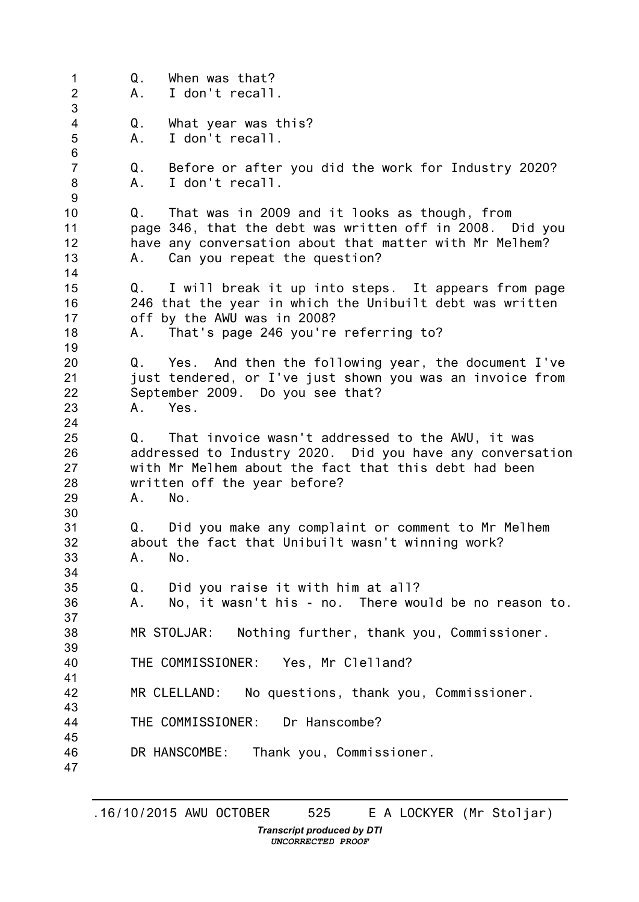1 2 3 4 5 6 7 8 9 10 11 12 13 14 15 16 17 18 19 20 21 22 23 24 25 26 27 28 29 30 31 32 33 34 35 36 37 38 39 40 41 42 43 44 45 46 47 Q. When was that? A. I don't recall. Q. What year was this? A. I don't recall. Q. Before or after you did the work for Industry 2020? A. I don't recall. Q. That was in 2009 and it looks as though, from page 346, that the debt was written off in 2008. Did you have any conversation about that matter with Mr Melhem? A. Can you repeat the question? Q. I will break it up into steps. It appears from page 246 that the year in which the Unibuilt debt was written off by the AWU was in 2008? A. That's page 246 you're referring to? Q. Yes. And then the following year, the document I've just tendered, or I've just shown you was an invoice from September 2009. Do you see that? A. Yes. Q. That invoice wasn't addressed to the AWU, it was addressed to Industry 2020. Did you have any conversation with Mr Melhem about the fact that this debt had been written off the year before? A. No. Q. Did you make any complaint or comment to Mr Melhem about the fact that Unibuilt wasn't winning work? A. No. Q. Did you raise it with him at all? A. No, it wasn't his - no. There would be no reason to. MR STOLJAR: Nothing further, thank you, Commissioner. THE COMMISSIONER: Yes, Mr Clelland? MR CLELLAND: No questions, thank you, Commissioner. THE COMMISSIONER: Dr Hanscombe? DR HANSCOMBE: Thank you, Commissioner.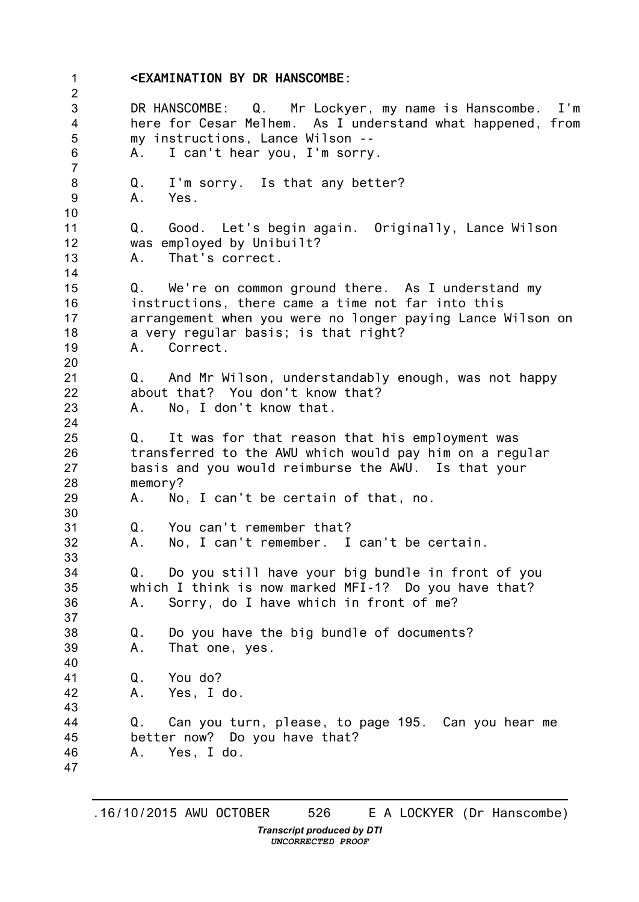1 2 3 4 5 6 7 8 9 10 11 12 13 14 15 16 17 18 19 20 21 22 23 24 25 26 27 28 29 30 31 32 33 34 35 36 37 38 39 40 41 42 43 44 45 46 47 **<EXAMINATION BY DR HANSCOMBE:** DR HANSCOMBE: Q. Mr Lockyer, my name is Hanscombe. I'm here for Cesar Melhem. As I understand what happened, from my instructions, Lance Wilson -- A. I can't hear you, I'm sorry. Q. I'm sorry. Is that any better?<br>A. Yes. Yes. Q. Good. Let's begin again. Originally, Lance Wilson was employed by Unibuilt? A. That's correct. Q. We're on common ground there. As I understand my instructions, there came a time not far into this arrangement when you were no longer paying Lance Wilson on a very regular basis; is that right? A. Correct. Q. And Mr Wilson, understandably enough, was not happy about that? You don't know that? A. No, I don't know that. Q. It was for that reason that his employment was transferred to the AWU which would pay him on a regular basis and you would reimburse the AWU. Is that your memory? A. No, I can't be certain of that, no. Q. You can't remember that? A. No, I can't remember. I can't be certain. Q. Do you still have your big bundle in front of you which I think is now marked MFI-1? Do you have that? A. Sorry, do I have which in front of me? Q. Do you have the big bundle of documents? A. That one, yes. Q. You do? A. Yes, I do. Q. Can you turn, please, to page 195. Can you hear me better now? Do you have that? A. Yes, I do.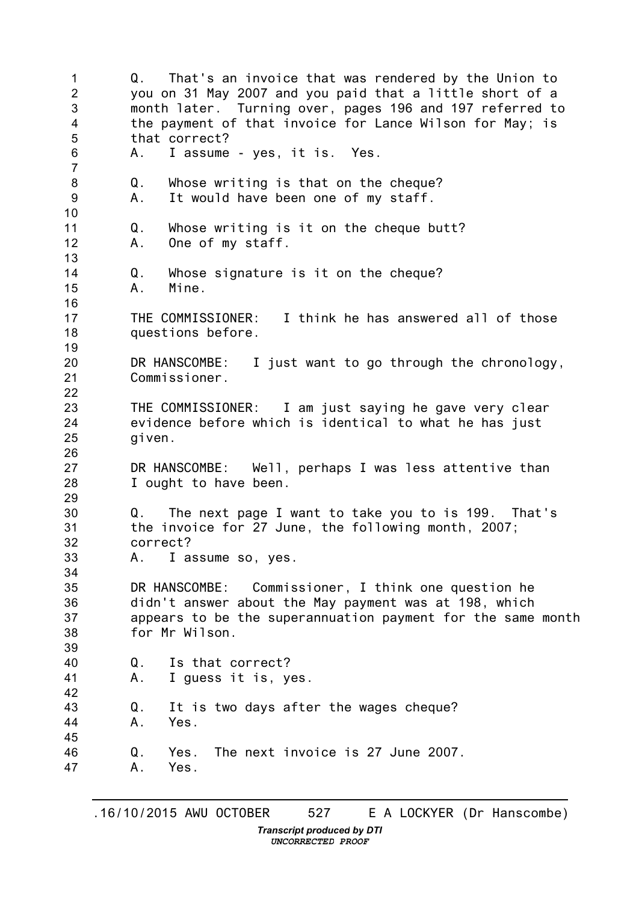1 2 3 4 5 6 7 8 9 10 11 12 13 14 15 16 17 18 19 20 21 22 23 24 25 26 27 28 29 30 31 32 33 34 35 36 37 38 39 40 41 42 43 44 45 46 47 Q. That's an invoice that was rendered by the Union to you on 31 May 2007 and you paid that a little short of a month later. Turning over, pages 196 and 197 referred to the payment of that invoice for Lance Wilson for May; is that correct? A. I assume - yes, it is. Yes. Q. Whose writing is that on the cheque? A. It would have been one of my staff. Q. Whose writing is it on the cheque butt? A. One of my staff. Q. Whose signature is it on the cheque? A. Mine. THE COMMISSIONER: I think he has answered all of those questions before. DR HANSCOMBE: I just want to go through the chronology, Commissioner. THE COMMISSIONER: I am just saying he gave very clear evidence before which is identical to what he has just given. DR HANSCOMBE: Well, perhaps I was less attentive than I ought to have been. Q. The next page I want to take you to is 199. That's the invoice for 27 June, the following month, 2007; correct? A. I assume so, yes. DR HANSCOMBE: Commissioner, I think one question he didn't answer about the May payment was at 198, which appears to be the superannuation payment for the same month for Mr Wilson. Q. Is that correct? A. I guess it is, yes. Q. It is two days after the wages cheque? A. Yes. Q. Yes. The next invoice is 27 June 2007. A. Yes.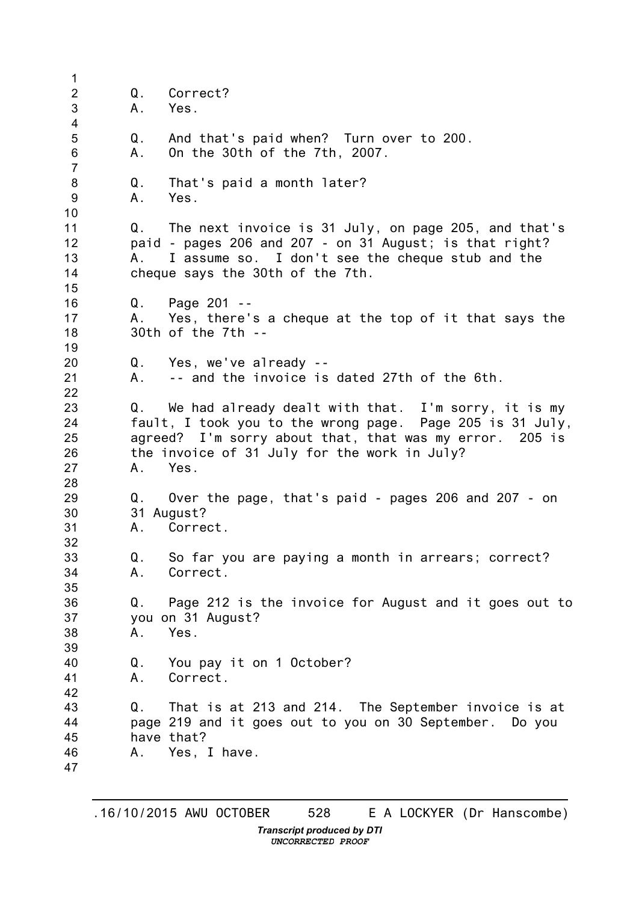1 2 3 4 5 6 7 8 9 10 11 12 13 14 15 16 17 18 19 20 21 22 23 24 25 26 27 28 29 30 31 32 33 34 35 36 37 38 39 40 41 42 43 44 45 46 47 Q. Correct? A. Yes. Q. And that's paid when? Turn over to 200. A. On the 30th of the 7th, 2007. Q. That's paid a month later? A. Yes. Q. The next invoice is 31 July, on page 205, and that's paid - pages 206 and 207 - on 31 August; is that right? A. I assume so. I don't see the cheque stub and the cheque says the 30th of the 7th. Q. Page 201 -- A. Yes, there's a cheque at the top of it that says the 30th of the 7th -- Q. Yes, we've already -- A. -- and the invoice is dated 27th of the 6th. Q. We had already dealt with that. I'm sorry, it is my fault, I took you to the wrong page. Page 205 is 31 July, agreed? I'm sorry about that, that was my error. 205 is the invoice of 31 July for the work in July? A. Yes. Q. Over the page, that's paid - pages 206 and 207 - on 31 August? A. Correct. Q. So far you are paying a month in arrears; correct? A. Correct. Q. Page 212 is the invoice for August and it goes out to you on 31 August? A. Yes. Q. You pay it on 1 October? A. Correct. Q. That is at 213 and 214. The September invoice is at page 219 and it goes out to you on 30 September. Do you have that? A. Yes, I have.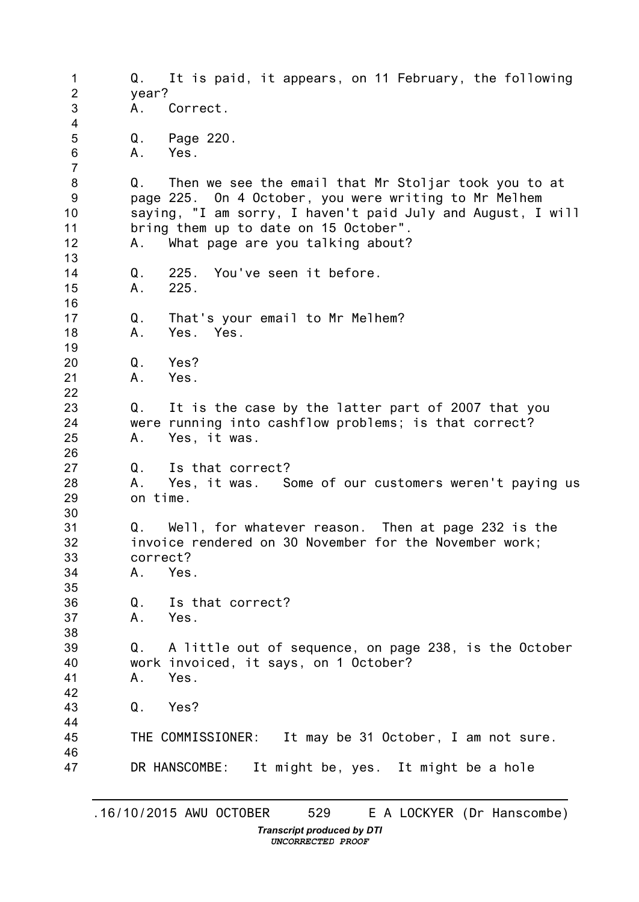1 2 3 4 5 6 7 8 9 10 11 12 13 14 15 16 17 18 19 20 21 22 23 24 25 26 27 28 29 30 31 32 33 34 35 36 37 38 39 40 41 42 43 44 45 46 47 Q. It is paid, it appears, on 11 February, the following year? A. Correct. Q. Page 220. A. Yes. Q. Then we see the email that Mr Stoljar took you to at page 225. On 4 October, you were writing to Mr Melhem saying, "I am sorry, I haven't paid July and August, I will bring them up to date on 15 October". A. What page are you talking about? Q. 225. You've seen it before. A. 225. Q. That's your email to Mr Melhem? A. Yes. Yes. Q. Yes? A. Yes. Q. It is the case by the latter part of 2007 that you were running into cashflow problems; is that correct? A. Yes, it was. Q. Is that correct? A. Yes, it was. Some of our customers weren't paying us on time. Q. Well, for whatever reason. Then at page 232 is the invoice rendered on 30 November for the November work; correct? A. Yes. Q. Is that correct? A. Yes. Q. A little out of sequence, on page 238, is the October work invoiced, it says, on 1 October? A. Yes. Q. Yes? THE COMMISSIONER: It may be 31 October, I am not sure. DR HANSCOMBE: It might be, yes. It might be a hole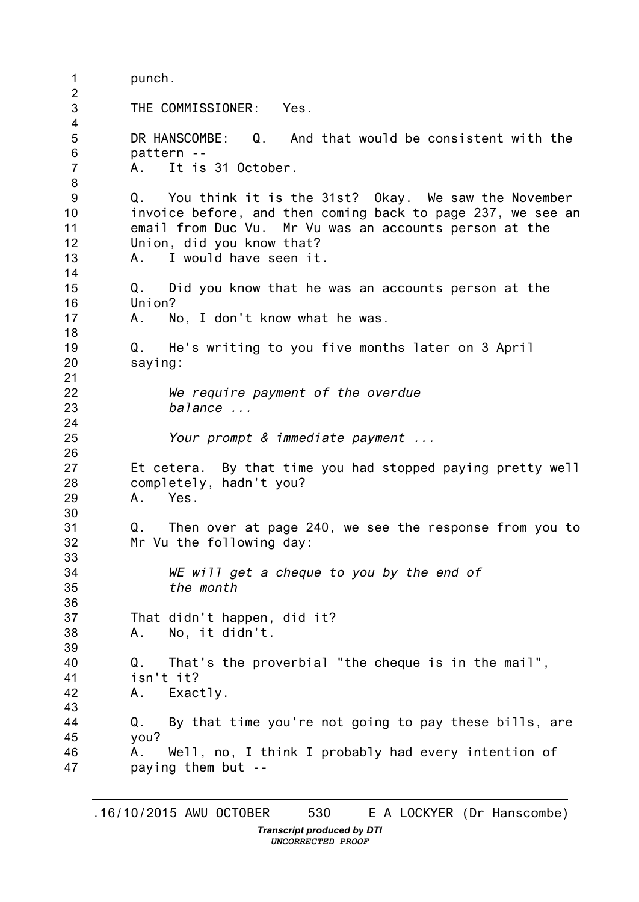1 2 3 4 5 6 7 8 9 10 11 12 13 14 15 16 17 18 19 20 21 22 23 24 25 26 27 28 29 30 31 32 33 34 35 36 37 38 39 40 41 42 43 44 45 46 47 punch. THE COMMISSIONER: Yes. DR HANSCOMBE: Q. And that would be consistent with the pattern -- A. It is 31 October. Q. You think it is the 31st? Okay. We saw the November invoice before, and then coming back to page 237, we see an email from Duc Vu. Mr Vu was an accounts person at the Union, did you know that? A. I would have seen it. Q. Did you know that he was an accounts person at the Union? A. No, I don't know what he was. Q. He's writing to you five months later on 3 April saying: *We require payment of the overdue balance ... Your prompt & immediate payment ...* Et cetera. By that time you had stopped paying pretty well completely, hadn't you? A. Yes. Q. Then over at page 240, we see the response from you to Mr Vu the following day: *WE will get a cheque to you by the end of the month* That didn't happen, did it? A. No, it didn't. Q. That's the proverbial "the cheque is in the mail", isn't it? A. Exactly. Q. By that time you're not going to pay these bills, are you? A. Well, no, I think I probably had every intention of paying them but --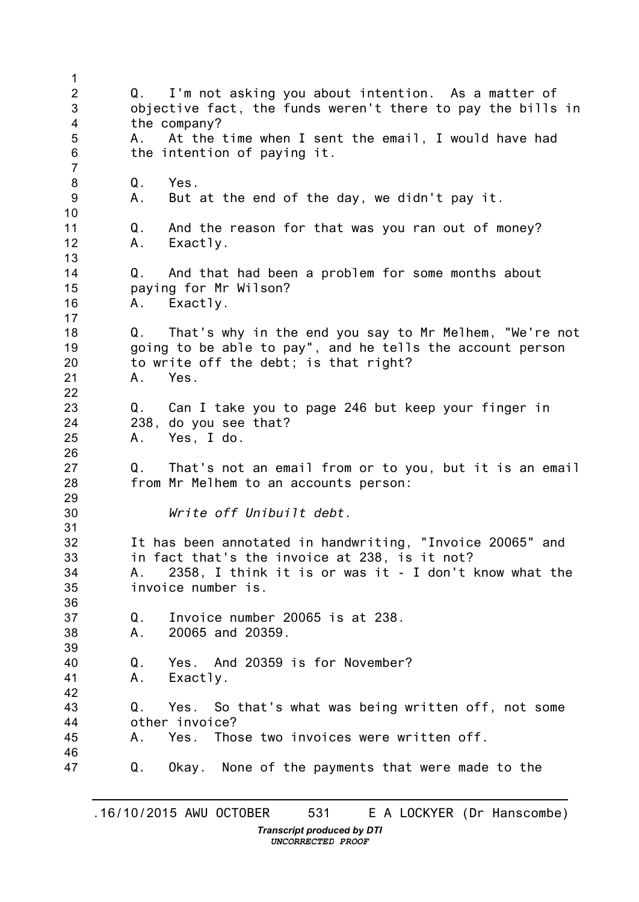1 2 3 4 5 6 7 8 9 10 11 12 13 14 15 16 17 18 19 20 21 22 23 24 25 26 27 28 29 30 31 32 33 34 35 36 37 38 39 40 41 42 43 44 45 46 47 Q. I'm not asking you about intention. As a matter of objective fact, the funds weren't there to pay the bills in the company? A. At the time when I sent the email, I would have had the intention of paying it. Q. Yes. A. But at the end of the day, we didn't pay it. Q. And the reason for that was you ran out of money? A. Exactly. Q. And that had been a problem for some months about paying for Mr Wilson? A. Exactly. Q. That's why in the end you say to Mr Melhem, "We're not going to be able to pay", and he tells the account person to write off the debt; is that right? A. Yes. Q. Can I take you to page 246 but keep your finger in 238, do you see that? A. Yes, I do. Q. That's not an email from or to you, but it is an email from Mr Melhem to an accounts person: *Write off Unibuilt debt.* It has been annotated in handwriting, "Invoice 20065" and in fact that's the invoice at 238, is it not? A. 2358, I think it is or was it - I don't know what the invoice number is. Q. Invoice number 20065 is at 238. A. 20065 and 20359. Q. Yes. And 20359 is for November? A. Exactly. Q. Yes. So that's what was being written off, not some other invoice? A. Yes. Those two invoices were written off. Q. Okay. None of the payments that were made to the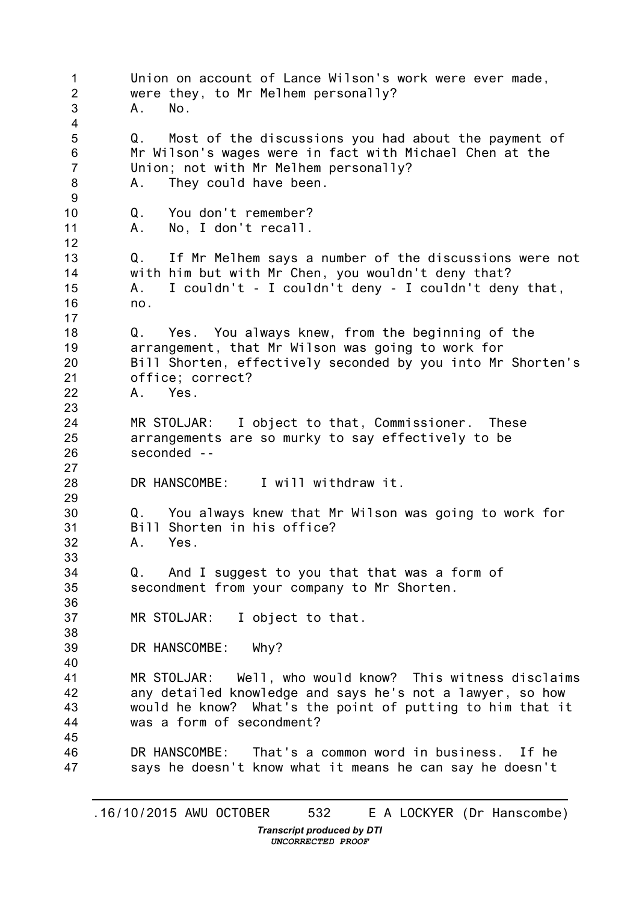1 2 3 4 5 6 7 8 9 10 11 12 13 14 15 16 17 18 19 20 21 22 23 24 25 26 27 28 29 30 31 32 33 34 35 36 37 38 39 40 41 42 43 44 45 46 47 Union on account of Lance Wilson's work were ever made, were they, to Mr Melhem personally? A. No. Q. Most of the discussions you had about the payment of Mr Wilson's wages were in fact with Michael Chen at the Union; not with Mr Melhem personally? A. They could have been. Q. You don't remember? A. No, I don't recall. Q. If Mr Melhem says a number of the discussions were not with him but with Mr Chen, you wouldn't deny that? A. I couldn't - I couldn't deny - I couldn't deny that, no. Q. Yes. You always knew, from the beginning of the arrangement, that Mr Wilson was going to work for Bill Shorten, effectively seconded by you into Mr Shorten's office; correct? A. Yes. MR STOLJAR: I object to that, Commissioner. These arrangements are so murky to say effectively to be seconded -- DR HANSCOMBE: I will withdraw it. Q. You always knew that Mr Wilson was going to work for Bill Shorten in his office? A. Yes. Q. And I suggest to you that that was a form of secondment from your company to Mr Shorten. MR STOLJAR: I object to that. DR HANSCOMBE: Why? MR STOLJAR: Well, who would know? This witness disclaims any detailed knowledge and says he's not a lawyer, so how would he know? What's the point of putting to him that it was a form of secondment? DR HANSCOMBE: That's a common word in business. If he says he doesn't know what it means he can say he doesn't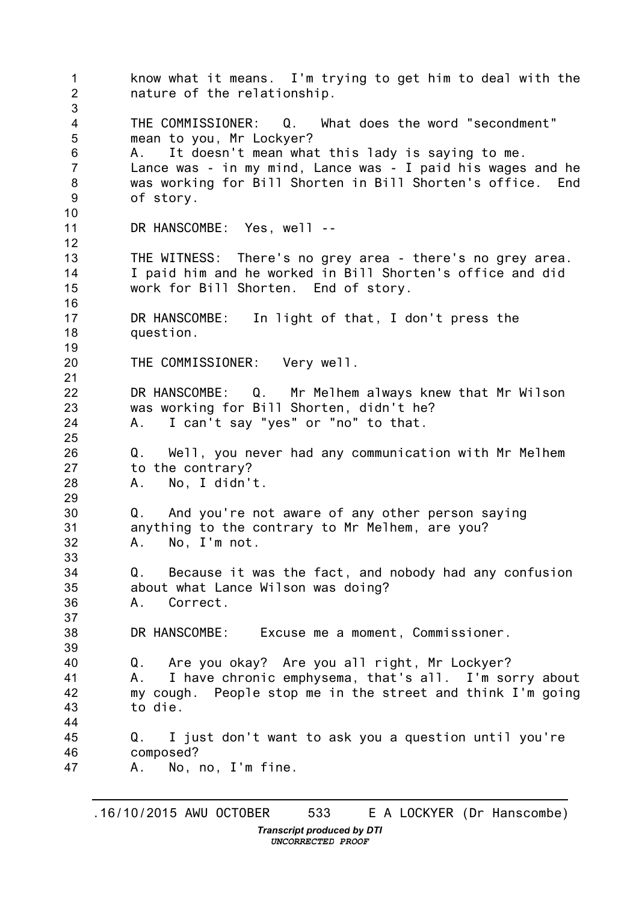1 2 3 4 5 6 7 8 9 10 11 12 13 14 15 16 17 18 19 20 21 22 23 24 25 26 27 28 29 30 31 32 33 34 35 36 37 38 39 40 41 42 43 44 45 46 47 know what it means. I'm trying to get him to deal with the nature of the relationship. THE COMMISSIONER: Q. What does the word "secondment" mean to you, Mr Lockyer? A. It doesn't mean what this lady is saying to me. Lance was - in my mind, Lance was - I paid his wages and he was working for Bill Shorten in Bill Shorten's office. of story. DR HANSCOMBE: Yes, well --THE WITNESS: There's no grey area - there's no grey area. I paid him and he worked in Bill Shorten's office and did work for Bill Shorten. End of story. DR HANSCOMBE: In light of that, I don't press the question. THE COMMISSIONER: Very well. DR HANSCOMBE: Q. Mr Melhem always knew that Mr Wilson was working for Bill Shorten, didn't he? A. I can't say "yes" or "no" to that. Q. Well, you never had any communication with Mr Melhem to the contrary? A. No, I didn't. Q. And you're not aware of any other person saying anything to the contrary to Mr Melhem, are you? A. No, I'm not. Q. Because it was the fact, and nobody had any confusion about what Lance Wilson was doing? A. Correct. DR HANSCOMBE: Excuse me a moment, Commissioner. Q. Are you okay? Are you all right, Mr Lockyer? A. I have chronic emphysema, that's all. I'm sorry about my cough. People stop me in the street and think I'm going to die. Q. I just don't want to ask you a question until you're composed? A. No, no, I'm fine.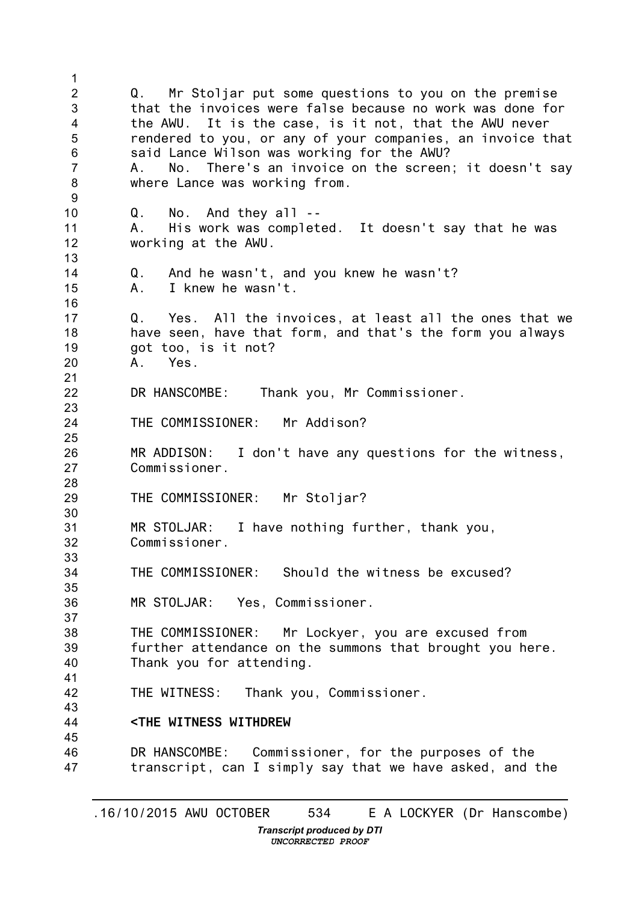1 2 3 4 5 6 7 8 9 10 11 12 13 14 15 16 17 18 19 20 21 22 23 24 25 26 27 28 29 30 31 32 33 34 35 36 37 38 39 40 41 42 43 44 45 46 47 Q. Mr Stoljar put some questions to you on the premise that the invoices were false because no work was done for the AWU. It is the case, is it not, that the AWU never rendered to you, or any of your companies, an invoice that said Lance Wilson was working for the AWU? A. No. There's an invoice on the screen; it doesn't say where Lance was working from. Q. No. And they all -- A. His work was completed. It doesn't say that he was working at the AWU. Q. And he wasn't, and you knew he wasn't? A. I knew he wasn't. Q. Yes. All the invoices, at least all the ones that we have seen, have that form, and that's the form you always got too, is it not? A. Yes. DR HANSCOMBE: Thank you, Mr Commissioner. THE COMMISSIONER: Mr Addison? MR ADDISON: I don't have any questions for the witness, Commissioner. THE COMMISSIONER: Mr Stoljar? MR STOLJAR: I have nothing further, thank you, Commissioner. THE COMMISSIONER: Should the witness be excused? MR STOLJAR: Yes, Commissioner. THE COMMISSIONER: Mr Lockyer, you are excused from further attendance on the summons that brought you here. Thank you for attending. THE WITNESS: Thank you, Commissioner. **<THE WITNESS WITHDREW** DR HANSCOMBE: Commissioner, for the purposes of the transcript, can I simply say that we have asked, and the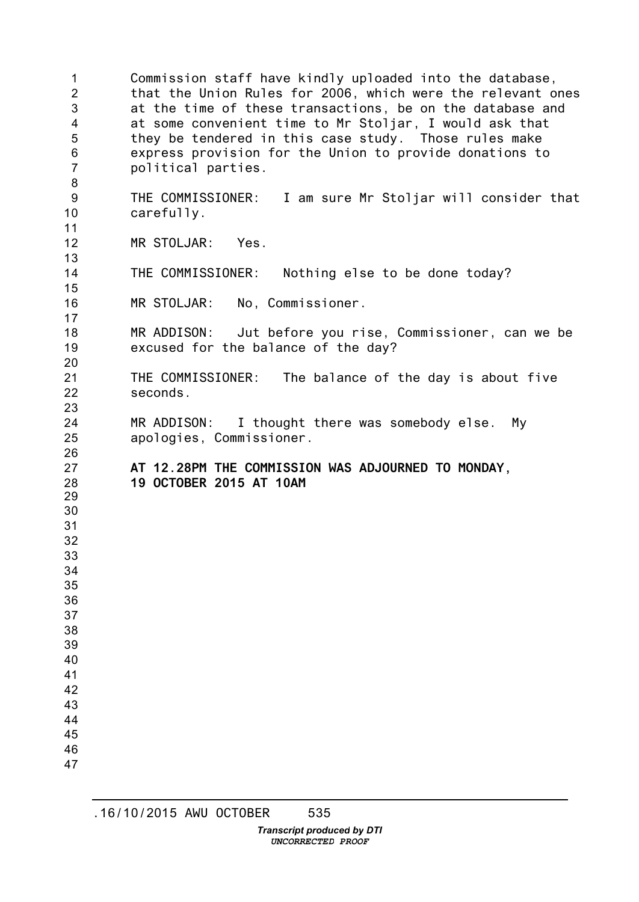Commission staff have kindly uploaded into the database, that the Union Rules for 2006, which were the relevant ones at the time of these transactions, be on the database and at some convenient time to Mr Stoljar, I would ask that they be tendered in this case study. Those rules make express provision for the Union to provide donations to political parties. THE COMMISSIONER: I am sure Mr Stoljar will consider that carefully. MR STOLJAR: Yes. THE COMMISSIONER: Nothing else to be done today? MR STOLJAR: No, Commissioner. MR ADDISON: Jut before you rise, Commissioner, can we be excused for the balance of the day? THE COMMISSIONER: The balance of the day is about five seconds. MR ADDISON: I thought there was somebody else. My apologies, Commissioner. **AT 12.28PM THE COMMISSION WAS ADJOURNED TO MONDAY, OCTOBER 2015 AT 10AM**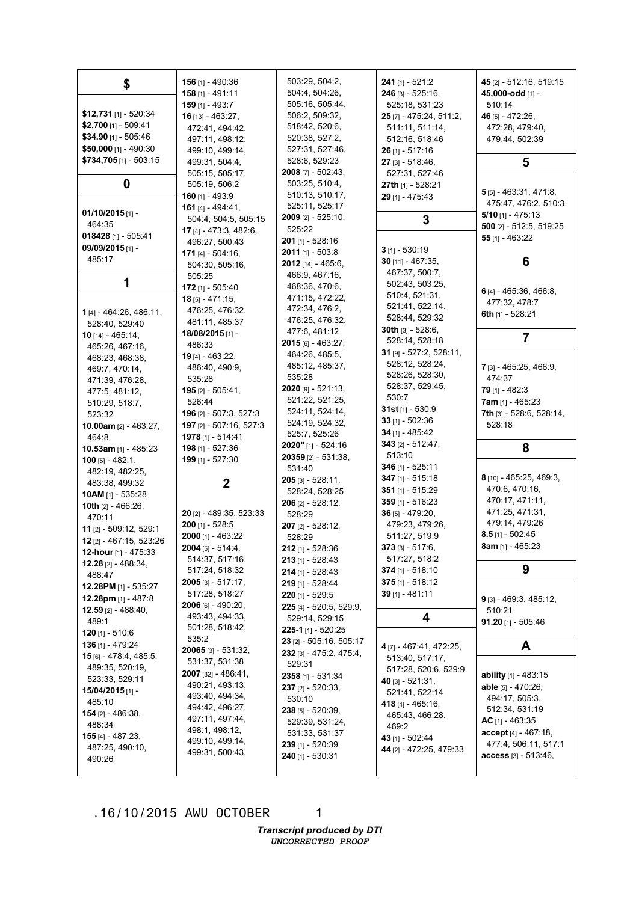| \$                                                   | <b>156</b> [1] - 490:36       | 503:29, 504:2,                 | $241$ [1] - 521:2           | 45 [2] - 512:16, 519:15        |
|------------------------------------------------------|-------------------------------|--------------------------------|-----------------------------|--------------------------------|
|                                                      | $158$ [1] - 491:11            | 504:4, 504:26,                 | 246 [3] - 525:16,           | 45,000-odd [1] -               |
|                                                      | $159$ [1] - 493:7             | 505:16, 505:44,                | 525:18, 531:23              | 510:14                         |
| $$12,731$ [1] - 520:34                               | $16$ [13] - 463:27,           | 506:2, 509:32,                 | 25 [7] - 475:24, 511:2,     | 46 [5] - 472:26,               |
| \$2,700 [1] - 509:41                                 | 472:41, 494:42,               | 518:42, 520:6,                 | 511:11, 511:14,             | 472:28, 479:40,                |
| \$34.90 [1] - 505:46                                 | 497:11, 498:12,               | 520:38, 527:2,                 | 512:16, 518:46              | 479:44, 502:39                 |
| $$50,000$ [1] - 490:30                               | 499:10, 499:14,               | 527:31, 527:46,                | $26$ [1] - 517:16           |                                |
| $$734,705$ [1] - 503:15                              | 499:31, 504:4,                | 528:6, 529:23                  | $27$ [3] - 518:46,          | 5                              |
|                                                      | 505:15, 505:17,               | 2008 [7] - 502:43,             | 527:31, 527:46              |                                |
| 0                                                    | 505:19, 506:2                 | 503:25, 510:4,                 | 27th [1] - 528:21           | $5$ [5] - 463:31, 471:8,       |
|                                                      | $160$ [1] - 493:9             | 510:13, 510:17,                | $29$ [1] - 475:43           | 475:47, 476:2, 510:3           |
| $01/10/2015$ [1] -                                   | 161 [4] - 494:41.             | 525:11, 525:17                 |                             | $5/10$ [1] - 475:13            |
| 464:35                                               | 504:4, 504:5, 505:15          | <b>2009</b> [2] - 525:10,      | 3                           | 500 [2] - 512:5, 519:25        |
| 018428 [1] - 505:41                                  | 17 [4] - 473:3, 482:6,        | 525:22                         |                             | $55$ [1] - 463:22              |
| 09/09/2015 [1] -                                     | 496:27, 500:43                | <b>201</b> [1] - 528:16        | $3$ [1] - 530:19            |                                |
| 485:17                                               | 171 $[4] - 504:16$            | $2011$ [1] - 503:8             | $30$ [11] - 467:35,         | 6                              |
|                                                      | 504:30, 505:16,               | $2012$ [14] - 465:6,           | 467:37, 500:7,              |                                |
| 1                                                    | 505:25                        | 466:9, 467:16,                 | 502:43, 503:25,             |                                |
|                                                      | $172$ [1] - 505:40            | 468:36, 470:6,                 | 510:4, 521:31,              | 6 $[4] - 465:36, 466:8,$       |
|                                                      | $18$ [5] - 471:15,            | 471:15, 472:22,                | 521:41, 522:14,             | 477:32, 478:7                  |
| 1 [4] - 464:26, 486:11,                              | 476:25, 476:32,               | 472:34, 476:2,                 | 528:44, 529:32              | 6th $[1] - 528:21$             |
| 528:40, 529:40                                       | 481:11, 485:37                | 476:25, 476:32,                | <b>30th</b> $[3] - 528:6$ , |                                |
| $10$ [14] - 465:14,                                  | 18/08/2015 [1] -              | 477:6, 481:12                  | 528:14, 528:18              | 7                              |
| 465:26, 467:16,                                      | 486:33                        | 2015 [6] - 463:27,             | 31 [9] - 527:2, 528:11,     |                                |
| 468:23, 468:38,                                      | <b>19</b> [4] - 463:22,       | 464:26, 485:5,                 | 528:12, 528:24,             |                                |
| 469:7, 470:14,                                       | 486:40, 490:9,                | 485:12, 485:37,<br>535:28      | 528:26, 528:30,             | 7 [3] - 465:25, 466:9,         |
| 471:39, 476:28,                                      | 535:28                        | $2020$ [9] - 521:13,           | 528:37, 529:45,             | 474:37                         |
| 477:5, 481:12,                                       | <b>195</b> [2] - 505:41,      | 521:22, 521:25,                | 530:7                       | $79$ [1] - 482:3               |
| 510:29, 518:7,                                       | 526:44                        | 524:11, 524:14,                | 31st $[1] - 530.9$          | $7$ am [1] - 465:23            |
| 523:32                                               | <b>196</b> [2] - 507:3, 527:3 | 524:19, 524:32,                | 33 $[1] - 502:36$           | 7th [3] - 528:6, 528:14,       |
| 10.00am $[2] - 463:27$ ,                             | 197 [2] - 507:16, 527:3       | 525:7, 525:26                  | $34$ [1] - 485:42           | 528:18                         |
| 464:8                                                | 1978 [1] - 514:41             | $2020"$ [1] - 524:16           | 343 [2] - 512:47,           |                                |
| 10.53am [1] - 485:23                                 | $198$ [1] - 527:36            | 20359 [2] - 531:38,            | 513:10                      | 8                              |
| $100$ [5] - 482:1,                                   | 199 [1] - 527:30              | 531:40                         | 346 $[1] - 525:11$          |                                |
| 482:19, 482:25,                                      |                               | $205$ [3] - 528:11,            | $347$ [1] - 515:18          | 8 [10] - 465:25, 469:3,        |
| 483:38, 499:32                                       | 2                             | 528:24, 528:25                 | $351$ [1] - 515:29          | 470:6, 470:16,                 |
| 10AM [1] - 535:28                                    |                               | $206$ [2] - 528:12,            | 359 [1] - 516:23            | 470:17, 471:11,                |
| 10th $[2] - 466:26$ ,                                | 20 [2] - 489:35, 523:33       | 528:29                         | $36$ [5] - 479:20,          | 471:25, 471:31,                |
| 470:11                                               | $200$ [1] - 528:5             | $207$ [2] - 528:12,            | 479:23, 479:26,             | 479:14, 479:26                 |
| 11 [2] - 509:12, 529:1                               | 2000 [1] - 463:22             | 528:29                         | 511:27, 519:9               | $8.5$ [1] - 502:45             |
| 12 [2] - 467:15, 523:26                              | $2004$ [5] - 514:4,           | $212$ [1] - 528:36             | $373$ [3] - $517:6$ ,       | 8am [1] - 465:23               |
| 12-hour $[1]$ - 475:33<br><b>12.28</b> [2] - 488:34, | 514:37, 517:16,               | <b>213</b> [1] - 528:43        | 517:27, 518:2               |                                |
|                                                      | 517:24, 518:32                | 214 [1] - 528:43               | $374$ [1] - 518:10          | 9                              |
| 488:47                                               | <b>2005</b> [3] - 517:17,     | 219 [1] - 528:44               | $375$ [1] - 518:12          |                                |
| 12.28PM [1] - 535:27<br>12.28pm [1] - 487:8          | 517:28, 518:27                | 220 [1] - 529:5                | $39$ [1] - 481:11           | 9 [3] - 469:3, 485:12,         |
| 12.59 $[2] - 488:40,$                                | $2006$ [6] - 490:20,          | 225 [4] - 520:5, 529:9,        |                             |                                |
| 489:1                                                | 493:43, 494:33,               | 529:14, 529:15                 | 4                           | 510:21<br>$91.20$ [1] - 505:46 |
| <b>120</b> [1] - 510:6                               | 501:28, 518:42,               | <b>225-1</b> [1] - 520:25      |                             |                                |
| <b>136</b> [1] - 479:24                              | 535:2                         | 23 [2] - 505:16, 505:17        |                             | A                              |
| <b>15</b> [6] - 478:4, 485:5,                        | $20065$ [3] - 531:32,         | <b>232</b> [3] - 475:2, 475:4, | 4 [7] - 467:41, 472:25,     |                                |
| 489:35, 520:19,                                      | 531:37, 531:38                | 529:31                         | 513:40, 517:17,             |                                |
| 523:33, 529:11                                       | <b>2007</b> [32] - 486:41,    | $2358$ [1] - 531:34            | 517:28, 520:6, 529:9        | <b>ability</b> $[1]$ - 483:15  |
| 15/04/2015 [1] -                                     | 490:21, 493:13,               | $237$ [2] - 520:33,            | 40 $[3] - 521:31$           | <b>able</b> [5] - 470:26,      |
| 485:10                                               | 493:40, 494:34,               | 530:10                         | 521:41, 522:14              | 494:17, 505:3,                 |
| <b>154</b> [2] - 486:38,                             | 494:42, 496:27,               | $238$ [5] - 520:39,            | <b>418</b> [4] - 465:16,    | 512:34, 531:19                 |
| 488:34                                               | 497:11, 497:44,               | 529:39, 531:24,                | 465:43, 466:28,<br>469:2    | AC $[1] - 463:35$              |
| <b>155</b> [4] - 487:23,                             | 498:1, 498:12,                | 531:33, 531:37                 | 43 [1] - 502:44             | $accept[4] - 467:18,$          |
| 487:25, 490:10,                                      | 499:10, 499:14,               | $239$ [1] - 520:39             | 44 [2] - 472:25, 479:33     | 477:4, 506:11, 517:1           |
| 490:26                                               | 499:31, 500:43,               | <b>240</b> [1] - 530:31        |                             | $access_{[3]} - 513:46,$       |
|                                                      |                               |                                |                             |                                |

1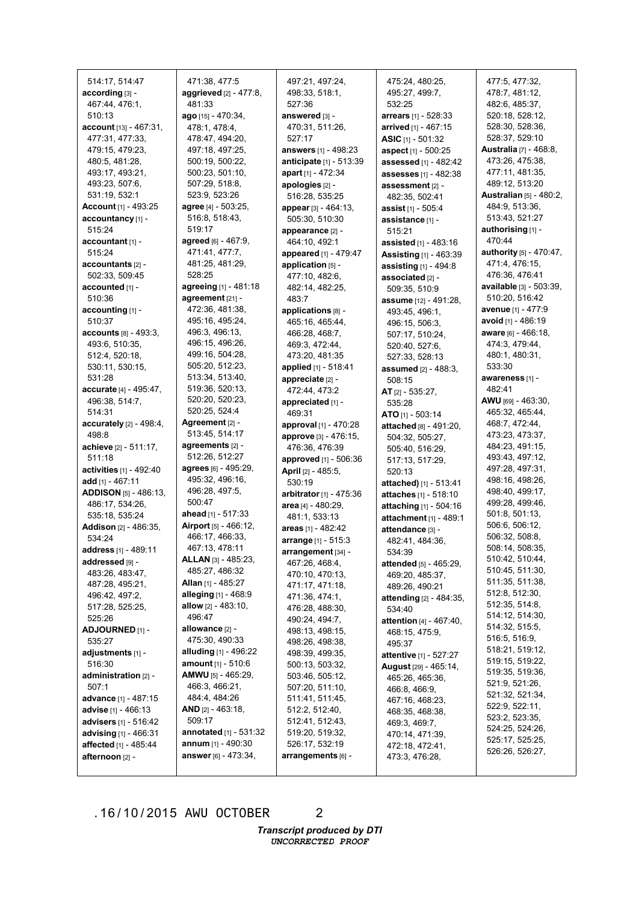| 514:17, 514:47                    | 471:38, 477:5                           | 497:21, 497:24,               | 475:24, 480:25,                | 477:5, 477:32,                     |
|-----------------------------------|-----------------------------------------|-------------------------------|--------------------------------|------------------------------------|
| according [3] -                   | aggrieved [2] - 477:8,                  | 498:33, 518:1,                | 495:27, 499:7,                 | 478:7, 481:12,                     |
| 467:44, 476:1,                    | 481:33                                  | 527:36                        | 532:25                         | 482:6, 485:37,                     |
| 510:13                            | ago [15] - 470:34,                      | answered [3] -                | <b>arrears</b> [1] - 528:33    | 520:18, 528:12,                    |
| account [13] - 467:31.            | 478:1, 478:4,                           | 470:31, 511:26,               | arrived [1] - 467:15           | 528:30, 528:36,                    |
| 477:31, 477:33,                   | 478:47, 494:20,                         | 527:17                        | ASIC [1] - 501:32              | 528:37, 529:10                     |
| 479:15, 479:23,                   | 497:18, 497:25,                         | <b>answers</b> $[1] - 498:23$ | aspect [1] - 500:25            | <b>Australia</b> [7] - 468:8,      |
| 480:5, 481:28,                    | 500:19, 500:22,                         | anticipate [1] - 513:39       | assessed [1] - 482:42          | 473:26, 475:38,                    |
| 493:17, 493:21,                   | 500:23, 501:10,                         | apart $[1] - 472:34$          | assesses [1] - 482:38          | 477:11, 481:35,                    |
| 493:23, 507:6,                    | 507:29, 518:8,                          | apologies [2] -               | assessment [2] -               | 489:12, 513:20                     |
| 531:19, 532:1                     | 523:9, 523:26                           | 516:28, 535:25                | 482:35, 502:41                 | <b>Australian [5] - 480:2,</b>     |
| <b>Account</b> [1] - 493:25       | agree [4] - 503:25,                     | appear [3] - 464:13,          | <b>assist</b> $[1]$ - 505:4    | 484:9, 513:36,                     |
| accountancy [1] -                 | 516:8, 518:43,                          | 505:30, 510:30                | assistance [1] -               | 513:43, 521:27                     |
| 515:24                            | 519:17                                  | appearance [2] -              | 515:21                         | authorising [1] -                  |
| $accountant_{[1]}$                | agreed [6] - 467:9,                     | 464:10, 492:1                 | assisted [1] - 483:16          | 470:44                             |
| 515:24                            | 471:41, 477:7,                          | appeared [1] - 479:47         | Assisting [1] - 463:39         | authority [5] - 470:47,            |
| $accountants$ [2] -               | 481:25, 481:29,                         | application [5] -             | assisting [1] - 494:8          | 471:4, 476:15,                     |
| 502:33, 509:45                    | 528:25                                  | 477:10, 482:6,                | associated [2] -               | 476:36, 476:41                     |
| accounted [1] -                   | agreeing [1] - 481:18                   | 482:14, 482:25,               | 509:35, 510:9                  | available [3] - 503:39,            |
| 510:36                            | agreement [21] -                        | 483:7                         | assume [12] - 491:28,          | 510:20, 516:42                     |
| accounting $[1]$ -                | 472:36, 481:38,                         | applications [8] -            | 493:45, 496:1,                 | avenue [1] - 477:9                 |
| 510:37                            | 495:16, 495:24,                         | 465:16, 465:44,               | 496:15, 506:3,                 | avoid [1] - 486:19                 |
| <b>accounts</b> [8] - 493:3.      | 496:3, 496:13,                          | 466:28, 468:7,                | 507:17, 510:24,                | <b>aware</b> [6] - 466:18,         |
| 493:6, 510:35,                    | 496:15, 496:26,                         | 469:3, 472:44,                | 520:40, 527:6,                 | 474:3, 479:44,                     |
| 512:4, 520:18,                    | 499:16, 504:28,                         | 473:20, 481:35                | 527:33, 528:13                 | 480:1, 480:31,                     |
| 530:11, 530:15,                   | 505:20, 512:23,                         | applied [1] - 518:41          | assumed [2] - 488:3,           | 533:30                             |
| 531:28                            | 513:34, 513:40,                         | appreciate [2] -              | 508:15                         | awareness [1] -                    |
| accurate [4] - 495:47,            | 519:36, 520:13,                         | 472:44, 473:2                 | AT $[2] - 535:27$ ,            | 482:41                             |
| 496:38, 514:7,                    | 520:20, 520:23,                         | appreciated [1] -             | 535:28                         | $AWU$ [69] - 463:30,               |
| 514:31                            | 520:25, 524:4                           | 469:31                        | ATO [1] - 503:14               | 465:32, 465:44,                    |
| accurately $[2] - 498:4$ ,        | Agreement $[2]$ -                       | approval $[1] - 470:28$       | attached [8] - 491:20,         | 468:7, 472:44,                     |
|                                   | 513:45, 514:17                          |                               |                                |                                    |
| 498:8                             |                                         |                               |                                |                                    |
|                                   | agreements [2] -                        | approve [3] - 476:15,         | 504:32, 505:27,                | 473:23, 473:37,<br>484:23, 491:15, |
| achieve [2] - 511:17,             | 512:26, 512:27                          | 476:36, 476:39                | 505:40, 516:29,                | 493:43, 497:12,                    |
| 511:18                            |                                         | approved [1] - 506:36         | 517:13, 517:29,                |                                    |
| activities [1] - 492:40           | agrees [6] - 495:29,<br>495:32, 496:16, | April [2] - 485:5,            | 520:13                         | 497:28, 497:31,<br>498:16, 498:26, |
| add $[1] - 467:11$                | 496:28, 497:5,                          | 530:19                        | attached) [1] - 513:41         | 498:40, 499:17,                    |
| <b>ADDISON</b> [5] - 486:13,      | 500:47                                  | arbitrator [1] - 475:36       | attaches [1] - 518:10          | 499:28, 499:46,                    |
| 486:17, 534:26,                   | ahead [1] - 517:33                      | area [4] - 480:29,            | attaching $[1] - 504:16$       | 501:8, 501:13,                     |
| 535:18, 535:24                    | Airport [5] - 466:12,                   | 481:1, 533:13                 | attachment [1] - 489:1         | 506:6, 506:12,                     |
| <b>Addison</b> [2] - 486:35,      | 466:17, 466:33,                         | areas [1] - 482:42            | attendance [3] -               | 506:32, 508:8,                     |
| 534:24                            | 467:13, 478:11                          | arrange [1] - 515:3           | 482:41, 484:36,                | 508:14, 508:35,                    |
| address [1] - 489:11              | <b>ALLAN</b> [3] - 485:23,              | arrangement [34] -            | 534:39                         | 510:42, 510:44,                    |
| addressed [9] -                   | 485:27, 486:32                          | 467:26, 468:4,                | attended [5] - 465:29,         | 510:45, 511:30,                    |
| 483:26, 483:47,                   | Allan [1] - 485:27                      | 470:10, 470:13,               | 469:20, 485:37,                | 511:35, 511:38,                    |
| 487:28, 495:21,<br>496:42, 497:2, | alleging $[1] - 468.9$                  | 471:17, 471:18,               | 489:26, 490:21                 | 512:8, 512:30,                     |
|                                   |                                         | 471:36, 474:1,                | attending [2] - 484:35,        | 512:35, 514:8,                     |
| 517:28, 525:25,                   | <b>allow</b> $[2] - 483:10$ ,<br>496:47 | 476:28, 488:30,               | 534:40                         | 514:12, 514:30,                    |
| 525:26                            | allowance [2] -                         | 490:24, 494:7,                | <b>attention</b> [4] - 467:40, | 514:32, 515:5,                     |
| ADJOURNED [1] -<br>535:27         | 475:30, 490:33                          | 498:13, 498:15,               | 468:15, 475:9,                 | 516:5, 516:9,                      |
|                                   |                                         | 498:26, 498:38,               | 495:37                         | 518:21, 519:12,                    |
| adjustments [1] -                 | alluding $[1]$ - 496:22                 | 498:39, 499:35,               | <b>attentive</b> [1] - 527:27  | 519:15, 519:22,                    |
| 516:30                            | <b>amount</b> $[1] - 510:6$             | 500:13, 503:32,               | <b>August</b> [29] - 465:14,   | 519:35, 519:36,                    |
| administration [2] -              | <b>AMWU</b> [5] - 465:29,               | 503:46, 505:12,               | 465:26, 465:36,                | 521:9, 521:26,                     |
| 507:1                             | 466:3, 466:21,                          | 507:20, 511:10,               | 466:8, 466:9,                  | 521:32, 521:34,                    |
| <b>advance</b> [1] - 487:15       | 484:4, 484:26                           | 511:41, 511:45,               | 467:16, 468:23,                | 522:9, 522:11,                     |
| advise $[1] - 466:13$             | <b>AND</b> $[2] - 463:18$               | 512:2, 512:40,                | 468:35, 468:38,                | 523:2, 523:35,                     |
| <b>advisers</b> [1] - 516:42      | 509:17                                  | 512:41, 512:43,               | 469:3, 469:7,                  | 524:25, 524:26,                    |
| advising [1] - 466:31             | <b>annotated</b> $[1] - 531:32$         | 519:20, 519:32,               | 470:14, 471:39,                | 525:17, 525:25,                    |
| affected [1] - 485:44             | <b>annum</b> $[1] - 490:30$             | 526:17, 532:19                | 472:18, 472:41,                | 526:26, 526:27,                    |
| afternoon [2] -                   | answer [6] - 473:34,                    | arrangements [6] -            | 473:3, 476:28,                 |                                    |

2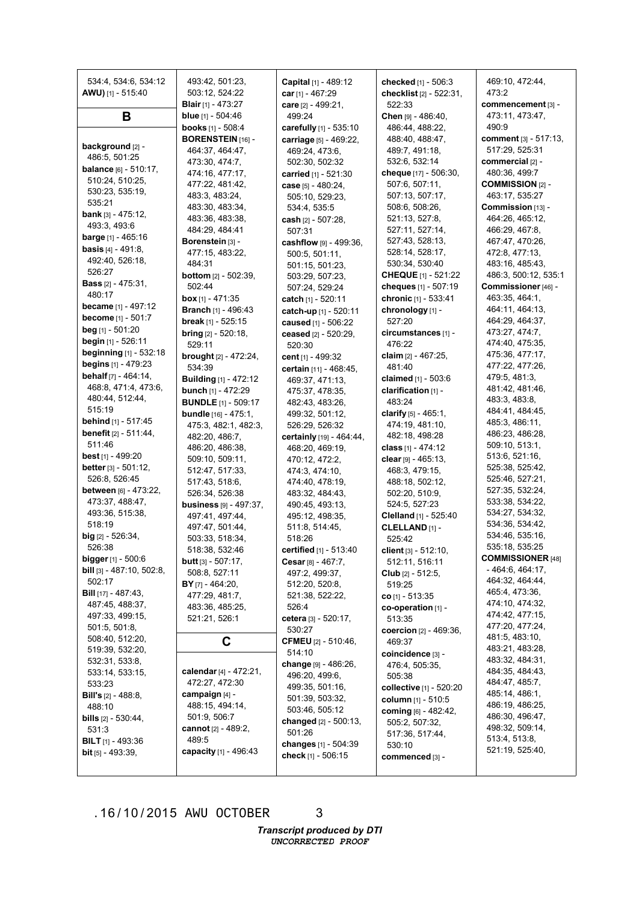| 534:4, 534:6, 534:12<br>AWU) [1] - 515:40             | 493:42, 501:23,<br>503:12, 524:22                   | Capital [1] - 489:12<br>car $[1] - 467:29$ | checked [1] - 506:3<br>checklist [2] - 522:31,    | 469:10, 472:44,<br>473:2                |
|-------------------------------------------------------|-----------------------------------------------------|--------------------------------------------|---------------------------------------------------|-----------------------------------------|
|                                                       | <b>Blair</b> [1] - 473:27                           | care [2] - 499:21,                         | 522:33                                            | commencement [3] -                      |
| В                                                     | blue [1] - 504:46                                   | 499:24                                     | Chen $[9] - 486:40$ ,                             | 473:11, 473:47,                         |
|                                                       | books [1] - 508:4                                   | carefully [1] - 535:10                     | 486:44, 488:22,                                   | 490:9                                   |
| background [2] -                                      | <b>BORENSTEIN [16] -</b><br>464:37, 464:47,         | carriage [5] - 469:22,<br>469:24, 473:6,   | 488:40, 488:47,<br>489:7, 491:18,                 | comment [3] - 517:13,<br>517:29, 525:31 |
| 486:5, 501:25                                         | 473:30, 474:7,                                      | 502:30, 502:32                             | 532:6, 532:14                                     | commercial [2] -                        |
| <b>balance</b> $[6] - 510:17$ ,                       | 474:16, 477:17,                                     | carried [1] - 521:30                       | cheque [17] - 506:30,                             | 480:36, 499:7                           |
| 510:24, 510:25,                                       | 477:22, 481:42,                                     | case [5] - 480:24,                         | 507:6, 507:11,                                    | <b>COMMISSION [2] -</b>                 |
| 530:23, 535:19,                                       | 483:3, 483:24,                                      | 505:10, 529:23,                            | 507:13, 507:17,                                   | 463:17, 535:27                          |
| 535:21<br>bank $[3] - 475:12$ ,                       | 483:30, 483:34,                                     | 534:4, 535:5                               | 508:6, 508:26,                                    | Commission [13] -                       |
| 493:3, 493:6                                          | 483:36, 483:38,                                     | cash $[2] - 507:28$ .                      | 521:13, 527:8,                                    | 464:26, 465:12,                         |
| <b>barge</b> $[1]$ - 465:16                           | 484:29, 484:41                                      | 507:31                                     | 527:11, 527:14,                                   | 466:29, 467:8,                          |
| <b>basis</b> $[4] - 491:8$ ,                          | Borenstein [3] -                                    | cashflow [9] - 499:36,                     | 527:43, 528:13,                                   | 467:47, 470:26,                         |
| 492:40, 526:18,                                       | 477:15, 483:22,<br>484:31                           | 500:5, 501:11,                             | 528:14, 528:17,<br>530:34, 530:40                 | 472:8, 477:13,<br>483:16, 485:43,       |
| 526:27                                                | <b>bottom</b> $[2] - 502:39$ ,                      | 501:15, 501:23,<br>503:29, 507:23,         | <b>CHEQUE</b> [1] - 521:22                        | 486:3, 500:12, 535:1                    |
| <b>Bass</b> $[2] - 475:31$ ,                          | 502:44                                              | 507:24, 529:24                             | cheques [1] - 507:19                              | Commissioner [46] -                     |
| 480:17                                                | <b>box</b> [1] - 471:35                             | catch [1] - 520:11                         | chronic [1] - 533:41                              | 463:35, 464:1,                          |
| <b>became</b> $[1] - 497:12$                          | <b>Branch</b> [1] - 496:43                          | catch-up [1] - 520:11                      | chronology [1] -                                  | 464:11, 464:13,                         |
| become [1] - 501:7                                    | break [1] - 525:15                                  | caused [1] - 506:22                        | 527:20                                            | 464:29, 464:37,                         |
| beg [1] - 501:20                                      | <b>bring</b> $[2] - 520:18$ ,                       | ceased [2] - 520:29,                       | circumstances [1] -                               | 473:27, 474:7,                          |
| <b>begin</b> $[1]$ - 526:11                           | 529:11                                              | 520:30                                     | 476:22                                            | 474:40, 475:35,                         |
| beginning [1] - 532:18                                | <b>brought</b> [2] - 472:24,                        | cent [1] - 499:32                          | claim $[2] - 467:25$ ,                            | 475:36, 477:17,                         |
| begins [1] - 479:23<br><b>behalf</b> $[7] - 464:14$ , | 534:39                                              | certain [11] - 468:45,                     | 481:40                                            | 477:22, 477:26,                         |
| 468:8, 471:4, 473:6,                                  | <b>Building</b> $[1]$ - 472:12                      | 469:37, 471:13,                            | <b>claimed</b> [1] - 503:6                        | 479:5, 481:3,                           |
| 480:44, 512:44,                                       | bunch [1] - 472:29                                  | 475:37, 478:35,                            | clarification [1] -                               | 481:42, 481:46,<br>483:3, 483:8,        |
| 515:19                                                | <b>BUNDLE</b> [1] - 509:17                          | 482:43, 483:26,                            | 483:24                                            | 484:41, 484:45,                         |
| <b>behind</b> $[1] - 517:45$                          | <b>bundle</b> [16] - 475:1,<br>475:3, 482:1, 482:3, | 499:32, 501:12,<br>526:29, 526:32          | clarify [5] - 465:1,<br>474:19, 481:10,           | 485:3, 486:11,                          |
| <b>benefit</b> $[2] - 511:44$ ,                       | 482:20, 486:7,                                      | certainly [19] - 464:44,                   | 482:18, 498:28                                    | 486:23, 486:28,                         |
| 511:46                                                | 486:20, 486:38,                                     | 468:20, 469:19,                            | class $[1] - 474:12$                              | 509:10, 513:1,                          |
| <b>best</b> [1] - 499:20                              | 509:10, 509:11,                                     | 470:12, 472:2,                             | clear [9] - 465:13,                               | 513:6, 521:16,                          |
| <b>better</b> $[3] - 501:12$ ,                        | 512:47, 517:33,                                     | 474:3, 474:10,                             | 468:3, 479:15,                                    | 525:38, 525:42,                         |
| 526:8, 526:45                                         | 517:43, 518:6,                                      | 474:40, 478:19,                            | 488:18, 502:12,                                   | 525:46, 527:21,                         |
| between [6] - 473:22,                                 | 526:34, 526:38                                      | 483:32, 484:43,                            | 502:20, 510:9,                                    | 527:35, 532:24,                         |
| 473:37, 488:47,                                       | <b>business</b> [9] - 497:37,                       | 490:45, 493:13,                            | 524:5, 527:23                                     | 533:38, 534:22,                         |
| 493:36, 515:38,<br>518:19                             | 497:41, 497:44,                                     | 495:12, 498:35,                            | Clelland [1] - 525:40                             | 534:27, 534:32,<br>534:36, 534:42,      |
| $big$ [2] - 526:34,                                   | 497:47, 501:44,                                     | 511:8, 514:45,                             | CLELLAND [1] -                                    | 534:46, 535:16,                         |
| 526:38                                                | 503:33, 518:34,<br>518:38, 532:46                   | 518:26<br>certified [1] - 513:40           | 525:42                                            | 535:18, 535:25                          |
| <b>bigger</b> [1] - 500:6                             | <b>butt</b> [3] - 507:17,                           | Cesar [8] - 467:7,                         | client [3] - 512:10,<br>512:11, 516:11            | <b>COMMISSIONER [48]</b>                |
| <b>bill</b> $[3] - 487:10, 502:8,$                    | 508:8, 527:11                                       | 497:2, 499:37,                             | <b>Club</b> $[2] - 512:5,$                        | $-464:6, 464:17,$                       |
| 502:17                                                | <b>BY</b> [7] - 464:20,                             | 512:20, 520:8,                             | 519:25                                            | 464:32, 464:44,                         |
| <b>Bill</b> [17] - 487:43,                            | 477:29, 481:7,                                      | 521:38, 522:22,                            | <b>co</b> [1] - 513:35                            | 465:4, 473:36,                          |
| 487:45, 488:37,                                       | 483:36, 485:25,                                     | 526:4                                      | co-operation [1] -                                | 474:10, 474:32,                         |
| 497:33, 499:15,                                       | 521:21, 526:1                                       | cetera [3] - 520:17,                       | 513:35                                            | 474:42, 477:15,                         |
| 501:5, 501:8,                                         |                                                     | 530:27                                     | coercion [2] - 469:36,                            | 477:20, 477:24,                         |
| 508:40, 512:20,                                       | C                                                   | CFMEU [2] - 510:46,                        | 469:37                                            | 481:5, 483:10,<br>483:21, 483:28,       |
| 519:39, 532:20,<br>532:31, 533:8,                     |                                                     | 514:10                                     | coincidence [3] -                                 | 483:32, 484:31,                         |
| 533:14, 533:15,                                       | calendar [4] - 472:21,                              | change [9] - 486:26,                       | 476:4, 505:35,                                    | 484:35, 484:43,                         |
| 533:23                                                | 472:27, 472:30                                      | 496:20, 499:6,<br>499:35, 501:16,          | 505:38                                            | 484:47, 485:7,                          |
| <b>Bill's</b> $[2] - 488.8$                           | campaign [4] -                                      | 501:39, 503:32,                            | collective [1] - 520:20                           | 485:14, 486:1,                          |
| 488:10                                                | 488:15, 494:14,                                     | 503:46, 505:12                             | <b>column</b> [1] - 510:5<br>coming [6] - 482:42, | 486:19, 486:25,                         |
| <b>bills</b> $[2] - 530:44$ ,                         | 501:9, 506:7                                        | changed [2] - 500:13,                      | 505:2, 507:32,                                    | 486:30, 496:47,                         |
| 531:3                                                 | cannot $[2] - 489:2$                                | 501:26                                     | 517:36, 517:44,                                   | 498:32, 509:14,                         |
| <b>BILT</b> $[1]$ - 493:36                            | 489:5                                               | changes [1] - 504:39                       | 530:10                                            | 513:4, 513:8,                           |
| <b>bit</b> $[5] - 493:39$ ,                           | capacity $[1] - 496:43$                             | check [1] - 506:15                         | commenced [3] -                                   | 521:19, 525:40,                         |
|                                                       |                                                     |                                            |                                                   |                                         |

3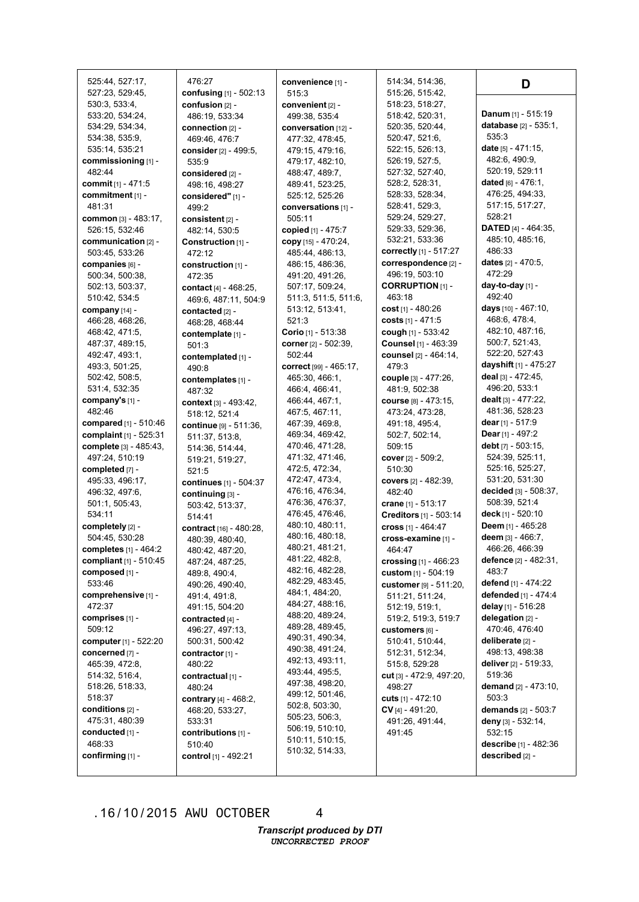| 525:44, 527:17,                   | 476:27                                     | convenience [1] -                  | 514:34, 514:36,                   | D                                             |
|-----------------------------------|--------------------------------------------|------------------------------------|-----------------------------------|-----------------------------------------------|
| 527:23, 529:45,                   | confusing $[1] - 502:13$                   | 515:3                              | 515:26, 515:42,                   |                                               |
| 530:3, 533:4,                     | confusion [2] -                            | convenient $[2]$ -                 | 518:23, 518:27,                   |                                               |
| 533:20, 534:24,                   | 486:19, 533:34                             | 499:38, 535:4                      | 518:42, 520:31,                   | Danum $[1] - 515:19$                          |
| 534:29, 534:34,                   | connection [2] -                           | conversation [12] -                | 520:35, 520:44,                   | database [2] - 535:1,                         |
| 534:38, 535:9,                    | 469:46, 476:7                              | 477:32, 478:45,                    | 520:47, 521:6,                    | 535:3                                         |
| 535:14, 535:21                    | consider [2] - 499:5,                      | 479:15, 479:16,                    | 522:15, 526:13,                   | date $[5] - 471:15$ ,                         |
| commissioning [1] -               | 535:9                                      | 479:17, 482:10,                    | 526:19, 527:5,                    | 482:6, 490:9,                                 |
| 482:44                            | considered [2] -                           | 488:47, 489:7,                     | 527:32, 527:40,                   | 520:19, 529:11                                |
| commit [1] - 471:5                | 498:16, 498:27                             | 489:41, 523:25,                    | 528:2, 528:31,                    | dated $[6] - 476:1$ ,                         |
| commitment [1] -                  | considered" [1] -                          | 525:12, 525:26                     | 528:33, 528:34,                   | 476:25, 494:33,                               |
| 481:31                            | 499:2                                      | conversations [1] -                | 528:41, 529:3,                    | 517:15, 517:27,                               |
| common [3] - 483:17,              | consistent [2] -                           | 505:11                             | 529:24, 529:27,                   | 528:21                                        |
| 526:15, 532:46                    | 482:14, 530:5                              | copied [1] - 475:7                 | 529:33, 529:36,                   | <b>DATED</b> [4] - 464:35,                    |
| communication [2] -               | Construction [1] -                         | copy [15] - 470:24,                | 532:21, 533:36                    | 485:10, 485:16,                               |
| 503:45, 533:26                    | 472:12                                     | 485:44, 486:13,                    | correctly [1] - 517:27            | 486:33                                        |
| companies [6] -                   | construction [1] -                         | 486:15, 486:36,                    | correspondence [2] -              | dates $[2] - 470:5,$                          |
| 500:34, 500:38,                   | 472:35                                     | 491:20, 491:26,                    | 496:19, 503:10                    | 472:29                                        |
| 502:13, 503:37,                   | contact [4] - 468:25,                      | 507:17, 509:24,                    | <b>CORRUPTION [1] -</b>           | day-to-day [1] -                              |
| 510:42, 534:5                     | 469:6, 487:11, 504:9                       | 511:3, 511:5, 511:6,               | 463:18                            | 492:40                                        |
| company [14] -                    | contacted [2] -                            | 513:12, 513:41,                    | cost $[1]$ - 480:26               | <b>days</b> $[10] - 467:10$ ,                 |
| 466:28, 468:26,                   | 468:28, 468:44                             | 521:3                              | costs [1] - 471:5                 | 468:6, 478:4,                                 |
| 468:42, 471:5,                    | contemplate [1] -                          | Corio [1] - 513:38                 | cough [1] - 533:42                | 482:10, 487:16,                               |
| 487:37, 489:15,                   | 501:3                                      | corner [2] - 502:39,               | Counsel [1] - 463:39              | 500:7, 521:43,                                |
| 492:47, 493:1,                    | contemplated [1] -                         | 502:44                             | counsel [2] - 464:14,             | 522:20, 527:43                                |
| 493:3, 501:25,                    | 490:8                                      | correct [99] - 465:17,             | 479:3                             | dayshift [1] - 475:27                         |
| 502:42, 508:5,                    | contemplates [1] -                         | 465:30, 466:1,                     | <b>couple</b> [3] - 477:26,       | deal [3] - 472:45,                            |
| 531:4, 532:35                     | 487:32                                     | 466:4, 466:41,                     | 481:9, 502:38                     | 496:20, 533:1                                 |
| company's [1] -                   | context [3] - 493:42,                      | 466:44, 467:1,                     | course [8] - 473:15,              | dealt [3] - 477:22,                           |
| 482:46                            | 518:12, 521:4                              | 467:5, 467:11,                     | 473:24, 473:28,                   | 481:36, 528:23                                |
| compared [1] - 510:46             | continue [9] - 511:36,                     | 467:39, 469:8,                     | 491:18, 495:4,                    | dear $[1] - 517:9$                            |
| complaint [1] - 525:31            | 511:37, 513:8,                             | 469:34, 469:42,                    | 502:7, 502:14,                    | <b>Dear</b> [1] - 497:2<br>debt [7] - 503:15, |
| complete [3] - 485:43,            | 514:36, 514:44,                            | 470:46, 471:28,                    | 509:15                            | 524:39, 525:11,                               |
| 497:24, 510:19                    | 519:21, 519:27,                            | 471:32, 471:46,<br>472:5, 472:34,  | cover [2] - 509:2,                | 525:16, 525:27,                               |
| completed [7] -                   | 521:5                                      | 472:47, 473:4,                     | 510:30                            | 531:20, 531:30                                |
| 495:33, 496:17,<br>496:32, 497:6, | continues [1] - 504:37                     | 476:16, 476:34,                    | covers $[2] - 482:39$ ,<br>482:40 | decided [3] - 508:37,                         |
| 501:1, 505:43,                    | continuing [3] -                           | 476:36, 476:37,                    | crane $[1] - 513:17$              | 508:39, 521:4                                 |
| 534:11                            | 503:42, 513:37,                            | 476:45, 476:46,                    | Creditors [1] - 503:14            | deck [1] - 520:10                             |
| completely [2] -                  | 514:41                                     | 480:10, 480:11,                    | cross $[1] - 464:47$              | Deem [1] - 465:28                             |
| 504:45, 530:28                    | contract [16] - 480:28,<br>480:39, 480:40, | 480:16, 480:18,                    | cross-examine [1] -               | deem [3] - 466:7.                             |
| completes [1] - 464:2             |                                            | 480:21, 481:21,                    | 464:47                            | 466:26, 466:39                                |
| compliant [1] - 510:45            | 480:42, 487:20,<br>487:24, 487:25,         | 481:22, 482:8,                     | crossing $[1] - 466:23$           | defence $[2] - 482:31$ ,                      |
| composed [1] -                    | 489:8, 490:4,                              | 482:16, 482:28,                    | custom [1] - 504:19               | 483:7                                         |
| 533:46                            | 490:26, 490:40,                            | 482:29, 483:45,                    | customer [9] - 511:20,            | defend [1] - 474:22                           |
| comprehensive [1] -               | 491:4, 491:8,                              | 484:1, 484:20,                     | 511:21, 511:24,                   | defended [1] - 474:4                          |
| 472:37                            | 491:15, 504:20                             | 484:27, 488:16,                    | 512:19, 519:1,                    | delay [1] - 516:28                            |
| comprises [1] -                   | contracted $[4]$ -                         | 488:20, 489:24,                    | 519:2, 519:3, 519:7               | delegation [2] -                              |
| 509:12                            | 496:27, 497:13,                            | 489:28, 489:45,                    | customers [6] -                   | 470:46, 476:40                                |
| computer [1] - 522:20             | 500:31, 500:42                             | 490:31, 490:34,                    | 510:41, 510:44,                   | deliberate [2] -                              |
| concerned [7] -                   | contractor [1] -                           | 490:38, 491:24,                    | 512:31, 512:34,                   | 498:13, 498:38                                |
| 465:39, 472:8,                    | 480:22                                     | 492:13, 493:11,                    | 515:8, 529:28                     | deliver [2] - 519:33,                         |
| 514:32, 516:4,                    | contractual [1] -                          | 493:44, 495:5,                     | cut [3] - 472:9, 497:20,          | 519:36                                        |
| 518:26, 518:33,                   | 480:24                                     | 497:38, 498:20,                    | 498:27                            | <b>demand</b> $[2] - 473:10$ ,                |
| 518:37                            | contrary [4] - 468:2,                      | 499:12, 501:46,                    | cuts $[1] - 472:10$               | 503:3                                         |
| conditions [2] -                  | 468:20, 533:27,                            | 502:8, 503:30,                     | $CV$ <sub>[4]</sub> - 491:20,     | demands $[2] - 503:7$                         |
| 475:31, 480:39                    | 533:31                                     | 505:23, 506:3,                     | 491:26, 491:44,                   | deny [3] - 532:14,                            |
| conducted [1] -                   | contributions [1] -                        | 506:19, 510:10,                    | 491:45                            | 532:15                                        |
| 468:33                            | 510:40                                     | 510:11, 510:15,<br>510:32, 514:33, |                                   | describe [1] - 482:36                         |
| confirming [1] -                  | control [1] - 492:21                       |                                    |                                   | described [2] -                               |
|                                   |                                            |                                    |                                   |                                               |

4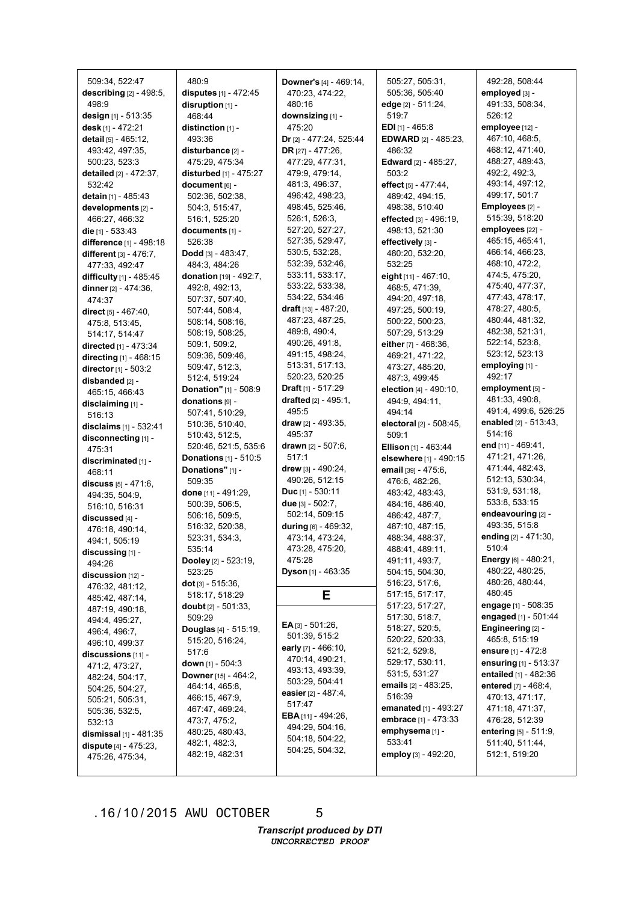| 509:34, 522:47                              | 480:9                                        | Downer's [4] - 469:14,                        | 505:27, 505:31,                    | 492:28, 508:44                                         |
|---------------------------------------------|----------------------------------------------|-----------------------------------------------|------------------------------------|--------------------------------------------------------|
| describing [2] - 498:5,                     | disputes [1] - 472:45                        | 470:23, 474:22,                               | 505:36, 505:40                     | employed [3] -                                         |
| 498:9                                       | disruption [1] -                             | 480:16                                        | edge [2] - 511:24,                 | 491:33, 508:34,                                        |
| design [1] - 513:35                         | 468:44                                       | downsizing [1] -                              | 519:7                              | 526:12                                                 |
| desk [1] - 472:21                           | distinction $[1]$ -                          | 475:20                                        | <b>EDI</b> $[1]$ - 465:8           | employee [12] -                                        |
| detail [5] - 465:12.                        | 493:36                                       | Dr [2] - 477:24, 525:44                       | <b>EDWARD</b> [2] - 485:23,        | 467:10, 468:5,                                         |
| 493:42, 497:35,                             | disturbance [2] -                            | DR $[27] - 477:26$ ,                          | 486:32                             | 468:12, 471:40,                                        |
| 500:23, 523:3                               | 475:29, 475:34                               | 477:29, 477:31,                               | <b>Edward</b> $[2] - 485:27$ ,     | 488:27, 489:43,                                        |
| detailed [2] - 472:37,                      | disturbed [1] - 475:27                       | 479:9, 479:14,                                | 503:2                              | 492:2, 492:3,                                          |
| 532:42                                      | document [6] -                               | 481:3, 496:37,                                | effect [5] - 477:44,               | 493:14, 497:12,                                        |
| detain [1] - 485:43                         | 502:36, 502:38,                              | 496:42, 498:23,                               | 489:42, 494:15,                    | 499:17, 501:7                                          |
| developments [2] -                          | 504:3, 515:47,                               | 498:45, 525:46,                               | 498:38, 510:40                     | Employees [2] -                                        |
| 466:27, 466:32                              | 516:1, 525:20                                | 526:1, 526:3,                                 | effected [3] - 496:19,             | 515:39, 518:20                                         |
| die $[1] - 533:43$                          | documents [1] -                              | 527:20, 527:27,                               | 498:13, 521:30                     | employees [22] -                                       |
| difference [1] - 498:18                     | 526:38                                       | 527:35, 529:47,                               | effectively [3] -                  | 465:15, 465:41,                                        |
| different $[3] - 476:7$ ,                   | <b>Dodd</b> [3] - 483:47,                    | 530:5, 532:28,                                | 480:20, 532:20,                    | 466:14, 466:23,                                        |
| 477:33, 492:47                              | 484:3, 484:26                                | 532:39, 532:46,                               | 532:25                             | 468:10, 472:2,                                         |
| difficulty [1] - 485:45                     | donation [19] - 492:7,                       | 533:11, 533:17,                               | eight $[11] - 467:10$ ,            | 474:5, 475:20,                                         |
| dinner [2] - 474:36,                        | 492:8, 492:13,                               | 533:22, 533:38,                               | 468:5, 471:39,                     | 475:40, 477:37,                                        |
| 474:37                                      | 507:37, 507:40,                              | 534:22, 534:46                                | 494:20, 497:18,                    | 477:43, 478:17,                                        |
| direct $[5] - 467:40$ ,                     | 507:44, 508:4,                               | draft $[13] - 487:20$ ,                       | 497:25, 500:19,                    | 478:27, 480:5,                                         |
| 475:8, 513:45,                              | 508:14, 508:16,                              | 487:23, 487:25,                               | 500:22, 500:23,                    | 480:44, 481:32,                                        |
| 514:17, 514:47                              | 508:19, 508:25,                              | 489:8, 490:4,                                 | 507:29, 513:29                     | 482:38, 521:31,                                        |
| directed [1] - 473:34                       | 509:1, 509:2,                                | 490:26, 491:8,                                | either $[7] - 468:36$ ,            | 522:14, 523:8,                                         |
| directing [1] - 468:15                      | 509:36, 509:46,                              | 491:15, 498:24,                               | 469:21, 471:22,                    | 523:12, 523:13                                         |
| director [1] - 503:2                        | 509:47, 512:3,                               | 513:31, 517:13,                               | 473:27, 485:20,                    | employing [1] -                                        |
| disbanded [2] -                             | 512:4, 519:24                                | 520:23, 520:25                                | 487:3, 499:45                      | 492:17                                                 |
| 465:15, 466:43                              | Donation" [1] - 508:9                        | Draft [1] - 517:29                            | election [4] - 490:10,             | employment [5] -                                       |
| disclaiming [1] -                           | donations [9] -                              | drafted $[2] - 495:1$ ,                       | 494:9, 494:11,                     | 481:33, 490:8,                                         |
| 516:13                                      | 507:41, 510:29,                              | 495:5                                         | 494:14                             | 491:4, 499:6, 526:25                                   |
|                                             |                                              |                                               |                                    |                                                        |
|                                             |                                              | draw $[2] - 493:35,$                          |                                    |                                                        |
| disclaims [1] - 532:41                      | 510:36, 510:40,                              | 495:37                                        | <b>electoral</b> [2] - 508:45,     | enabled [2] - 513:43,<br>514:16                        |
| disconnecting [1] -                         | 510:43, 512:5,                               |                                               | 509:1                              | end [11] - 469:41,                                     |
| 475:31                                      | 520:46, 521:5, 535:6                         | drawn [2] - 507:6,<br>517:1                   | Ellison [1] - 463:44               | 471:21, 471:26,                                        |
| discriminated [1] -                         | <b>Donations</b> $[1] - 510:5$               |                                               | elsewhere [1] - 490:15             | 471:44, 482:43,                                        |
| 468:11                                      | Donations" [1] -                             | drew [3] - 490:24,<br>490:26, 512:15          | email [39] - 475:6,                | 512:13, 530:34,                                        |
| discuss $[5] - 471:6$ ,                     | 509:35                                       |                                               | 476:6, 482:26,                     | 531:9, 531:18,                                         |
| 494:35, 504:9,                              | done [11] - 491:29,                          | <b>Duc</b> $[1] - 530:11$<br>due [3] - 502:7. | 483:42, 483:43,<br>484:16, 486:40, | 533:8, 533:15                                          |
| 516:10, 516:31                              | 500:39, 506:5,                               |                                               |                                    | endeavouring [2] -                                     |
| discussed [4] -                             | 506:16, 509:5,<br>516:32, 520:38,            | 502:14, 509:15<br>during $[6] - 469:32$ ,     | 486:42, 487:7,                     | 493:35, 515:8                                          |
| 476:18, 490:14,                             |                                              | 473:14, 473:24,                               | 487:10, 487:15,                    | ending [2] - 471:30,                                   |
| 494:1, 505:19                               | 523:31, 534:3,                               |                                               | 488:34, 488:37,                    | 510:4                                                  |
| $discussing$ [1] -                          | 535:14                                       | 473:28, 475:20,<br>475:28                     | 488:41, 489:11,                    | <b>Energy</b> $[6] - 480:21$ ,                         |
| 494:26                                      | <b>Dooley</b> $[2] - 523:19$ ,<br>523:25     | Dyson [1] - 463:35                            | 491:11, 493:7,<br>504:15, 504:30,  | 480:22, 480:25,                                        |
| discussion [12] -                           |                                              |                                               | 516:23, 517:6,                     | 480:26, 480:44,                                        |
| 476:32, 481:12,                             | <b>dot</b> [3] $-515:36$ ,<br>518:17, 518:29 |                                               | 517:15, 517:17,                    | 480:45                                                 |
| 485:42, 487:14,                             |                                              | E                                             |                                    |                                                        |
| 487:19, 490:18,                             | <b>doubt</b> $[2] - 501:33$ ,                |                                               | 517:23, 517:27,<br>517:30, 518:7,  | engage [1] - 508:35<br>engaged [1] - 501:44            |
| 494:4, 495:27,                              | 509:29                                       | $EA$ [3] - 501:26,                            | 518:27, 520:5,                     | Engineering [2] -                                      |
| 496:4, 496:7,                               | <b>Douglas</b> $[4] - 515:19$ ,              | 501:39, 515:2                                 | 520:22, 520:33,                    | 465:8, 515:19                                          |
| 496:10, 499:37                              | 515:20, 516:24,                              | early $[7] - 466:10,$                         | 521:2, 529:8,                      | ensure $[1] - 472.8$                                   |
| discussions $[11]$ -                        | 517:6                                        | 470:14, 490:21,                               | 529:17, 530:11,                    | ensuring [1] - 513:37                                  |
| 471:2, 473:27,                              | <b>down</b> $[1] - 504:3$                    | 493:13, 493:39,                               | 531:5, 531:27                      |                                                        |
| 482:24, 504:17,                             | <b>Downer</b> [15] - 464:2,                  | 503:29, 504:41                                | emails [2] - 483:25,               | <b>entailed</b> $[1] - 482:36$<br>entered [7] - 468:4, |
| 504:25, 504:27,                             | 464:14, 465:8,                               | easier $[2] - 487:4$ ,                        | 516:39                             |                                                        |
| 505:21, 505:31,                             | 466:15, 467:9,                               | 517:47                                        | emanated [1] - 493:27              | 470:13, 471:17,<br>471:18, 471:37,                     |
| 505:36, 532:5,                              | 467:47, 469:24,                              | <b>EBA</b> $[11] - 494:26$ ,                  | embrace [1] - 473:33               | 476:28, 512:39                                         |
| 532:13                                      | 473:7, 475:2,                                | 494:29, 504:16,                               | emphysema [1] -                    |                                                        |
| dismissal [1] - 481:35                      | 480:25, 480:43,                              | 504:18, 504:22,                               | 533:41                             | entering $[5] - 511.9$ ,<br>511:40, 511:44,            |
| dispute $[4] - 475:23$ ,<br>475:26, 475:34, | 482:1, 482:3,<br>482:19, 482:31              | 504:25, 504:32,                               | <b>employ</b> [3] - 492:20,        | 512:1, 519:20                                          |

5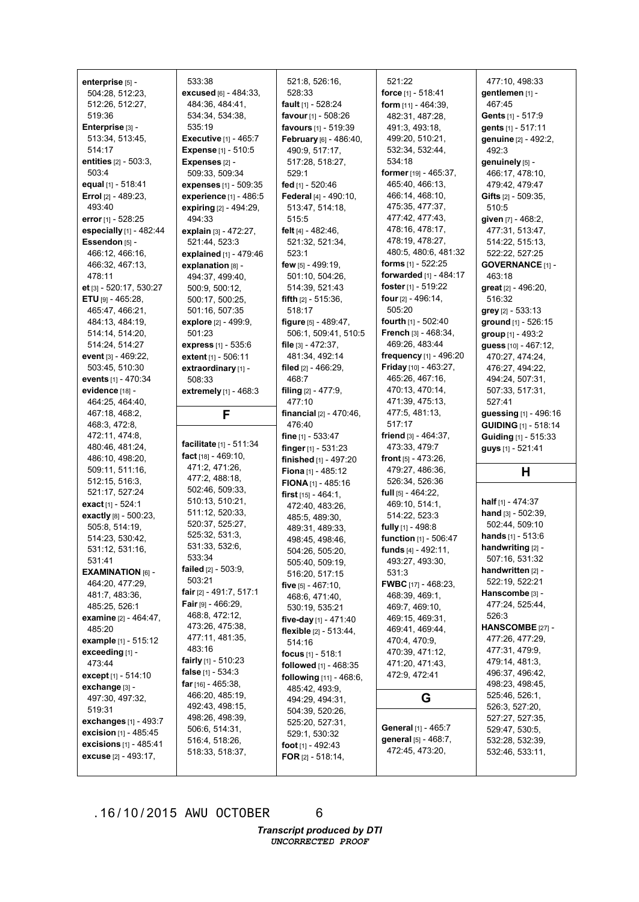| enterprise [5] -              | 533:38                       | 521:8, 526:16,                 | 521:22                          | 477:10, 498:33                |
|-------------------------------|------------------------------|--------------------------------|---------------------------------|-------------------------------|
| 504:28, 512:23,               | excused [6] - 484:33,        | 528:33                         | force [1] - 518:41              | gentlemen [1] -               |
| 512:26, 512:27,               | 484:36, 484:41,              | fault [1] - 528:24             | form $[11] - 464:39$ ,          | 467:45                        |
|                               |                              |                                |                                 |                               |
| 519:36                        | 534:34, 534:38,              | favour [1] - 508:26            | 482:31, 487:28,                 | Gents [1] - 517:9             |
| Enterprise [3] -              | 535:19                       | favours [1] - 519:39           | 491:3, 493:18,                  | gents [1] - 517:11            |
| 513:34, 513:45,               | <b>Executive [1] - 465:7</b> | February [6] - 486:40,         | 499:20, 510:21,                 | genuine [2] - 492:2,          |
| 514:17                        | <b>Expense</b> [1] - 510:5   | 490:9, 517:17,                 | 532:34, 532:44,                 | 492:3                         |
| entities [2] - 503:3,         | Expenses [2] -               | 517:28, 518:27,                | 534:18                          | genuinely [5] -               |
| 503:4                         | 509:33, 509:34               | 529:1                          | former [19] - 465:37,           | 466:17, 478:10,               |
| equal [1] - 518:41            | expenses [1] - 509:35        | fed [1] - 520:46               | 465:40, 466:13,                 | 479:42, 479:47                |
| <b>Errol</b> $[2] - 489:23$ , | experience [1] - 486:5       | Federal [4] - 490:10,          | 466:14, 468:10,                 | <b>Gifts</b> $[2] - 509:35$ , |
| 493:40                        | expiring [2] - 494:29,       | 513:47, 514:18,                | 475:35, 477:37,                 | 510:5                         |
| error [1] - 528:25            | 494:33                       | 515:5                          | 477:42, 477:43,                 | given [7] - 468:2,            |
| especially [1] - 482:44       | explain [3] - 472:27,        | felt [4] - 482:46,             | 478:16, 478:17,                 | 477:31, 513:47,               |
| Essendon [5] -                | 521:44, 523:3                | 521:32, 521:34,                | 478:19, 478:27,                 | 514:22, 515:13,               |
| 466:12, 466:16,               | explained [1] - 479:46       | 523:1                          | 480:5, 480:6, 481:32            | 522:22, 527:25                |
| 466:32, 467:13,               | explanation [8] -            | few $[5] - 499:19$ ,           | <b>forms</b> $[1] - 522:25$     | <b>GOVERNANCE [1] -</b>       |
| 478:11                        | 494:37, 499:40,              | 501:10, 504:26,                | forwarded [1] - 484:17          | 463:18                        |
| et [3] - 520:17, 530:27       | 500:9, 500:12,               | 514:39, 521:43                 | foster [1] - 519:22             | great [2] - 496:20,           |
| <b>ETU</b> [9] - 465:28,      | 500:17, 500:25,              | <b>fifth</b> $[2] - 515:36$ ,  | four [2] - 496:14,              | 516:32                        |
| 465:47, 466:21,               | 501:16, 507:35               | 518:17                         | 505:20                          | grey [2] - 533:13             |
| 484:13, 484:19,               | explore [2] - 499:9.         | figure [5] - 489:47,           | fourth $[1] - 502:40$           | ground [1] - 526:15           |
| 514:14, 514:20,               | 501:23                       | 506:1, 509:41, 510:5           | <b>French</b> $[3] - 468:34$ ,  | group [1] - 493:2             |
| 514:24, 514:27                | express [1] - 535:6          | file $[3] - 472:37$ ,          | 469:26, 483:44                  | quess [10] - 467:12,          |
| event [3] - 469:22,           |                              | 481:34, 492:14                 | frequency [1] - 496:20          | 470:27, 474:24,               |
|                               | extent [1] - 506:11          |                                | <b>Friday</b> $[10] - 463:27$ , |                               |
| 503:45, 510:30                | extraordinary [1] -          | filed [2] - 466:29,            |                                 | 476:27, 494:22,               |
| events [1] - 470:34           | 508:33                       | 468:7                          | 465:26, 467:16,                 | 494:24, 507:31,               |
| evidence [18] -               | extremely [1] - 468:3        | filing $[2] - 477:9$ ,         | 470:13, 470:14,                 | 507:33, 517:31,               |
| 464:25, 464:40,               |                              | 477:10                         | 471:39, 475:13,                 | 527:41                        |
|                               |                              |                                |                                 |                               |
| 467:18, 468:2,                | F                            | financial $[2] - 470:46$ ,     | 477:5, 481:13,                  | guessing [1] - 496:16         |
| 468:3, 472:8,                 |                              | 476:40                         | 517:17                          | <b>GUIDING [1] - 518:14</b>   |
| 472:11, 474:8,                |                              | fine $[1] - 533:47$            | friend $[3] - 464:37$ ,         | Guiding [1] - 515:33          |
| 480:46, 481:24,               | facilitate [1] - 511:34      | finger [1] - 531:23            | 473:33, 479:7                   | guys [1] - 521:41             |
| 486:10, 498:20,               | fact $[18] - 469:10$ ,       | finished [1] - 497:20          | front [5] - 473:26,             |                               |
| 509:11, 511:16,               | 471:2, 471:26,               | Fiona [1] - 485:12             | 479:27, 486:36,                 | H                             |
| 512:15, 516:3,                | 477:2, 488:18,               | FIONA $[1]$ - 485:16           | 526:34, 526:36                  |                               |
| 521:17, 527:24                | 502:46, 509:33,              | <b>first</b> $[15] - 464:1$ ,  | full $[5] - 464:22$ ,           |                               |
| exact [1] - 524:1             | 510:13, 510:21,              | 472:40, 483:26,                | 469:10, 514:1,                  | <b>half</b> $[1] - 474:37$    |
| exactly [8] - 500:23,         | 511:12, 520:33,              | 485:5, 489:30,                 | 514:22, 523:3                   | hand $[3] - 502:39$ ,         |
| 505:8, 514:19,                | 520:37, 525:27,              | 489:31, 489:33,                | fully [1] - 498:8               | 502:44, 509:10                |
| 514:23, 530:42,               | 525:32, 531:3,               | 498:45, 498:46,                | function [1] - 506:47           | <b>hands</b> $[1] - 513:6$    |
| 531:12, 531:16,               | 531:33, 532:6,               | 504:26, 505:20,                | funds $[4] - 492:11$ ,          | handwriting [2] -             |
| 531:41                        | 533:34                       | 505:40, 509:19,                | 493:27, 493:30,                 | 507:16, 531:32                |
| <b>EXAMINATION</b> [6] $-$    | failed [2] - 503:9,          | 516:20, 517:15                 | 531:3                           | handwritten [2] -             |
| 464:20, 477:29,               | 503:21                       | five [5] - 467:10.             | <b>FWBC</b> [17] - 468:23,      | 522:19, 522:21                |
| 481:7, 483:36,                | fair $[2] - 491:7, 517:1$    | 468:6, 471:40,                 | 468:39, 469:1,                  | Hanscombe [3] -               |
| 485:25, 526:1                 | <b>Fair</b> [9] - 466:29,    | 530:19, 535:21                 | 469:7, 469:10,                  | 477:24, 525:44,               |
| examine [2] - 464:47,         | 468:8, 472:12,               | five-day [1] - 471:40          | 469:15, 469:31,                 | 526:3                         |
| 485:20                        | 473:26, 475:38,              |                                | 469:41, 469:44,                 | HANSCOMBE [27] -              |
| example [1] - 515:12          | 477:11, 481:35,              | flexible $[2] - 513:44$ ,      | 470:4, 470:9,                   | 477:26, 477:29,               |
| exceeding [1] -               | 483:16                       | 514:16                         | 470:39, 471:12,                 | 477:31, 479:9,                |
| 473:44                        | <b>fairly</b> [1] - 510:23   | focus $[1] - 518:1$            | 471:20, 471:43,                 | 479:14, 481:3,                |
| except [1] - 514:10           | <b>false</b> [1] - 534:3     | <b>followed</b> $[1] - 468:35$ | 472:9, 472:41                   | 496:37, 496:42,               |
|                               | <b>far</b> [16] - 465:38,    | following [11] - 468:6,        |                                 | 498:23, 498:45,               |
| exchange [3] -                | 466:20, 485:19,              | 485:42, 493:9,                 |                                 | 525:46, 526:1,                |
| 497:30, 497:32,               | 492:43, 498:15,              | 494:29, 494:31,                | G                               | 526:3, 527:20,                |
| 519:31                        | 498:26, 498:39,              | 504:39, 520:26,                |                                 | 527:27, 527:35,               |
| exchanges [1] - 493:7         | 506:6, 514:31,               | 525:20, 527:31,                | General [1] - 465:7             | 529:47, 530:5,                |
| excision [1] - 485:45         | 516:4, 518:26,               | 529:1, 530:32                  | general [5] - 468:7,            | 532:28, 532:39,               |
| excisions [1] - 485:41        | 518:33, 518:37,              | foot $[1] - 492:43$            | 472:45, 473:20,                 | 532:46, 533:11,               |
| excuse [2] - 493:17,          |                              | FOR $[2] - 518:14$ ,           |                                 |                               |

6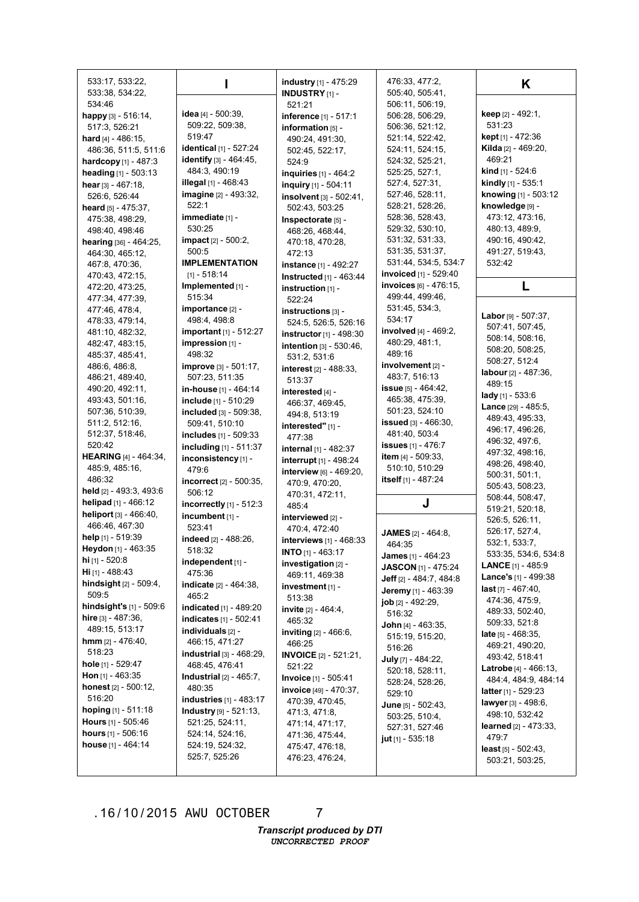| 533:17, 533:22,                  |                                   | industry [1] - 475:29           | 476:33, 477:2,               | K                               |
|----------------------------------|-----------------------------------|---------------------------------|------------------------------|---------------------------------|
| 533:38, 534:22,                  |                                   | <b>INDUSTRY</b> [1] -           | 505:40, 505:41,              |                                 |
| 534:46                           |                                   | 521:21                          | 506:11, 506:19,              |                                 |
| happy [3] - 516:14,              | <b>idea</b> $[4] - 500:39$ ,      | inference [1] - 517:1           | 506:28, 506:29,              | <b>keep</b> [2] - 492:1,        |
| 517:3, 526:21                    | 509:22, 509:38,                   | information [5] -               | 506:36, 521:12,              | 531:23                          |
| hard $[4] - 486:15$ ,            | 519:47                            | 490:24, 491:30,                 | 521:14, 522:42,              | <b>kept</b> [1] - 472:36        |
| 486:36, 511:5, 511:6             | identical [1] - 527:24            | 502:45, 522:17,                 | 524:11, 524:15,              | Kilda [2] - 469:20,             |
| hardcopy [1] - 487:3             | <b>identify</b> [3] - 464:45,     | 524:9                           | 524:32, 525:21,              | 469:21                          |
| heading [1] - 503:13             | 484:3, 490:19                     | inquiries [1] - 464:2           | 525:25, 527:1,               | <b>kind</b> [1] - 524:6         |
| hear $[3] - 467:18$ ,            | illegal [1] - 468:43              | inquiry [1] - 504:11            | 527:4, 527:31,               | kindly [1] - 535:1              |
| 526:6, 526:44                    | imagine [2] - 493:32,             | insolvent [3] - 502:41,         | 527:46, 528:11,              | knowing [1] - 503:12            |
| heard $[5] - 475:37$ ,           | 522:1                             | 502:43, 503:25                  | 528:21, 528:26,              | knowledge [9] -                 |
| 475:38, 498:29,                  | immediate [1] -                   | Inspectorate [5] -              | 528:36, 528:43,              | 473:12, 473:16,                 |
| 498:40, 498:46                   | 530:25                            | 468:26, 468:44,                 | 529:32, 530:10,              | 480:13, 489:9,                  |
| hearing [36] - 464:25,           | <b>impact</b> $[2] - 500:2$ ,     | 470:18, 470:28,                 | 531:32, 531:33,              | 490:16, 490:42,                 |
| 464:30, 465:12,                  | 500:5                             | 472:13                          | 531:35, 531:37,              | 491:27, 519:43,                 |
| 467:8, 470:36,                   | <b>IMPLEMENTATION</b>             | instance [1] - 492:27           | 531:44, 534:5, 534:7         | 532:42                          |
| 470:43, 472:15,                  | $[1] - 518:14$                    | Instructed [1] - 463:44         | <b>invoiced</b> [1] - 529:40 |                                 |
| 472:20, 473:25,                  | Implemented [1] -                 | instruction [1] -               | invoices [6] - 476:15,       | L                               |
| 477:34, 477:39,                  | 515:34                            | 522:24                          | 499:44, 499:46,              |                                 |
| 477:46, 478:4,                   | importance [2] -                  | instructions [3] -              | 531:45, 534:3,               | Labor [9] - 507:37,             |
| 478:33, 479:14,                  | 498:4, 498:8                      | 524:5, 526:5, 526:16            | 534:17                       | 507:41, 507:45,                 |
| 481:10, 482:32,                  | important [1] - 512:27            | instructor [1] - 498:30         | involved [4] - 469:2,        | 508:14, 508:16,                 |
| 482:47, 483:15,                  | impression [1] -                  | intention [3] - 530:46,         | 480:29, 481:1,               | 508:20, 508:25,                 |
| 485:37, 485:41,                  | 498:32                            | 531:2, 531:6                    | 489:16                       | 508:27, 512:4                   |
| 486:6, 486:8,                    | improve [3] - 501:17,             | interest [2] - 488:33,          | involvement [2] -            | <b>labour</b> [2] - 487:36,     |
| 486:21, 489:40,                  | 507:23, 511:35                    | 513:37                          | 483:7, 516:13                | 489:15                          |
| 490:20, 492:11,                  | in-house [1] - 464:14             | interested [4] -                | issue [5] - 464:42,          | <b>lady</b> [1] - 533:6         |
| 493:43, 501:16,                  | include [1] - 510:29              | 466:37, 469:45,                 | 465:38, 475:39,              | <b>Lance</b> $[29] - 485:5,$    |
| 507:36, 510:39,                  | included [3] - 509:38,            | 494:8, 513:19                   | 501:23, 524:10               | 489:43, 495:33,                 |
| 511:2, 512:16,                   | 509:41, 510:10                    | interested" [1] -               | issued $[3] - 466:30$ ,      | 496:17, 496:26,                 |
| 512:37, 518:46,                  | includes [1] - 509:33             | 477:38                          | 481:40, 503:4                | 496:32, 497:6,                  |
| 520:42                           | including $[1] - 511:37$          | internal [1] - 482:37           | <b>issues</b> [1] - 476:7    | 497:32, 498:16,                 |
| <b>HEARING</b> [4] - 464:34,     | inconsistency [1] -               | interrupt [1] - 498:24          | <b>item</b> [4] - 509:33,    | 498:26, 498:40,                 |
| 485:9, 485:16,                   | 479:6                             | interview [6] - 469:20,         | 510:10, 510:29               | 500:31, 501:1,                  |
| 486:32                           | incorrect [2] - 500:35,           | 470:9, 470:20,                  | itself [1] - 487:24          | 505:43, 508:23,                 |
| held [2] - 493:3, 493:6          | 506:12                            | 470:31, 472:11,                 |                              | 508:44, 508:47,                 |
| helipad $[1] - 466:12$           | incorrectly [1] - 512:3           | 485:4                           | J                            | 519:21, 520:18,                 |
| heliport [3] - 466:40,           | incumbent [1] -                   | interviewed [2] -               |                              | 526:5, 526:11,                  |
| 466:46, 467:30                   | 523:41                            | 470:4, 472:40                   | <b>JAMES</b> $[2] - 464:8$   | 526:17, 527:4,                  |
| help [1] - 519:39                | indeed [2] - 488:26,              | interviews [1] - 468:33         | 464:35                       | 532:1, 533:7,                   |
| Heydon [1] - 463:35              | 518:32                            | <b>INTO</b> $[1]$ - 463:17      | <b>James</b> [1] - 464:23    | 533:35, 534:6, 534:8            |
| hi $[1] - 520.8$                 | independent [1] -                 | investigation [2] -             | <b>JASCON [1] - 475:24</b>   | <b>LANCE</b> $[1]$ - 485:9      |
| <b>Hi</b> [1] - 488:43           | 475:36                            | 469:11, 469:38                  | Jeff [2] - 484:7, 484:8      | <b>Lance's</b> $[1]$ - 499:38   |
| <b>hindsight</b> $[2] - 509:4$ , | indicate [2] - 464:38,            | investment [1] -                | Jeremy [1] - 463:39          | $last$ $[7] - 467:40$ ,         |
| 509:5                            | 465:2                             | 513:38                          | <b>job</b> $[2] - 492:29$ ,  | 474:36, 475:9,                  |
| hindsight's [1] - 509:6          | <b>indicated</b> [1] - 489:20     | <b>invite</b> $[2] - 464:4,$    | 516:32                       | 489:33, 502:40,                 |
| <b>hire</b> [3] - 487:36,        | indicates [1] - 502:41            | 465:32                          | John [4] - 463:35,           | 509:33, 521:8                   |
| 489:15, 513:17                   | $individuals$ [2] -               | <b>inviting</b> $[2] - 466:6,$  | 515:19, 515:20,              | <b>late</b> [5] - 468:35,       |
| <b>hmm</b> $[2] - 476:40,$       | 466:15, 471:27                    | 466:25                          | 516:26                       | 469:21, 490:20,                 |
| 518:23                           | industrial [3] - 468:29,          | <b>INVOICE</b> $[2] - 521:21$ , | July [7] - 484:22,           | 493:42, 518:41                  |
| hole [1] - 529:47                | 468:45, 476:41                    | 521:22                          | 520:18, 528:11,              | <b>Latrobe</b> $[4] - 466:13$ , |
| <b>Hon</b> [1] - 463:35          | <b>Industrial</b> $[2] - 465:7$ , | Invoice [1] - 505:41            | 528:24, 528:26,              | 484:4, 484:9, 484:14            |
| <b>honest</b> $[2] - 500:12$ ,   | 480:35                            | <b>invoice</b> [49] - 470:37,   | 529:10                       | <b>latter</b> [1] - 529:23      |
| 516:20                           | <b>industries</b> [1] - 483:17    | 470:39, 470:45,                 | June [5] - 502:43,           | <b>lawyer</b> [3] - 498:6,      |
| hoping [1] - 511:18              | <b>Industry</b> $[9] - 521:13$ ,  | 471:3, 471:8,                   | 503:25, 510:4,               | 498:10, 532:42                  |
| <b>Hours</b> $[1]$ - 505:46      | 521:25, 524:11,                   | 471:14, 471:17,                 | 527:31, 527:46               | <b>learned</b> $[2] - 473:33$ , |
| <b>hours</b> $[1]$ - 506:16      | 524:14, 524:16,                   | 471:36, 475:44,                 | <b>jut</b> $[1] - 535:18$    | 479:7                           |
| house [1] - 464:14               | 524:19, 524:32,                   | 475:47, 476:18,                 |                              | least $[5] - 502:43$ ,          |
|                                  | 525:7, 525:26                     | 476:23, 476:24,                 |                              | 503:21, 503:25,                 |
|                                  |                                   |                                 |                              |                                 |

7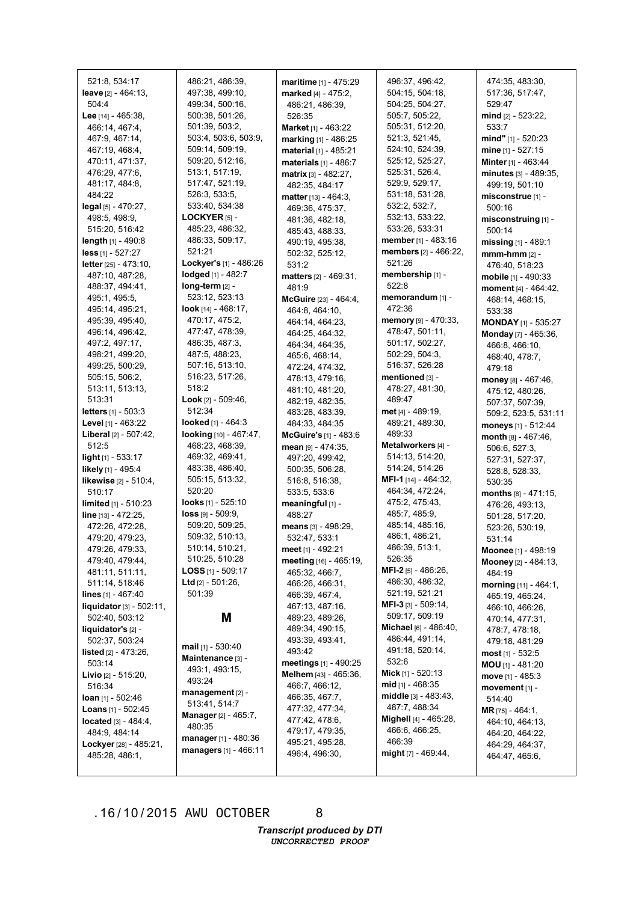521:8, 534:17 **leave** [2] - 464:13, 504:4 **Lee** [14] - 465:38, 466:14, 467:4, 467:9, 467:14, 467:19, 468:4, 470:11, 471:37, 476:29, 477:6, 481:17, 484:8, 484:22 **legal** [5] - 470:27, 498:5, 498:9, 515:20, 516:42 **length** [1] - 490:8 **less** [1] - 527:27 **letter** [25] - 473:10, 487:10, 487:28, 488:37, 494:41, 495:1, 495:5, 495:14, 495:21, 495:39, 495:40, 496:14, 496:42, 497:2, 497:17, 498:21, 499:20, 499:25, 500:29, 505:15, 506:2, 513:11, 513:13, 513:31 **letters** [1] - 503:3 **Level** [1] - 463:22 **Liberal** [2] - 507:42, 512:5 **light** [1] - 533:17 **likely** [1] - 495:4 **likewise** [2] - 510:4, 510:17 **limited** [1] - 510:23 **line** [13] - 472:25, 472:26, 472:28, 479:20, 479:23, 479:26, 479:33, 479:40, 479:44, 481:11, 511:11, 511:14, 518:46 **lines** [1] - 467:40 **liquidator**[3] - 502:11, 502:40, 503:12 **liquidator's** [2] - 502:37, 503:24 **listed** [2] - 473:26, 503:14 **Livio** [2] - 515:20, 516:34 **loan** [1] - 502:46 **Loans** [1] - 502:45 **located** [3] - 484:4, 484:9, 484:14 **Lockyer** [28] - 485:21, 485:28, 486:1, 526:3, 533:5, **LOCKYER** [5] - 521:21 **long-term** [2] - 518:2 512:34 520:20 **loss** [9] - 509:9, **Ltd** [2] - 501:26, 501:39 **mail** [1] - 530:40 493:24 480:35

486:21, 486:39, 497:38, 499:10, 499:34, 500:16, 500:38, 501:26, 501:39, 503:2, 503:4, 503:6, 503:9, 509:14, 509:19, 509:20, 512:16, 513:1, 517:19, 517:47, 521:19, 533:40, 534:38 485:23, 486:32, 486:33, 509:17, **Lockyer's** [1] - 486:26 **lodged** [1] - 482:7 523:12, 523:13 **look** [14] - 468:17, 470:17, 475:2, 477:47, 478:39, 486:35, 487:3, 487:5, 488:23, 507:16, 513:10, 516:23, 517:26, **Look** [2] - 509:46, **looked** [1] - 464:3 **looking** [10] - 467:47, 468:23, 468:39, 469:32, 469:41, 483:38, 486:40, 505:15, 513:32, **looks** [1] - 525:10 509:20, 509:25, 509:32, 510:13, 510:14, 510:21, 510:25, 510:28 **LOSS** [1] - 509:17 **M Maintenance** [3] - 493:1, 493:15, **management** [2] - 513:41, 514:7 **Manager** [2] - 465:7, **manager** [1] - 480:36 **managers** [1] - 466:11 **maritime** [1] - 475:29 **marked** [4] - 475:2, 486:21, 486:39, 526:35 **Market** [1] - 463:22 **marking** [1] - 486:25 **material** [1] - 485:21 **materials** [1] - 486:7 **matrix** [3] - 482:27, 482:35, 484:17 **matter** [13] - 464:3, 469:36, 475:37, 481:36, 482:18, 485:43, 488:33, 490:19, 495:38, 502:32, 525:12, 531:2 **matters** [2] - 469:31, 481:9 **McGuire** [23] - 464:4, 464:8, 464:10, 464:14, 464:23, 464:25, 464:32, 464:34, 464:35, 465:6, 468:14, 472:24, 474:32, 478:13, 479:16, 481:10, 481:20, 482:19, 482:35, 483:28, 483:39, 484:33, 484:35 **mean** [9] - 474:35, 497:20, 499:42, 500:35, 506:28, 516:8, 516:38, 533:5, 533:6 **meaningful** [1] - 488:27 **means** [3] - 498:29, 532:47, 533:1 **meet** [1] - 492:21 465:32, 466:7, 466:26, 466:31, 466:39, 467:4, 467:13, 487:16, 489:23, 489:26, 489:34, 490:15, 493:39, 493:41, 493:42 466:7, 466:12, 466:35, 467:7, 477:32, 477:34, 477:42, 478:6, 479:17, 479:35, 495:21, 495:28, 496:4, 496:30,

**McGuire's** [1] - 483:6 **meeting** [16] - 465:19, **meetings** [1] - 490:25 **Melhem** [43] - 465:36,

496:37, 496:42, 504:15, 504:18, 504:25, 504:27, 505:7, 505:22, 505:31, 512:20, 521:3, 521:45, 524:10, 524:39, 525:12, 525:27, 525:31, 526:4, 529:9, 529:17, 531:18, 531:28, 532:2, 532:7, 532:13, 533:22, 533:26, 533:31 **member** [1] - 483:16 **members** [2] - 466:22, 521:26 **membership** [1] - 522:8 **memorandum** [1] - 472:36 **memory** [9] - 470:33, 478:47, 501:11, 501:17, 502:27, 502:29, 504:3, 516:37, 526:28 **mentioned** [3] - 478:27, 481:30, 489:47 **met** [4] - 489:19, 489:21, 489:30, 489:33 **Metalworkers** [4] - 514:13, 514:20, 514:24, 514:26 **MFI-1** [14] - 464:32, 464:34, 472:24, 475:2, 475:43, 485:7, 485:9, 485:14, 485:16, 486:1, 486:21, 486:39, 513:1, 526:35 **MFI-2** [5] - 486:26, 486:30, 486:32, 521:19, 521:21 **MFI-3** [3] - 509:14, 509:17, 509:19 **Michael** [6] - 486:40, 486:44, 491:14, 491:18, 520:14, 532:6 **Mick** [1] - 520:13 **mid** [1] - 468:35 **middle** [3] - 483:43, 487:7, 488:34 **Mighell** [4] - 465:28, 466:6, 466:25, 466:39 **might** [7] - 469:44,

474:35, 483:30, 517:36, 517:47, 529:47 **mind** [2] - 523:22, 533:7 **mind"** [1] - 520:23 **mine** [1] - 527:15 **Minter** [1] - 463:44 **minutes** [3] - 489:35, 499:19, 501:10 **misconstrue** [1] - 500:16 **misconstruing** [1] - 500:14 **missing** [1] - 489:1 **mmm-hmm** [2] - 476:40, 518:23 **mobile** [1] - 490:33 **moment** [4] - 464:42, 468:14, 468:15, 533:38 **MONDAY** [1] - 535:27 **Monday** [7] - 465:36, 466:8, 466:10, 468:40, 478:7, 479:18 **money** [8] - 467:46, 475:12, 480:26, 507:37, 507:39, 509:2, 523:5, 531:11 **moneys** [1] - 512:44 **month** [8] - 467:46, 506:6, 527:3, 527:31, 527:37, 528:8, 528:33, 530:35 **months** [8] - 471:15, 476:26, 493:13, 501:28, 517:20, 523:26, 530:19, 531:14 **Moonee** [1] - 498:19 **Mooney** [2] - 484:13, 484:19 **morning** [11] - 464:1, 465:19, 465:24, 466:10, 466:26, 470:14, 477:31, 478:7, 478:18, 479:18, 481:29 **most** [1] - 532:5 **MOU** [1] - 481:20 **move** [1] - 485:3 **movement** [1] - 514:40 **MR** [75] - 464:1, 464:10, 464:13, 464:20, 464:22, 464:29, 464:37, 464:47, 465:6,

.16/10/2015 AWU OCTOBER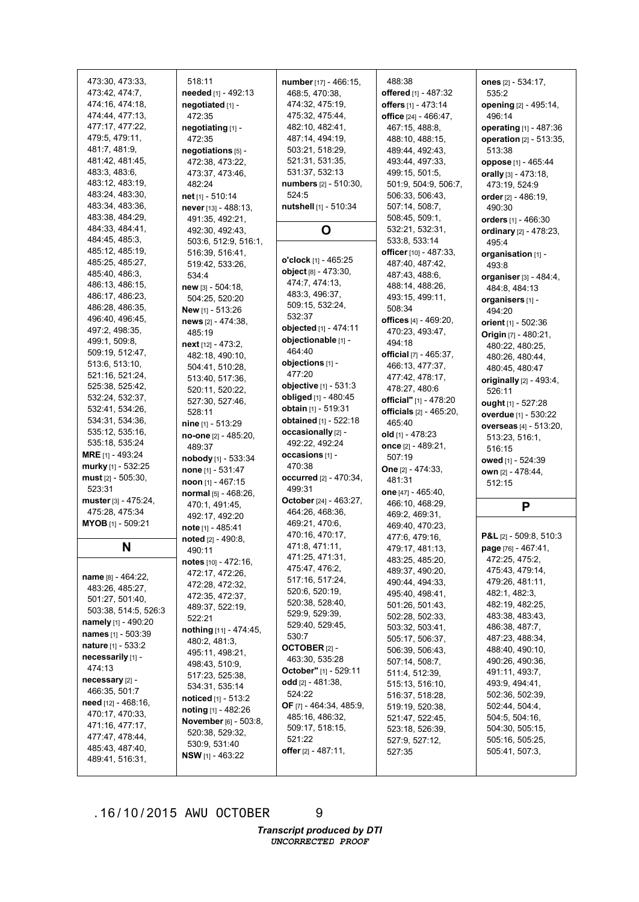| 473:30, 473:33,                         | 518:11                       | number [17] - 466:15,            | 488:38                  | ones [2] - 534:17,      |
|-----------------------------------------|------------------------------|----------------------------------|-------------------------|-------------------------|
| 473:42, 474:7,                          | needed [1] - 492:13          | 468:5, 470:38,                   | offered [1] - 487:32    | 535:2                   |
| 474:16, 474:18,                         | negotiated [1] -             | 474:32, 475:19,                  | offers [1] - 473:14     | opening [2] - 495:14,   |
| 474:44, 477:13,                         | 472:35                       | 475:32, 475:44,                  | office [24] - 466:47,   | 496:14                  |
| 477:17, 477:22,                         | negotiating [1] -            | 482:10, 482:41,                  | 467:15, 488:8,          | operating [1] - 487:36  |
| 479:5, 479:11,                          | 472:35                       | 487:14, 494:19,                  | 488:10, 488:15,         | operation [2] - 513:35, |
| 481:7, 481:9,                           | negotiations [5] -           | 503:21, 518:29,                  | 489:44, 492:43,         | 513:38                  |
| 481:42, 481:45,                         | 472:38, 473:22,              | 521:31, 531:35,                  | 493:44, 497:33,         | oppose [1] - 465:44     |
| 483:3, 483:6,                           | 473:37, 473:46,              | 531:37, 532:13                   | 499:15, 501:5,          | orally [3] - 473:18,    |
| 483:12, 483:19,                         | 482:24                       | numbers [2] - 510:30,            | 501:9, 504:9, 506:7,    | 473:19, 524:9           |
| 483:24, 483:30,                         | net [1] - 510:14             | 524:5                            | 506:33, 506:43,         | order [2] - 486:19,     |
| 483:34, 483:36,                         | never [13] - 488:13,         | nutshell [1] - 510:34            | 507:14, 508:7,          | 490:30                  |
| 483:38, 484:29,                         | 491:35, 492:21,              |                                  | 508:45, 509:1,          | orders [1] - 466:30     |
| 484:33, 484:41,                         | 492:30, 492:43,              | O                                | 532:21, 532:31,         | ordinary [2] - 478:23,  |
| 484:45, 485:3,                          | 503:6, 512:9, 516:1,         |                                  | 533:8, 533:14           | 495:4                   |
| 485:12, 485:19,                         | 516:39, 516:41,              | o'clock [1] - 465:25             | officer [10] - 487:33,  | organisation [1] -      |
| 485:25, 485:27,                         | 519:42, 533:26,              | object [8] - 473:30,             | 487:40, 487:42,         | 493:8                   |
| 485:40, 486:3,                          | 534:4                        |                                  | 487:43, 488:6,          | organiser [3] - 484:4,  |
| 486:13, 486:15,                         | new [3] - 504:18,            | 474:7, 474:13,<br>483:3, 496:37, | 488:14, 488:26,         | 484:8, 484:13           |
| 486:17, 486:23,                         | 504:25, 520:20               |                                  | 493:15, 499:11,         | organisers [1] -        |
| 486:28, 486:35,                         | New [1] - 513:26             | 509:15, 532:24,<br>532:37        | 508:34                  | 494:20                  |
| 496:40, 496:45,                         | news [2] - 474:38,           |                                  | offices [4] - 469:20,   | orient [1] - 502:36     |
| 497:2, 498:35,                          | 485:19                       | objected [1] - 474:11            | 470:23, 493:47,         | Origin [7] - 480:21,    |
| 499:1, 509:8,                           | next [12] - 473:2,           | objectionable [1] -              | 494:18                  | 480:22, 480:25,         |
| 509:19, 512:47,                         | 482:18, 490:10,              | 464:40                           | official [7] - 465:37,  | 480:26, 480:44,         |
| 513:6, 513:10,                          | 504:41, 510:28,              | objections [1] -                 | 466:13, 477:37,         | 480:45, 480:47          |
| 521:16, 521:24,                         | 513:40, 517:36,              | 477:20                           | 477:42, 478:17,         | originally [2] - 493:4, |
| 525:38, 525:42,                         | 520:11, 520:22,              | objective [1] - 531:3            | 478:27, 480:6           | 526:11                  |
| 532:24, 532:37,                         | 527:30, 527:46,              | obliged [1] - 480:45             | official" [1] - 478:20  | ought [1] - 527:28      |
| 532:41, 534:26,                         | 528:11                       | obtain [1] - 519:31              | officials [2] - 465:20, | overdue [1] - 530:22    |
| 534:31, 534:36,                         | nine [1] - 513:29            | obtained [1] - 522:18            | 465:40                  | overseas [4] - 513:20,  |
| 535:12, 535:16,                         | no-one [2] - 485:20,         | occasionally [2] -               | old [1] - 478:23        | 513:23, 516:1,          |
| 535:18, 535:24                          | 489:37                       | 492:22, 492:24                   | once [2] - 489:21,      | 516:15                  |
| <b>MRE</b> [1] - 493:24                 | nobody [1] - 533:34          | occasions [1] -                  | 507:19                  | owed [1] - 524:39       |
| murky [1] - 532:25                      | none [1] - 531:47            | 470:38                           | One [2] - 474:33,       | own [2] - 478:44,       |
| must [2] - 505:30,                      | noon [1] - 467:15            | occurred [2] - 470:34,           | 481:31                  | 512:15                  |
| 523:31                                  | normal $[5] - 468:26$ ,      | 499:31                           | one [47] - 465:40,      |                         |
| muster [3] - 475:24,                    | 470:1, 491:45,               | October [24] - 463:27,           | 466:10, 468:29,         | P                       |
| 475:28, 475:34                          | 492:17, 492:20               | 464:26, 468:36,                  | 469:2, 469:31,          |                         |
| MYOB [1] - 509:21                       | note [1] - 485:41            | 469:21, 470:6,                   | 469:40, 470:23,         |                         |
|                                         | noted [2] - 490:8.           | 470:16, 470:17,                  | 477:6, 479:16,          | P&L [2] - 509:8, 510:3  |
| N                                       | 490:11                       | 471:8, 471:11,                   | 479:17, 481:13,         | page [76] - 467:41,     |
|                                         | notes $[10] - 472:16$ ,      | 471:25, 471:31,                  | 483:25, 485:20,         | 472:25, 475:2,          |
|                                         | 472:17, 472:26,              | 475:47, 476:2,                   | 489:37, 490:20,         | 475:43, 479:14,         |
| name [8] - 464:22,<br>483:26, 485:27,   | 472:28, 472:32,              | 517:16, 517:24,                  | 490:44, 494:33,         | 479:26, 481:11,         |
|                                         | 472:35, 472:37,              | 520:6, 520:19,                   | 495:40, 498:41,         | 482:1, 482:3,           |
| 501:27, 501:40,<br>503:38, 514:5, 526:3 | 489:37, 522:19,              | 520:38, 528:40,                  | 501:26, 501:43,         | 482:19, 482:25,         |
|                                         | 522:21                       | 529:9, 529:39,                   | 502:28, 502:33,         | 483:38, 483:43,         |
| namely [1] - 490:20                     | nothing [11] - 474:45,       | 529:40, 529:45,                  | 503:32, 503:41,         | 486:38, 487:7,          |
| names [1] - 503:39                      | 480:2, 481:3,                | 530:7                            | 505:17, 506:37,         | 487:23, 488:34,         |
| <b>nature</b> $[1] - 533:2$             | 495:11, 498:21,              | OCTOBER $[2]$ -                  | 506:39, 506:43,         | 488:40, 490:10,         |
| necessarily [1] -                       | 498:43, 510:9,               | 463:30, 535:28                   | 507:14, 508:7,          | 490:26, 490:36,         |
| 474:13                                  | 517:23, 525:38,              | October" [1] - 529:11            | 511:4, 512:39,          | 491:11, 493:7,          |
| necessary [2] -                         | 534:31, 535:14               | odd $[2] - 481:38$ ,             | 515:13, 516:10,         | 493:9, 494:41,          |
| 466:35, 501:7                           | <b>noticed</b> $[1]$ - 513:2 | 524:22                           | 516:37, 518:28,         | 502:36, 502:39,         |
| need [12] - 468:16,                     | noting $[1]$ - 482:26        | OF [7] - 464:34, 485:9,          | 519:19, 520:38,         | 502:44, 504:4,          |
| 470:17, 470:33,                         | November [6] - 503:8,        | 485:16, 486:32,                  | 521:47, 522:45,         | 504:5, 504:16,          |
| 471:16, 477:17,                         | 520:38, 529:32,              | 509:17, 518:15,                  | 523:18, 526:39,         | 504:30, 505:15,         |
| 477:47, 478:44,                         | 530:9, 531:40                | 521:22                           | 527:9, 527:12,          | 505:16, 505:25,         |
| 485:43, 487:40,                         | <b>NSW</b> [1] - 463:22      | offer $[2] - 487:11$ ,           | 527:35                  | 505:41, 507:3,          |
| 489:41, 516:31,                         |                              |                                  |                         |                         |

9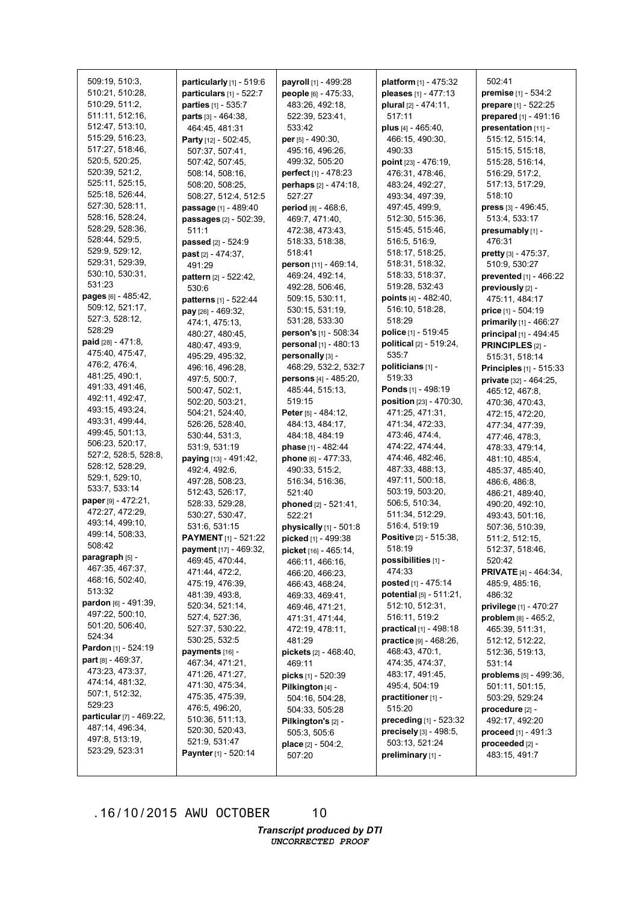| 509:19, 510:3,                 | particularly $[1]$ - 519:6 |                             |                                 | 502:41                       |
|--------------------------------|----------------------------|-----------------------------|---------------------------------|------------------------------|
| 510:21, 510:28,                |                            | payroll [1] - 499:28        | platform $[1] - 475:32$         |                              |
|                                | particulars [1] - 522:7    | people [6] - 475:33,        | pleases [1] - 477:13            | premise [1] - 534:2          |
| 510:29, 511:2,                 | parties [1] - 535:7        | 483:26, 492:18,             | plural [2] - 474:11,            | prepare [1] - 522:25         |
| 511:11, 512:16,                | parts [3] - 464:38,        | 522:39, 523:41,             | 517:11                          | prepared [1] - 491:16        |
| 512:47, 513:10,                | 464:45, 481:31             | 533:42                      | plus [4] - 465:40,              | presentation [11] -          |
| 515:29, 516:23,                | Party [12] - 502:45,       | per [5] - 490:30,           | 466:15, 490:30,                 | 515:12, 515:14,              |
| 517:27, 518:46,                | 507:37, 507:41,            | 495:16, 496:26,             | 490:33                          | 515:15, 515:18,              |
| 520:5, 520:25,                 | 507:42, 507:45,            | 499:32, 505:20              | point [23] - 476:19,            | 515:28, 516:14,              |
| 520:39, 521:2,                 | 508:14, 508:16,            | perfect [1] - 478:23        | 476:31, 478:46,                 | 516:29, 517:2,               |
| 525:11, 525:15,                | 508:20, 508:25,            | perhaps [2] - 474:18,       | 483:24, 492:27,                 | 517:13, 517:29,              |
| 525:18, 526:44,                | 508:27, 512:4, 512:5       | 527:27                      | 493:34, 497:39,                 | 518:10                       |
| 527:30, 528:11,                | passage [1] - 489:40       | period [8] - 468:6,         | 497:45, 499:9,                  | press [3] - 496:45,          |
| 528:16, 528:24,                | passages [2] - 502:39,     | 469:7, 471:40,              | 512:30, 515:36,                 | 513:4, 533:17                |
| 528:29, 528:36,                | 511:1                      | 472:38, 473:43,             | 515:45, 515:46,                 | presumably [1] -             |
| 528:44, 529:5,                 | passed [2] - 524:9         | 518:33, 518:38,             | 516:5, 516:9,                   | 476:31                       |
| 529:9, 529:12,                 | past [2] - 474:37,         | 518:41                      | 518:17, 518:25,                 | pretty $[3] - 475:37$ ,      |
| 529:31, 529:39,                | 491:29                     | person [11] - 469:14,       | 518:31, 518:32,                 | 510:9, 530:27                |
| 530:10, 530:31,                | pattern [2] - 522:42,      | 469:24, 492:14,             | 518:33, 518:37,                 | prevented [1] - 466:22       |
| 531:23                         | 530:6                      | 492:28, 506:46,             | 519:28, 532:43                  | previously [2] -             |
| pages [6] - 485:42,            | patterns [1] - 522:44      | 509:15, 530:11,             | points $[4] - 482:40$ ,         | 475:11, 484:17               |
| 509:12, 521:17,                | pay [26] - 469:32.         | 530:15, 531:19,             | 516:10, 518:28,                 | <b>price</b> $[1] - 504:19$  |
| 527:3, 528:12,                 |                            | 531:28, 533:30              | 518:29                          |                              |
| 528:29                         | 474:1, 475:13,             | person's [1] - 508:34       | police [1] - 519:45             | primarily [1] - 466:27       |
| <b>paid</b> [28] - 471:8,      | 480:27, 480:45,            | personal [1] - 480:13       | political [2] - 519:24,         | principal [1] - 494:45       |
| 475:40, 475:47,                | 480:47, 493:9,             |                             |                                 | <b>PRINCIPLES [2] -</b>      |
| 476:2, 476:4,                  | 495:29, 495:32,            | personally [3] -            | 535:7                           | 515:31, 518:14               |
| 481:25, 490:1,                 | 496:16, 496:28,            | 468:29, 532:2, 532:7        | politicians [1] -               | Principles [1] - 515:33      |
| 491:33, 491:46,                | 497:5, 500:7,              | persons [4] - 485:20,       | 519:33                          | private [32] - 464:25,       |
| 492:11, 492:47,                | 500:47, 502:1,             | 485:44, 515:13,             | Ponds [1] - 498:19              | 465:12, 467:8,               |
|                                | 502:20, 503:21,            | 519:15                      | position [23] - 470:30,         | 470:36, 470:43,              |
| 493:15, 493:24,                | 504:21, 524:40,            | <b>Peter</b> [5] - 484:12,  | 471:25, 471:31,                 | 472:15, 472:20,              |
| 493:31, 499:44,                | 526:26, 528:40,            | 484:13, 484:17,             | 471:34, 472:33,                 | 477:34, 477:39,              |
| 499:45, 501:13,                | 530:44, 531:3,             | 484:18, 484:19              | 473:46, 474:4,                  | 477:46, 478:3,               |
| 506:23, 520:17,                | 531:9, 531:19              | phase [1] - 482:44          | 474:22, 474:44,                 | 478:33, 479:14,              |
| 527:2, 528:5, 528:8,           | paying [13] - 491:42,      | phone [6] - 477:33,         | 474:46, 482:46,                 | 481:10, 485:4,               |
| 528:12, 528:29,                | 492:4, 492:6,              | 490:33, 515:2,              | 487:33, 488:13,                 | 485:37, 485:40,              |
| 529:1, 529:10,                 | 497:28, 508:23,            | 516:34, 516:36,             | 497:11, 500:18,                 | 486:6, 486:8,                |
| 533:7, 533:14                  | 512:43, 526:17,            | 521:40                      | 503:19, 503:20,                 | 486:21, 489:40,              |
| paper [9] - 472:21,            | 528:33, 529:28,            | phoned [2] - 521:41,        | 506:5, 510:34,                  | 490:20, 492:10,              |
| 472:27, 472:29,                | 530:27, 530:47,            | 522:21                      | 511:34, 512:29,                 | 493:43, 501:16,              |
| 493:14, 499:10,                | 531:6, 531:15              | physically $[1]$ - 501:8    | 516:4, 519:19                   | 507:36, 510:39,              |
| 499:14, 508:33,                | PAYMENT [1] - 521:22       | picked [1] - 499:38         | Positive [2] - 515:38,          | 511:2, 512:15,               |
| 508:42                         | payment [17] - 469:32,     | picket [16] - 465:14,       | 518:19                          | 512:37, 518:46,              |
| paragraph [5] -                | 469:45, 470:44,            | 466:11, 466:16,             | possibilities [1] -             | 520:42                       |
| 467:35, 467:37,                | 471:44, 472:2,             | 466:20, 466:23,             | 474:33                          | <b>PRIVATE</b> [4] - 464:34, |
| 468:16, 502:40,                | 475:19, 476:39,            | 466:43, 468:24,             | posted [1] - 475:14             | 485:9, 485:16,               |
| 513:32                         | 481:39, 493:8,             | 469:33, 469:41,             | potential [5] - 511:21,         | 486:32                       |
| <b>pardon</b> $[6] - 491:39$ , | 520:34, 521:14,            | 469:46, 471:21,             | 512:10, 512:31,                 | privilege [1] - 470:27       |
| 497:22, 500:10,                | 527:4, 527:36,             |                             | 516:11, 519:2                   |                              |
| 501:20, 506:40,                |                            | 471:31, 471:44,             |                                 | problem $[8] - 465:2$ ,      |
| 524:34                         | 527:37, 530:22,            | 472:19, 478:11,             | <b>practical</b> $[1] - 498:18$ | 465:39, 511:31,              |
| <b>Pardon</b> [1] - 524:19     | 530:25, 532:5              | 481:29                      | practice [9] - 468:26,          | 512:12, 512:22,              |
| part $[8] - 469:37$ ,          | payments [16] -            | pickets [2] - 468:40,       | 468:43, 470:1,                  | 512:36, 519:13,              |
| 473:23, 473:37,                | 467:34, 471:21,            | 469:11                      | 474:35, 474:37,                 | 531:14                       |
| 474:14, 481:32,                | 471:26, 471:27,            | <b>picks</b> $[1]$ - 520:39 | 483:17, 491:45,                 | problems [5] - 499:36,       |
| 507:1, 512:32,                 | 471:30, 475:34,            | Pilkington [4] -            | 495:4, 504:19                   | 501:11, 501:15,              |
|                                | 475:35, 475:39,            | 504:16, 504:28,             | practitioner [1] -              | 503:29, 529:24               |
| 529:23                         | 476:5, 496:20,             | 504:33, 505:28              | 515:20                          | $procedure [2] -$            |
| particular [7] - 469:22,       | 510:36, 511:13,            | Pilkington's [2] -          | preceding [1] - 523:32          | 492:17, 492:20               |
| 487:14, 496:34,                | 520:30, 520:43,            | 505:3, 505:6                | precisely [3] - 498:5,          | <b>proceed</b> $[1] - 491:3$ |
| 497:8, 513:19,                 | 521:9, 531:47              | place $[2] - 504:2$ ,       | 503:13, 521:24                  | proceeded $[2]$ -            |
| 523:29, 523:31                 | Paynter [1] - 520:14       | 507:20                      | preliminary [1] -               | 483:15, 491:7                |
|                                |                            |                             |                                 |                              |

10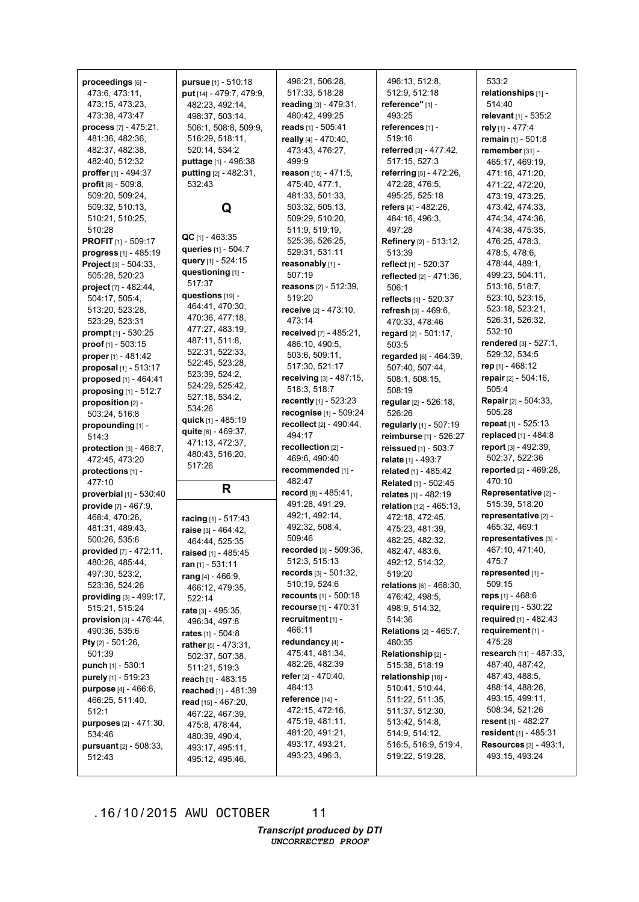|                                  | pursue [1] - 510:18      | 496:21, 506:28,                 |                               |                            |
|----------------------------------|--------------------------|---------------------------------|-------------------------------|----------------------------|
| proceedings [6] -                |                          |                                 | 496:13, 512:8,                | 533:2                      |
| 473:6, 473:11,                   | put [14] - 479:7, 479:9, | 517:33, 518:28                  | 512:9, 512:18                 | relationships [1] -        |
| 473:15, 473:23,                  | 482:23, 492:14,          | reading [3] - 479:31,           | reference" [1] -              | 514:40                     |
| 473:38, 473:47                   | 498:37, 503:14,          | 480:42, 499:25                  | 493:25                        | relevant $[1] - 535:2$     |
| process [7] - 475:21,            | 506:1, 508:8, 509:9,     | reads [1] - 505:41              | references [1] -              | rely [1] - 477:4           |
| 481:36, 482:36,                  | 516:29, 518:11,          | really [4] - 470:40,            | 519:16                        | remain [1] - 501:8         |
| 482:37, 482:38,                  | 520:14, 534:2            | 473:43, 476:27,                 | referred [3] - 477:42,        | remember [31] -            |
| 482:40, 512:32                   | puttage [1] - 496:38     | 499:9                           | 517:15, 527:3                 | 465:17, 469:19,            |
| proffer [1] - 494:37             | putting $[2] - 482:31$ , | reason [15] - 471:5,            | referring [5] - 472:26,       | 471:16, 471:20,            |
| <b>profit</b> $[8] - 509.8$      | 532:43                   | 475:40, 477:1,                  | 472:28, 476:5,                | 471:22, 472:20,            |
| 509:20, 509:24,                  |                          | 481:33, 501:33,                 | 495:25, 525:18                | 473:19, 473:25,            |
| 509:32, 510:13,                  | Q                        | 503:32, 505:13,                 | refers [4] - 482:26,          | 473:42, 474:33,            |
| 510:21, 510:25,                  |                          | 509:29, 510:20,                 | 484:16, 496:3,                | 474:34, 474:36,            |
| 510:28                           | $QC$ [1] - 463:35        | 511:9, 519:19,                  | 497:28                        | 474:38, 475:35,            |
| <b>PROFIT</b> [1] - 509:17       | queries [1] - 504:7      | 525:36, 526:25,                 | Refinery [2] - 513:12,        | 476:25, 478:3,             |
| progress [1] - 485:19            | query [1] - 524:15       | 529:31, 531:11                  | 513:39                        | 478:5, 478:6,              |
| Project [3] - 504:33,            |                          | reasonably [1] -                | reflect [1] - 520:37          | 478:44, 489:1,             |
| 505:28, 520:23                   | questioning [1] -        | 507:19                          | reflected $[2] - 471:36$ ,    | 499:23, 504:11,            |
| project [7] - 482:44,            | 517:37                   | <b>reasons</b> $[2] - 512:39$ , | 506:1                         | 513:16, 518:7,             |
| 504:17, 505:4,                   | questions [19] -         | 519:20                          | reflects [1] - 520:37         | 523:10, 523:15,            |
| 513:20, 523:28,                  | 464:41, 470:30,          | receive [2] - 473:10,           | refresh [3] - 469:6,          | 523:18, 523:21,            |
| 523:29, 523:31                   | 470:36, 477:18,          | 473:14                          | 470:33, 478:46                | 526:31, 526:32,            |
| prompt $[1] - 530:25$            | 477:27, 483:19,          | received [7] - 485:21,          | regard $[2] - 501:17$ ,       | 532:10                     |
| proof [1] - 503:15               | 487:11, 511:8,           | 486:10, 490:5,                  | 503:5                         | rendered [3] - 527:1,      |
| proper [1] - 481:42              | 522:31, 522:33,          | 503:6, 509:11,                  | regarded $[6] - 464:39$ ,     | 529:32, 534:5              |
| proposal [1] - 513:17            | 522:45, 523:28,          | 517:30, 521:17                  | 507:40, 507:44,               | rep $[1] - 468:12$         |
| proposed [1] - 464:41            | 523:39, 524:2,           | receiving [3] - 487:15,         | 508:1, 508:15,                | repair [2] - 504:16,       |
| proposing $[1]$ - 512:7          | 524:29, 525:42,          | 518:3, 518:7                    | 508:19                        | 505:4                      |
| proposition [2] -                | 527:18, 534:2,           | recently [1] - 523:23           | regular [2] - 526:18,         | Repair [2] - 504:33,       |
| 503:24, 516:8                    | 534:26                   | recognise [1] - 509:24          | 526:26                        | 505:28                     |
| propounding [1] -                | quick [1] - 485:19       | recollect $[2] - 490:44$ ,      | regularly [1] - 507:19        | repeat $[1]$ - 525:13      |
| 514:3                            | quite [6] - 469:37,      | 494:17                          | reimburse [1] - 526:27        | replaced [1] - 484:8       |
| protection [3] - 468:7,          | 471:13, 472:37,          | recollection [2] -              | reissued [1] - 503:7          | report [3] - 492:39,       |
| 472:45, 473:20                   | 480:43, 516:20,          | 469:6, 490:40                   | relate [1] - 493:7            | 502:37, 522:36             |
| protections [1] -                | 517:26                   | recommended [1] -               | related [1] - 485:42          | reported [2] - 469:28,     |
| 477:10                           |                          | 482:47                          | Related [1] - 502:45          | 470:10                     |
| proverbial [1] - 530:40          | R                        | record $[8] - 485:41$ ,         | relates [1] - 482:19          | Representative [2] -       |
| provide [7] - 467:9,             |                          | 491:28, 491:29,                 | relation [12] - 465:13,       | 515:39, 518:20             |
| 468:4, 470:26,                   | racing [1] - 517:43      | 492:1, 492:14,                  | 472:18, 472:45,               | representative [2] -       |
| 481:31, 489:43,                  | raise [3] - 464:42,      | 492:32, 508:4,                  | 475:23, 481:39,               | 465:32, 469:1              |
| 500:26, 535:6                    | 464:44, 525:35           | 509:46                          | 482:25, 482:32,               | representatives [3] -      |
| provided [7] - 472:11,           | raised [1] - 485:45      | recorded $[3]$ - 509:36,        | 482:47, 483:6,                | 467:10, 471:40,            |
| 480:26, 485:44,                  | ran $[1] - 531:11$       | 512:3, 515:13                   | 492:12, 514:32,               | 475:7                      |
| 497:30, 523:2,                   | rang $[4] - 466:9$ ,     | records $[3] - 501:32$ ,        | 519:20                        | represented [1] -          |
| 523:36, 524:26                   | 466:12, 479:35,          | 510:19, 524:6                   | relations [6] - 468:30,       | 509:15                     |
| providing [3] - 499:17,          | 522:14                   | recounts [1] - 500:18           | 476:42, 498:5,                | reps $[1]$ - 468:6         |
| 515:21, 515:24                   | rate $[3] - 495:35,$     | recourse [1] - 470:31           | 498:9, 514:32,                | require [1] - 530:22       |
| provision [3] - 476:44,          | 496:34, 497:8            | recruitment [1] -               | 514:36                        | required [1] - 482:43      |
| 490:36, 535:6                    | rates $[1] - 504.8$      | 466:11                          | <b>Relations</b> [2] - 465:7, | requirement [1] -          |
| <b>Pty</b> $[2] - 501:26$ ,      | rather [5] - 473:31,     | redundancy [4] -                | 480:35                        | 475:28                     |
| 501:39                           | 502:37, 507:38,          | 475:41, 481:34,                 | Relationship [2] -            | research $[11] - 487:33$ , |
| punch $[1] - 530:1$              | 511:21, 519:3            | 482:26, 482:39                  | 515:38, 518:19                | 487:40, 487:42,            |
| purely [1] - 519:23              | reach [1] - 483:15       | refer $[2] - 470:40$ ,          | relationship [16] -           | 487:43, 488:5,             |
| <b>purpose</b> $[4] - 466:6$     | reached [1] - 481:39     | 484:13                          | 510:41, 510:44,               | 488:14, 488:26,            |
| 466:25, 511:40,                  | read [15] - 467:20,      | reference $[14]$ -              | 511:22, 511:35,               | 493:15, 499:11,            |
| 512:1                            | 467:22, 467:39,          | 472:15, 472:16,                 | 511:37, 512:30,               | 508:34, 521:26             |
| <b>purposes</b> [2] - 471:30,    | 475:8, 478:44,           | 475:19, 481:11,                 | 513:42, 514:8,                | resent $[1] - 482:27$      |
| 534:46                           | 480:39, 490:4,           | 481:20, 491:21,                 | 514:9, 514:12,                | resident [1] - 485:31      |
| <b>pursuant</b> $[2] - 508:33$ , | 493:17, 495:11,          | 493:17, 493:21,                 | 516:5, 516:9, 519:4,          | Resources [3] - 493:1,     |
| 512:43                           | 495:12, 495:46,          | 493:23, 496:3,                  | 519:22, 519:28,               | 493:15, 493:24             |
|                                  |                          |                                 |                               |                            |

11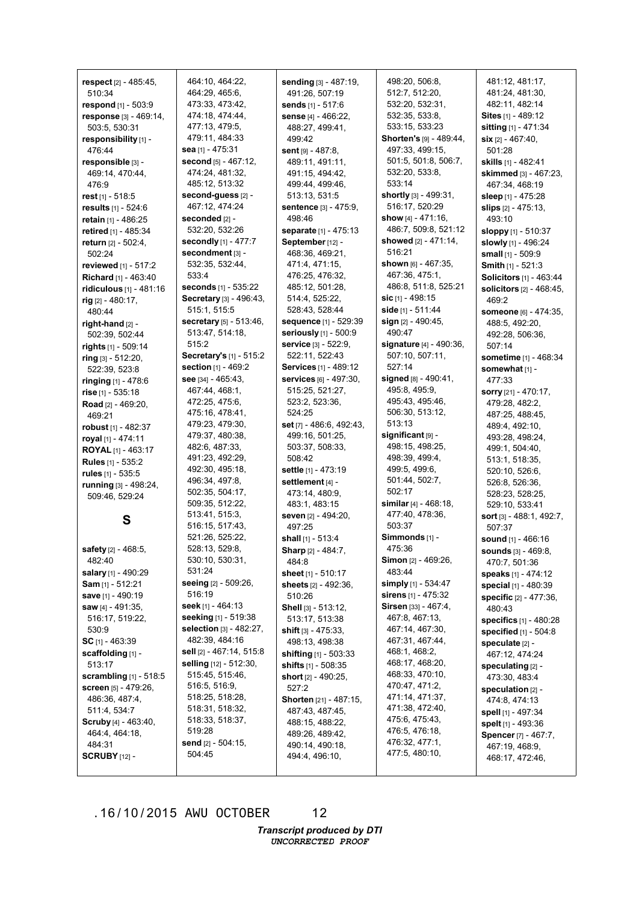| respect [2] - 485:45,           | 464:10, 464:22,             | <b>sending</b> [3] - 487:19,     | 498:20, 506:8,                 | 481:12, 481:17,                |
|---------------------------------|-----------------------------|----------------------------------|--------------------------------|--------------------------------|
| 510:34                          | 464:29, 465:6,              | 491:26, 507:19                   | 512:7, 512:20,                 | 481:24, 481:30,                |
| respond [1] - 503:9             | 473:33, 473:42,             | sends [1] - 517:6                | 532:20, 532:31,                | 482:11, 482:14                 |
| response [3] - 469:14,          | 474:18, 474:44,             | sense [4] - 466:22,              | 532:35, 533:8,                 | <b>Sites</b> [1] - 489:12      |
| 503:5, 530:31                   | 477:13, 479:5,              | 488:27, 499:41,                  | 533:15, 533:23                 | sitting [1] - 471:34           |
| responsibility [1] -            | 479:11, 484:33              | 499:42                           | Shorten's [9] - 489:44,        | $\sin$ [2] - 467:40,           |
| 476:44                          | sea [1] - 475:31            | sent $[9] - 487:8$ ,             | 497:33, 499:15,                | 501:28                         |
| responsible [3] -               | second [5] - 467:12,        | 489:11, 491:11,                  | 501:5, 501:8, 506:7,           | skills [1] - 482:41            |
| 469:14, 470:44,                 | 474:24, 481:32,             | 491:15, 494:42,                  | 532:20, 533:8,                 | skimmed [3] - 467:23,          |
| 476:9                           | 485:12, 513:32              | 499:44, 499:46,                  | 533:14                         | 467:34, 468:19                 |
| rest [1] - 518:5                | second-guess [2] -          | 513:13, 531:5                    | shortly [3] - 499:31,          | sleep [1] - 475:28             |
| results [1] - 524:6             | 467:12, 474:24              | sentence [3] - 475:9,            | 516:17, 520:29                 | slips $[2] - 475:13$ ,         |
| retain [1] - 486:25             | seconded [2] -              | 498:46                           | show $[4] - 471:16$ ,          | 493:10                         |
| retired [1] - 485:34            | 532:20, 532:26              | separate [1] - 475:13            | 486:7, 509:8, 521:12           | <b>sloppy</b> [1] - 510:37     |
| return [2] - 502:4,             | secondly [1] - 477:7        | September [12] -                 | showed [2] - 471:14,           | slowly [1] - 496:24            |
| 502:24                          | secondment [3] -            | 468:36, 469:21,                  | 516:21                         | small [1] - 509:9              |
| reviewed [1] - 517:2            | 532:35, 532:44,             | 471:4, 471:15,                   | shown $[6] - 467:35$ ,         | Smith [1] - 521:3              |
| Richard [1] - 463:40            | 533:4                       | 476:25, 476:32,                  | 467:36, 475:1,                 | <b>Solicitors</b> [1] - 463:44 |
| ridiculous [1] - 481:16         | <b>seconds</b> [1] - 535:22 | 485:12, 501:28,                  | 486:8, 511:8, 525:21           | solicitors [2] - 468:45,       |
| rig [2] - 480:17,               | Secretary [3] - 496:43,     | 514:4, 525:22,                   | sic $[1]$ - 498:15             | 469:2                          |
| 480:44                          | 515:1, 515:5                | 528:43, 528:44                   | side [1] - 511:44              | <b>someone</b> [6] - 474:35,   |
| right-hand $[2]$ -              | secretary [5] - 513:46,     | sequence [1] - 529:39            | sign [2] - 490:45,             | 488:5, 492:20,                 |
| 502:39, 502:44                  | 513:47, 514:18,             | seriously [1] - 500:9            | 490:47                         | 492:28, 506:36,                |
| rights [1] - 509:14             | 515:2                       | service [3] - 522:9,             | signature [4] - 490:36,        | 507:14                         |
| ring [3] - 512:20,              | Secretary's [1] - 515:2     | 522:11, 522:43                   | 507:10, 507:11,                | sometime [1] - 468:34          |
| 522:39, 523:8                   | section [1] - 469:2         | <b>Services</b> [1] - 489:12     | 527:14                         | somewhat [1] -                 |
| ringing [1] - 478:6             | see $[34] - 465:43$ ,       | <b>services</b> $[6] - 497:30$ , | signed $[8] - 490:41$ ,        | 477:33                         |
| rise $[1] - 535:18$             | 467:44, 468:1,              | 515:25, 521:27,                  | 495:8, 495:9,                  | <b>sorry</b> $[21] - 470:17$ , |
| Road [2] - 469:20,              | 472:25, 475:6,              | 523:2, 523:36,                   | 495:43, 495:46,                | 479:28, 482:2,                 |
| 469:21                          | 475:16, 478:41,             | 524:25                           | 506:30, 513:12,                | 487:25, 488:45,                |
| robust $[1]$ - 482:37           | 479:23, 479:30,             | set [7] - 486:6, 492:43,         | 513:13                         | 489:4, 492:10,                 |
| royal [1] - 474:11              | 479:37, 480:38,             | 499:16, 501:25,                  | significant [9] -              | 493:28, 498:24,                |
| <b>ROYAL</b> [1] - 463:17       | 482:6, 487:33,              | 503:37, 508:33,                  | 498:15, 498:25,                | 499:1, 504:40,                 |
| Rules [1] - 535:2               | 491:23, 492:29,             | 508:42                           | 498:39, 499:4,                 | 513:1, 518:35,                 |
| rules [1] - 535:5               | 492:30, 495:18,             | settle [1] - 473:19              | 499:5, 499:6,                  | 520:10, 526:6,                 |
| running [3] - 498:24,           | 496:34, 497:8,              | settlement [4] -                 | 501:44, 502:7,                 | 526:8, 526:36,                 |
| 509:46, 529:24                  | 502:35, 504:17,             | 473:14, 480:9,                   | 502:17                         | 528:23, 528:25,                |
|                                 | 509:35, 512:22,             | 483:1, 483:15                    | similar $[4] - 468:18$ .       | 529:10, 533:41                 |
| S                               | 513:41, 515:3,              | seven [2] - 494:20,              | 477:40, 478:36,                | sort [3] - 488:1, 492:7,       |
|                                 | 516:15, 517:43,             | 497:25                           | 503:37                         | 507:37                         |
|                                 | 521:26, 525:22,             | shall [1] - 513:4                | Simmonds [1] -                 | sound [1] - 466:16             |
| safety [2] - 468:5,             | 528:13, 529:8,              | <b>Sharp</b> $[2] - 484:7$ ,     | 475:36                         | sounds [3] - 469:8,            |
| 482:40                          | 530:10, 530:31,             | 484:8                            | <b>Simon</b> [2] - 469:26,     | 470:7, 501:36                  |
| salary [1] - 490:29             | 531:24                      | sheet [1] - 510:17               | 483:44                         | speaks [1] - 474:12            |
| <b>Sam</b> $[1]$ - 512:21       | seeing [2] - 509:26,        | sheets [2] - 492:36,             | simply $[1]$ - 534:47          | <b>special</b> $[1]$ - 480:39  |
| <b>save</b> [1] - 490:19        | 516:19                      | 510:26                           | <b>sirens</b> $[1]$ - 475:32   | specific [2] - 477:36,         |
| saw [4] - 491:35,               | seek [1] - 464:13           | Shell [3] - 513:12,              | <b>Sirsen</b> [33] - $467:4$ , | 480:43                         |
| 516:17, 519:22,                 | seeking [1] - 519:38        | 513:17, 513:38                   | 467:8, 467:13,                 | specifics [1] - 480:28         |
| 530:9                           | selection [3] - 482:27,     | shift $[3] - 475:33$ ,           | 467:14, 467:30,                | specified $[1]$ - 504:8        |
| SC $[1]$ - 463:39               | 482:39, 484:16              | 498:13, 498:38                   | 467:31, 467:44,                | speculate [2] -                |
| scaffolding [1] -               | sell [2] - 467:14, 515:8    | <b>shifting</b> $[1]$ - 503:33   | 468:1, 468:2,                  | 467:12, 474:24                 |
| 513:17                          | selling [12] - 512:30,      | shifts [1] - 508:35              | 468:17, 468:20,                | speculating [2] -              |
| <b>scrambling</b> $[1] - 518:5$ | 515:45, 515:46,             | short $[2] - 490:25$ ,           | 468:33, 470:10,                | 473:30, 483:4                  |
| <b>screen</b> $[5] - 479:26$ ,  | 516:5, 516:9,               | 527:2                            | 470:47, 471:2,                 | speculation $[2]$ -            |
| 486:36, 487:4,                  | 518:25, 518:28,             | <b>Shorten</b> [21] - 487:15,    | 471:14, 471:37,                | 474:8, 474:13                  |
| 511:4, 534:7                    | 518:31, 518:32,             | 487:43, 487:45,                  | 471:38, 472:40,                | spell [1] - 497:34             |
| <b>Scruby</b> [4] - 463:40,     | 518:33, 518:37,             | 488:15, 488:22,                  | 475:6, 475:43,                 | spelt [1] - 493:36             |
| 464:4, 464:18,                  | 519:28                      | 489:26, 489:42,                  | 476:5, 476:18,                 | Spencer [7] - 467:7,           |
| 484:31                          | send [2] - 504:15,          | 490:14, 490:18,                  | 476:32, 477:1,                 | 467:19, 468:9,                 |
| <b>SCRUBY</b> [12] -            | 504:45                      | 494:4, 496:10,                   | 477:5, 480:10,                 | 468:17, 472:46,                |
|                                 |                             |                                  |                                |                                |

12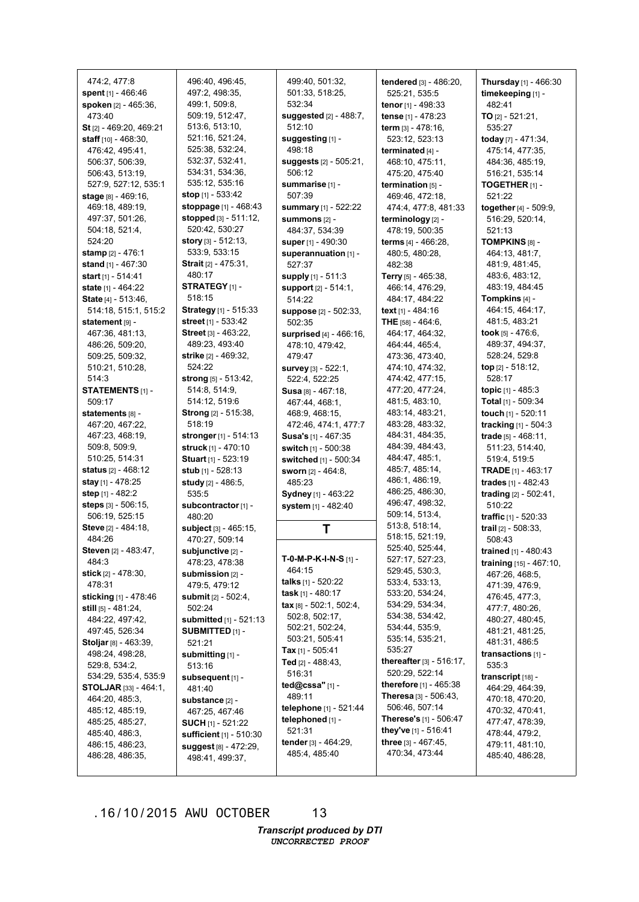474:2, 477:8 **spent** [1] - 466:46 **spoken** [2] - 465:36, 473:40 **St** [2] - 469:20, 469:21 **staff** [10] - 468:30, 476:42, 495:41, 506:37, 506:39, 506:43, 513:19, 527:9, 527:12, 535:1 **stage** [8] - 469:16, 469:18, 489:19, 497:37, 501:26, 504:18, 521:4, 524:20 **stamp** [2] - 476:1 **stand** [1] - 467:30 **start** [1] - 514:41 **state** [1] - 464:22 **State** [4] - 513:46, 514:18, 515:1, 515:2 **statement** [9] - 467:36, 481:13, 486:26, 509:20, 509:25, 509:32, 510:21, 510:28, 514:3 **STATEMENTS** [1] - 509:17 **statements** [8] - 467:20, 467:22, 467:23, 468:19, 509:8, 509:9, 510:25, 514:31 **status** [2] - 468:12 **stay** [1] - 478:25 **step** [1] - 482:2 **steps** [3] - 506:15, 506:19, 525:15 **Steve** [2] - 484:18, 484:26 **Steven** [2] - 483:47, 484:3 **stick** [2] - 478:30, 478:31 **sticking** [1] - 478:46 **still** [5] - 481:24, 484:22, 497:42, 497:45, 526:34 **Stoljar** [8] - 463:39, 498:24, 498:28, 529:8, 534:2, 534:29, 535:4, 535:9 **STOLJAR** [33] - 464:1, 464:20, 485:3, 485:12, 485:19, 485:25, 485:27, 485:40, 486:3, 486:15, 486:23, 486:28, 486:35,

496:40, 496:45, 497:2, 498:35, 499:1, 509:8, 509:19, 512:47, 513:6, 513:10, 521:16, 521:24, 525:38, 532:24, 532:37, 532:41, 534:31, 534:36, 535:12, 535:16 **stop** [1] - 533:42 **stoppage** [1] - 468:43 **stopped** [3] - 511:12, 520:42, 530:27 **story** [3] - 512:13, 533:9, 533:15 **Strait** [2] - 475:31, 480:17 **STRATEGY** [1] - 518:15 **Strategy** [1] - 515:33 **street** [1] - 533:42 **Street** [3] - 463:22, 489:23, 493:40 **strike** [2] - 469:32, 524:22 **strong** [5] - 513:42, 514:8, 514:9, 514:12, 519:6 **Strong** [2] - 515:38, 518:19 **stronger** [1] - 514:13 **struck** [1] - 470:10 **Stuart** [1] - 523:19 **stub** [1] - 528:13 **study** [2] - 486:5, 535:5 **subcontractor**[1] - 480:20 **subject** [3] - 465:15, 470:27, 509:14 **subjunctive** [2] - 478:23, 478:38 **submission** [2] - 479:5, 479:12 **submit** [2] - 502:4, 502:24 **submitted** [1] - 521:13 **SUBMITTED** [1] - 521:21 **submitting** [1] - 513:16 **subsequent** [1] - 481:40 **substance** [2] - 467:25, 467:46 **SUCH** [1] - 521:22 **sufficient** [1] - 510:30 **suggest** [8] - 472:29, 498:41, 499:37,

499:40, 501:32, 501:33, 518:25, 532:34 **suggested** [2] - 488:7, 512:10 **suggesting** [1] -498:18 **suggests** [2] - 505:21, 506:12 **summarise** [1] - 507:39 **summary** [1] - 522:22 **summons** [2] - 484:37, 534:39 **super** [1] - 490:30 **superannuation** [1] - 527:37 **supply** [1] - 511:3 **support** [2] - 514:1, 514:22 **suppose** [2] - 502:33, 502:35 **surprised** [4] - 466:16, 478:10, 479:42, 479:47 **survey** [3] - 522:1, 522:4, 522:25 **Susa** [8] - 467:18, 467:44, 468:1, 468:9, 468:15, 472:46, 474:1, 477:7 **Susa's** [1] - 467:35 **switch** [1] - 500:38 **switched** [1] - 500:34 **sworn** [2] - 464:8, 485:23 **Sydney** [1] - 463:22 **system** [1] - 482:40 **T T-0-M-P-K-I-N-S** [1] - 464:15 **talks** [1] - 520:22 **task** [1] - 480:17 **tax** [8] - 502:1, 502:4, 502:8, 502:17, 502:21, 502:24, 503:21, 505:41 **Tax** [1] - 505:41 **Ted** [2] - 488:43, 516:31 **ted@cssa"** [1] - 489:11 **telephone** [1] - 521:44 **telephoned** [1] - 521:31 **tender** [3] - 464:29, 485:4, 485:40

**tendered** [3] - 486:20, 525:21, 535:5 **tenor** [1] - 498:33 **tense** [1] - 478:23 **term** [3] - 478:16, 523:12, 523:13 **terminated** [4] - 468:10, 475:11, 475:20, 475:40 **termination** [5] - 469:46, 472:18, 474:4, 477:8, 481:33 **terminology** [2] - 478:19, 500:35 **terms** [4] - 466:28, 480:5, 480:28, 482:38 **Terry** [5] - 465:38, 466:14, 476:29, 484:17, 484:22 **text** [1] - 484:16 **THE** [58] - 464:6, 464:17, 464:32, 464:44, 465:4, 473:36, 473:40, 474:10, 474:32, 474:42, 477:15, 477:20, 477:24, 481:5, 483:10, 483:14, 483:21, 483:28, 483:32, 484:31, 484:35, 484:39, 484:43, 484:47, 485:1, 485:7, 485:14, 486:1, 486:19, 486:25, 486:30, 496:47, 498:32, 509:14, 513:4, 513:8, 518:14, 518:15, 521:19, 525:40, 525:44, 527:17, 527:23, 529:45, 530:3, 533:4, 533:13, 533:20, 534:24, 534:29, 534:34, 534:38, 534:42, 534:44, 535:9, 535:14, 535:21, 535:27 **thereafter** [3] - 516:17, 520:29, 522:14 **therefore** [1] - 465:38 **Theresa** [3] - 506:43, 506:46, 507:14 **Therese's** [1] - 506:47 **they've** [1] - 516:41 **three** [3] - 467:45, 470:34, 473:44

**Thursday** [1] - 466:30 **timekeeping** [1] - 482:41 **TO** [2] - 521:21, 535:27 **today** [7] - 471:34, 475:14, 477:35, 484:36, 485:19, 516:21, 535:14 **TOGETHER** [1] - 521:22 **together**[4] - 509:9, 516:29, 520:14, 521:13 **TOMPKINS** [8] - 464:13, 481:7, 481:9, 481:45, 483:6, 483:12, 483:19, 484:45 **Tompkins** [4] - 464:15, 464:17, 481:5, 483:21 **took** [5] - 476:6, 489:37, 494:37, 528:24, 529:8 **top** [2] - 518:12, 528:17 **topic** [1] - 485:3 **Total** [1] - 509:34 **touch** [1] - 520:11 **tracking** [1] - 504:3 **trade** [5] - 468:11, 511:23, 514:40, 519:4, 519:5 **TRADE** [1] - 463:17 **trades** [1] - 482:43 **trading** [2] - 502:41, 510:22 **traffic** [1] - 520:33 **trail** [2] - 508:33, 508:43 **trained** [1] - 480:43 **training** [15] - 467:10, 467:26, 468:5, 471:39, 476:9, 476:45, 477:3, 477:7, 480:26, 480:27, 480:45, 481:21, 481:25, 481:31, 486:5 **transactions** [1] - 535:3 **transcript** [18] - 464:29, 464:39, 470:18, 470:20, 470:32, 470:41, 477:47, 478:39, 478:44, 479:2, 479:11, 481:10, 485:40, 486:28,

#### .16/10/2015 AWU OCTOBER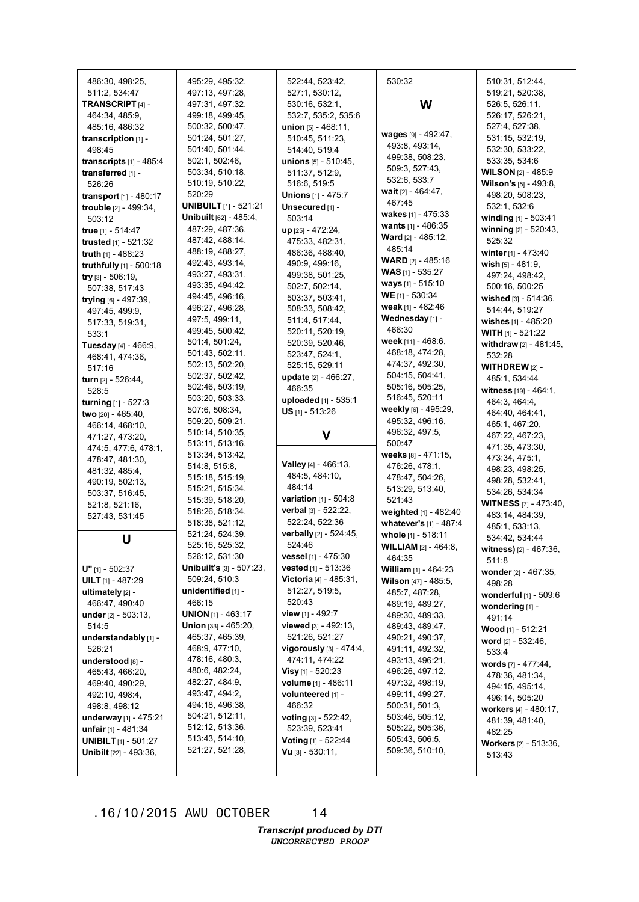| 486:30, 498:25,               | 495:29, 495:32,                 | 522:44, 523:42,                | 530:32                        | 510:31, 512:44,                        |
|-------------------------------|---------------------------------|--------------------------------|-------------------------------|----------------------------------------|
| 511:2, 534:47                 | 497:13, 497:28,                 | 527:1, 530:12,                 |                               | 519:21, 520:38,                        |
|                               |                                 | 530:16, 532:1,                 |                               | 526:5, 526:11,                         |
| TRANSCRIPT [4] -              | 497:31, 497:32,                 |                                | W                             |                                        |
| 464:34, 485:9,                | 499:18, 499:45,                 | 532:7, 535:2, 535:6            |                               | 526:17, 526:21,<br>527:4, 527:38,      |
| 485:16, 486:32                | 500:32, 500:47,                 | union $[5] - 468:11$ ,         | wages [9] - 492:47,           |                                        |
| transcription $[1]$ -         | 501:24, 501:27,                 | 510:45, 511:23,                | 493:8, 493:14,                | 531:15, 532:19,                        |
| 498:45                        | 501:40, 501:44,                 | 514:40, 519:4                  | 499:38, 508:23,               | 532:30, 533:22,                        |
| transcripts $[1]$ - 485:4     | 502:1, 502:46,                  | <b>unions</b> $[5] - 510:45$ , | 509:3, 527:43,                | 533:35, 534:6                          |
| transferred [1] -             | 503:34, 510:18,                 | 511:37, 512:9,                 | 532:6, 533:7                  | <b>WILSON [2] - 485:9</b>              |
| 526:26                        | 510:19, 510:22,                 | 516:6, 519:5                   | <b>wait</b> $[2] - 464:47$ ,  | Wilson's [5] - 493:8,                  |
| transport [1] - 480:17        | 520:29                          | <b>Unions</b> [1] - 475:7      | 467:45                        | 498:20, 508:23,                        |
| trouble [2] - 499:34,         | <b>UNIBUILT</b> [1] - 521:21    | Unsecured [1] -                | wakes [1] - 475:33            | 532:1, 532:6                           |
| 503:12                        | Unibuilt [62] - 485:4,          | 503:14                         | wants [1] - 486:35            | winding [1] - 503:41                   |
| true [1] - 514:47             | 487:29, 487:36,                 | up [25] - 472:24,              | <b>Ward</b> $[2] - 485:12$ ,  | winning [2] - 520:43,                  |
| trusted [1] - 521:32          | 487:42, 488:14,                 | 475:33, 482:31,                | 485:14                        | 525:32                                 |
| truth [1] - 488:23            | 488:19, 488:27,                 | 486:36, 488:40,                | <b>WARD</b> $[2] - 485:16$    | winter $[1] - 473:40$                  |
| truthfully [1] - 500:18       | 492:43, 493:14,                 | 490:9, 499:16,                 |                               | wish $[5] - 481:9$ ,                   |
| try [3] - 506:19,             | 493:27, 493:31,                 | 499:38, 501:25,                | <b>WAS</b> [1] - 535:27       | 497:24, 498:42,                        |
| 507:38, 517:43                | 493:35, 494:42,                 | 502:7, 502:14,                 | ways $[1] - 515:10$           | 500:16, 500:25                         |
| trying [6] - 497:39,          | 494:45, 496:16,                 | 503:37, 503:41,                | WE $[1] - 530:34$             | wished $[3] - 514:36$ ,                |
| 497:45, 499:9,                | 496:27, 496:28,                 | 508:33, 508:42,                | weak [1] - 482:46             | 514:44, 519:27                         |
| 517:33, 519:31,               | 497:5, 499:11,                  | 511:4, 517:44,                 | Wednesday [1] -               | wishes [1] - 485:20                    |
| 533:1                         | 499:45, 500:42,                 | 520:11, 520:19,                | 466:30                        | <b>WITH</b> $[1]$ - 521:22             |
| Tuesday [4] - 466:9,          | 501:4, 501:24,                  | 520:39, 520:46,                | week [11] - 468:6,            | withdraw [2] - 481:45,                 |
| 468:41, 474:36,               | 501:43, 502:11,                 | 523:47, 524:1,                 | 468:18, 474:28,               | 532:28                                 |
| 517:16                        | 502:13, 502:20,                 | 525:15, 529:11                 | 474:37, 492:30,               | <b>WITHDREW</b> $[2]$ -                |
| turn [2] - 526:44,            | 502:37, 502:42,                 | update [2] - 466:27.           | 504:15, 504:41,               | 485:1, 534:44                          |
| 528:5                         | 502:46, 503:19,                 | 466:35                         | 505:16, 505:25,               | witness [19] - 464:1,                  |
| turning $[1] - 527:3$         | 503:20, 503:33,                 | uploaded [1] - 535:1           | 516:45, 520:11                | 464:3, 464:4,                          |
| two [20] - 465:40,            | 507:6, 508:34,                  | $US$ <sub>[1]</sub> - 513:26   | weekly [6] - 495:29,          | 464:40, 464:41,                        |
| 466:14, 468:10,               | 509:20, 509:21,                 |                                | 495:32, 496:16,               | 465:1, 467:20,                         |
| 471:27, 473:20,               | 510:14, 510:35,                 | V                              | 496:32, 497:5,                | 467:22, 467:23,                        |
| 474:5, 477:6, 478:1,          | 513:11, 513:16,                 |                                | 500:47                        | 471:35, 473:30,                        |
| 478:47, 481:30,               | 513:34, 513:42,                 |                                | weeks [8] - 471:15,           | 473:34, 475:1,                         |
| 481:32, 485:4,                | 514:8, 515:8,                   | <b>Valley</b> [4] - 466:13,    | 476:26, 478:1,                | 498:23, 498:25,                        |
| 490:19, 502:13,               | 515:18, 515:19,                 | 484:5, 484:10,                 | 478:47, 504:26,               | 498:28, 532:41,                        |
| 503:37, 516:45,               | 515:21, 515:34,                 | 484:14                         | 513:29, 513:40,               | 534:26, 534:34                         |
| 521:8, 521:16,                | 515:39, 518:20,                 | variation [1] - 504:8          | 521:43                        | <b>WITNESS</b> [7] - 473:40,           |
| 527:43, 531:45                | 518:26, 518:34,                 | verbal [3] - 522:22,           | weighted [1] - 482:40         | 483:14, 484:39,                        |
|                               | 518:38, 521:12,                 | 522:24, 522:36                 | whatever's [1] - 487:4        | 485:1, 533:13,                         |
| U                             | 521:24, 524:39,                 | verbally [2] - 524:45,         | whole [1] - 518:11            | 534:42, 534:44                         |
|                               | 525:16, 525:32,                 | 524:46                         | <b>WILLIAM</b> [2] - 464:8,   | witness) [2] - 467:36,                 |
|                               | 526:12, 531:30                  | vessel [1] - 475:30            | 464:35                        | 511:8                                  |
| $U"$ [1] - 502:37             | <b>Unibuilt's [3] - 507:23,</b> | vested [1] - 513:36            | <b>William</b> $[1] - 464:23$ | wonder [2] - 467:35,                   |
| <b>UILT</b> $[1]$ - 487:29    | 509:24, 510:3                   | Victoria [4] - 485:31,         | <b>Wilson</b> [47] - 485:5,   | 498:28                                 |
| ultimately $[2]$ -            | unidentified [1] -              | 512:27, 519:5,                 | 485:7, 487:28,                | <b>wonderful</b> [1] - 509:6           |
| 466:47, 490:40                | 466:15                          | 520:43                         | 489:19, 489:27,               | wondering [1] -                        |
| under $[2] - 503:13$ ,        | <b>UNION</b> [1] - 463:17       | view [1] - 492:7               | 489:30, 489:33,               | 491:14                                 |
| 514:5                         | <b>Union</b> [33] - 465:20,     | viewed $[3] - 492:13$ ,        | 489:43, 489:47,               | <b>Wood</b> [1] - 512:21               |
| understandably [1] -          | 465:37, 465:39,                 | 521:26, 521:27                 | 490:21, 490:37,               | <b>word</b> $[2] - 532:46$ ,           |
| 526:21                        | 468:9, 477:10,                  | vigorously $[3] - 474:4,$      | 491:11, 492:32,               | 533:4                                  |
| understood [8] -              | 478:16, 480:3,                  | 474:11, 474:22                 | 493:13, 496:21,               | words [7] - 477:44,                    |
| 465:43, 466:20,               | 480:6, 482:24,                  | <b>Visy</b> [1] - 520:23       | 496:26, 497:12,               | 478:36, 481:34,                        |
| 469:40, 490:29,               | 482:27, 484:9,                  | volume [1] - 486:11            | 497:32, 498:19,               | 494:15, 495:14,                        |
| 492:10, 498:4,                | 493:47, 494:2,                  | volunteered [1] -              | 499:11, 499:27,               | 496:14, 505:20                         |
| 498:8, 498:12                 | 494:18, 496:38,                 | 466:32                         | 500:31, 501:3,                | workers [4] - 480:17,                  |
| underway [1] - 475:21         | 504:21, 512:11,                 | voting [3] - 522:42,           | 503:46, 505:12,               | 481:39, 481:40,                        |
| <b>unfair</b> [1] - 481:34    | 512:12, 513:36,                 | 523:39, 523:41                 | 505:22, 505:36,               | 482:25                                 |
| <b>UNIBILT</b> $[1]$ - 501:27 | 513:43, 514:10,                 | Voting [1] - 522:44            | 505:43, 506:5,                |                                        |
|                               |                                 |                                |                               |                                        |
| Unibilt [22] - 493:36,        | 521:27, 521:28,                 | <b>Vu</b> $[3] - 530:11$ ,     | 509:36, 510:10,               | <b>Workers</b> [2] - 513:36,<br>513:43 |

14